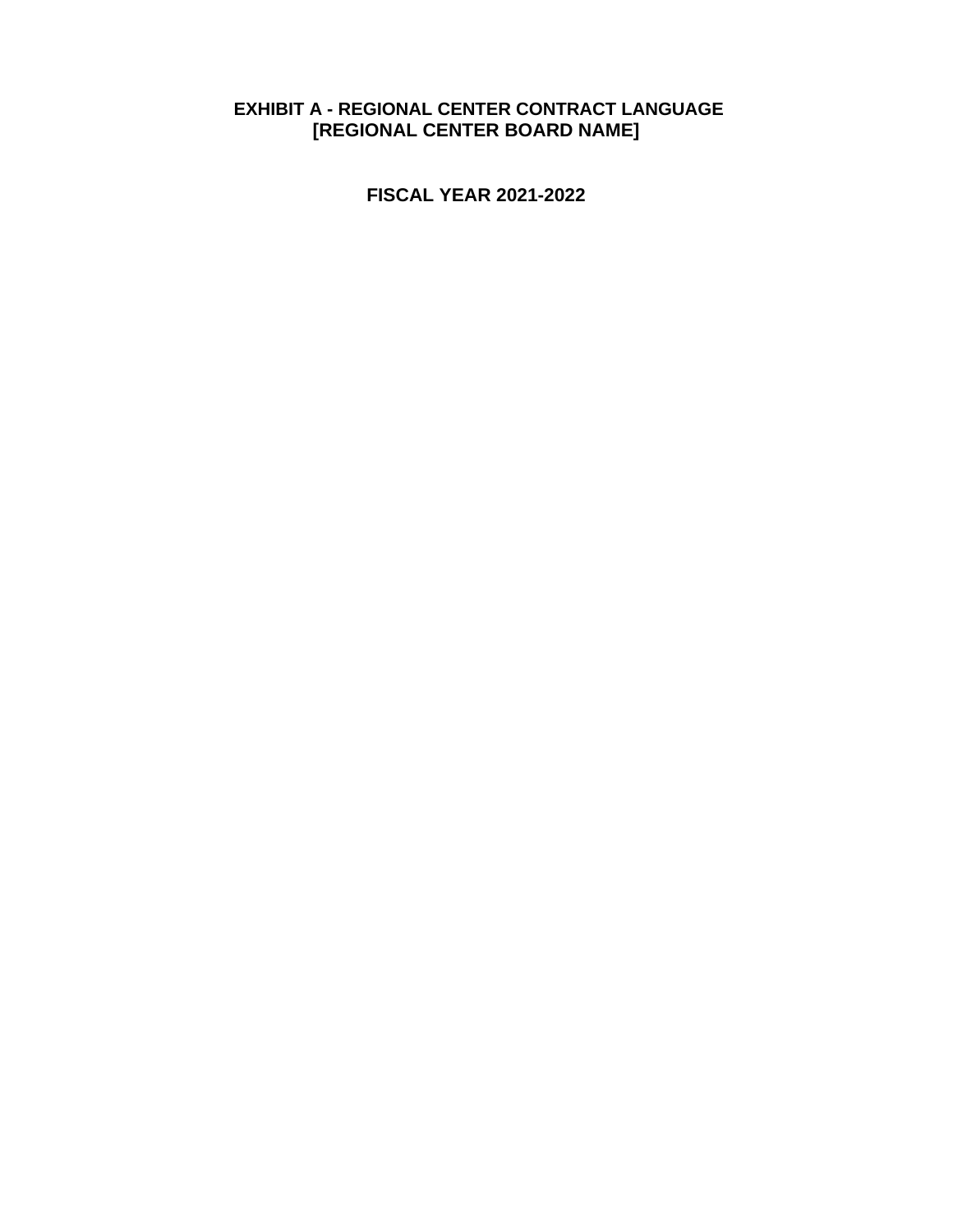#### **EXHIBIT A - REGIONAL CENTER CONTRACT LANGUAGE [REGIONAL CENTER BOARD NAME]**

**FISCAL YEAR 2021-2022**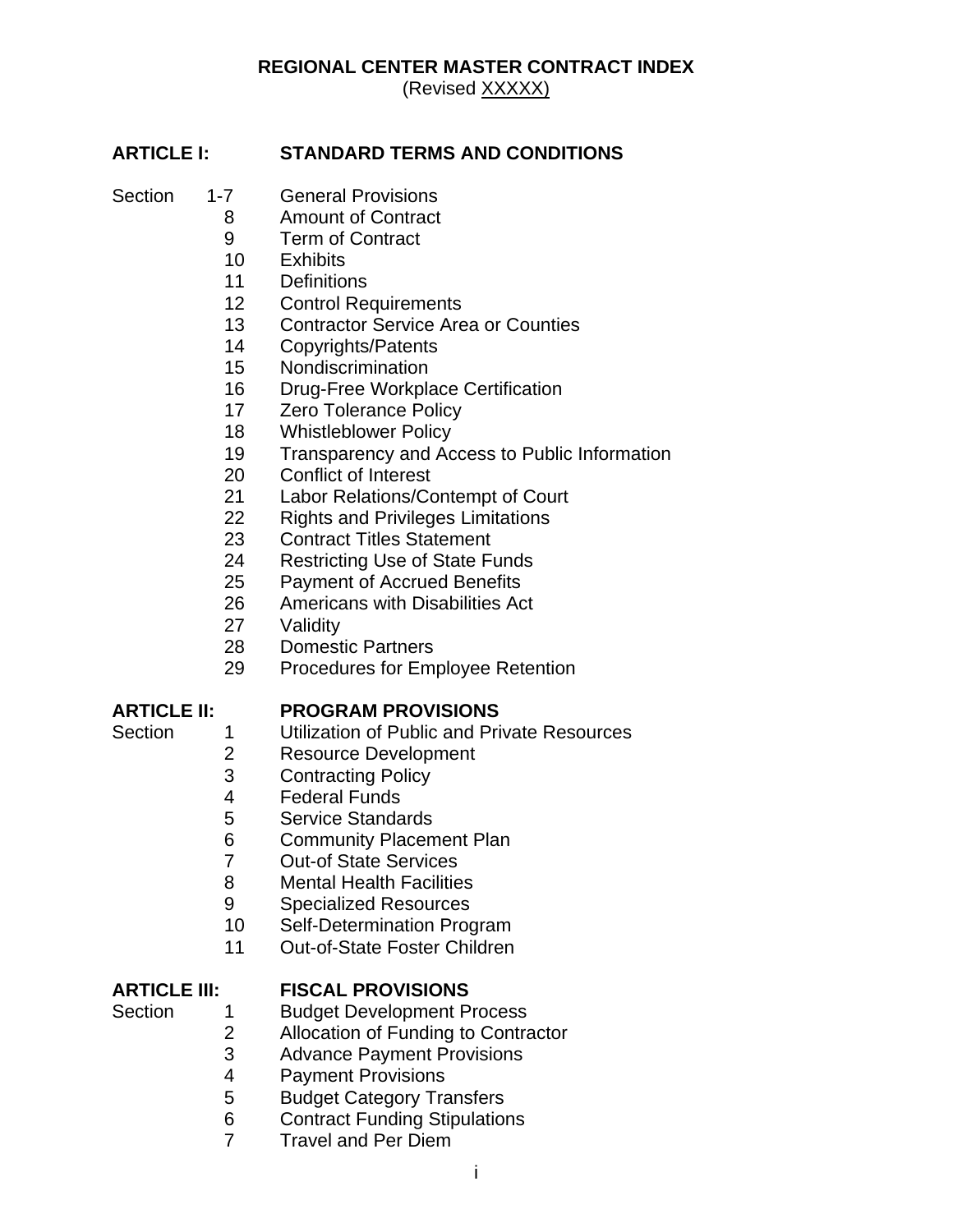# **REGIONAL CENTER MASTER CONTRACT INDEX**

(Revised XXXXX)

#### **ARTICLE I: STANDARD TERMS AND CONDITIONS**

- Section 1-7 General Provisions
	- Amount of Contract
	- Term of Contract
	- Exhibits
	- Definitions
	- Control Requirements
	- Contractor Service Area or Counties
	- Copyrights/Patents
	- Nondiscrimination
	- Drug-Free Workplace Certification
	- Zero Tolerance Policy
	- Whistleblower Policy
	- Transparency and Access to Public Information
	- Conflict of Interest
	- Labor Relations/Contempt of Court
	- Rights and Privileges Limitations
	- Contract Titles Statement
	- Restricting Use of State Funds
	- Payment of Accrued Benefits
	- Americans with Disabilities Act
	- Validity
	- Domestic Partners
	- Procedures for Employee Retention

#### **ARTICLE II: PROGRAM PROVISIONS**

- Section 1 Utilization of Public and Private Resources
	- Resource Development
	- Contracting Policy
	- Federal Funds
	- Service Standards
	- Community Placement Plan
	- Out-of State Services
	- Mental Health Facilities
	- Specialized Resources
	- Self-Determination Program
	- Out-of-State Foster Children

#### **ARTICLE III: FISCAL PROVISIONS**

- 
- Section 1 Budget Development Process
	- 2 Allocation of Funding to Contractor<br>3 Advance Pavment Provisions
	- Advance Payment Provisions
	- Payment Provisions
	- Budget Category Transfers
	- Contract Funding Stipulations
	- Travel and Per Diem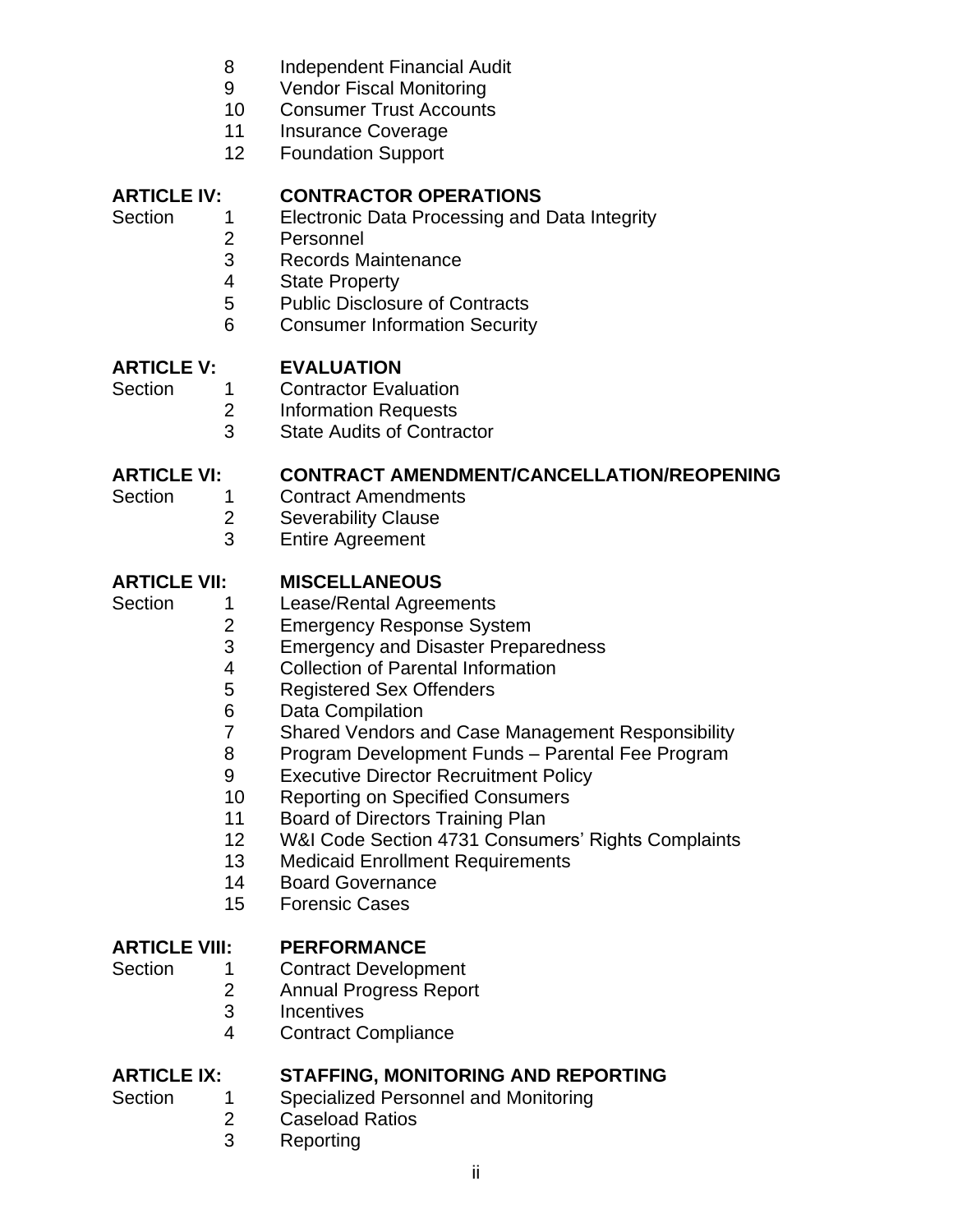- Independent Financial Audit
- Vendor Fiscal Monitoring
- Consumer Trust Accounts
- Insurance Coverage
- Foundation Support

## **ARTICLE IV: CONTRACTOR OPERATIONS**

- Section 1 Electronic Data Processing and Data Integrity
	- Personnel
	- Records Maintenance
	- State Property
	- Public Disclosure of Contracts
	- Consumer Information Security

## **ARTICLE V: EVALUATION**

- 
- Section 1 Contractor Evaluation Information Requests
	- State Audits of Contractor

## **ARTICLE VI: CONTRACT AMENDMENT/CANCELLATION/REOPENING**

- Section 1 Contract Amendments
	- Severability Clause
	- Entire Agreement

## **ARTICLE VII: MISCELLANEOUS**

- Section 1 Lease/Rental Agreements
	- Emergency Response System
	- Emergency and Disaster Preparedness
	- 4 Collection of Parental Information<br>5 Registered Sex Offenders
	- Registered Sex Offenders
	- 6 Data Compilation<br>7 Shared Vendors a
	- Shared Vendors and Case Management Responsibility
	- Program Development Funds Parental Fee Program
	- Executive Director Recruitment Policy
	- Reporting on Specified Consumers
	- Board of Directors Training Plan
	- W&I Code Section 4731 Consumers' Rights Complaints
	- Medicaid Enrollment Requirements
	- Board Governance
	- Forensic Cases

## **ARTICLE VIII: PERFORMANCE**

- 
- Section 1 Contract Development
	- Annual Progress Report
	- Incentives
	- Contract Compliance

## **ARTICLE IX: STAFFING, MONITORING AND REPORTING**

- Section 1 Specialized Personnel and Monitoring
	- Caseload Ratios
		- Reporting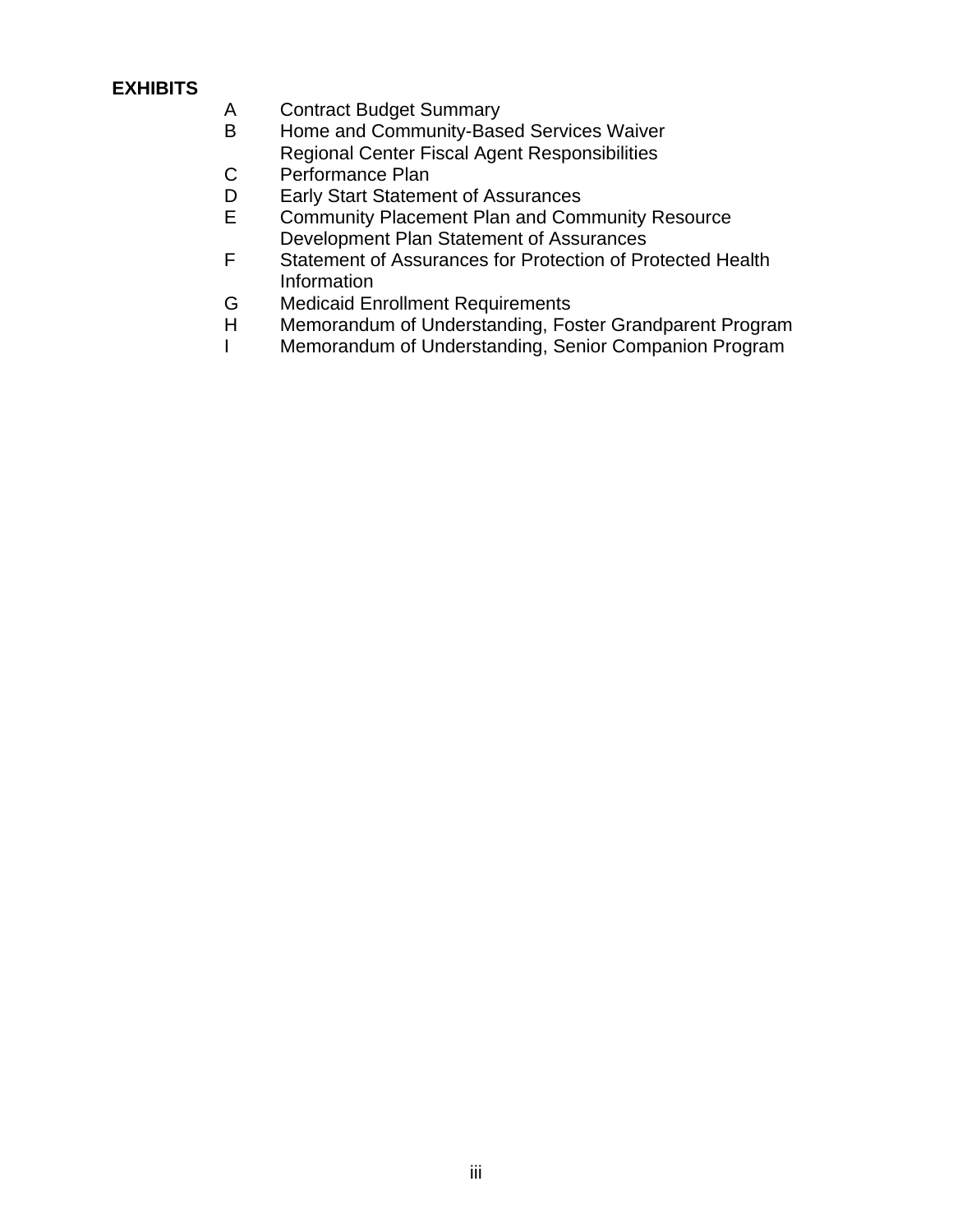#### **EXHIBITS**

- A Contract Budget Summary
- B Home and Community-Based Services Waiver Regional Center Fiscal Agent Responsibilities
- C Performance Plan
- D Early Start Statement of Assurances
- E Community Placement Plan and Community Resource Development Plan Statement of Assurances
- F Statement of Assurances for Protection of Protected Health Information
- G Medicaid Enrollment Requirements
- H Memorandum of Understanding, Foster Grandparent Program
- I Memorandum of Understanding, Senior Companion Program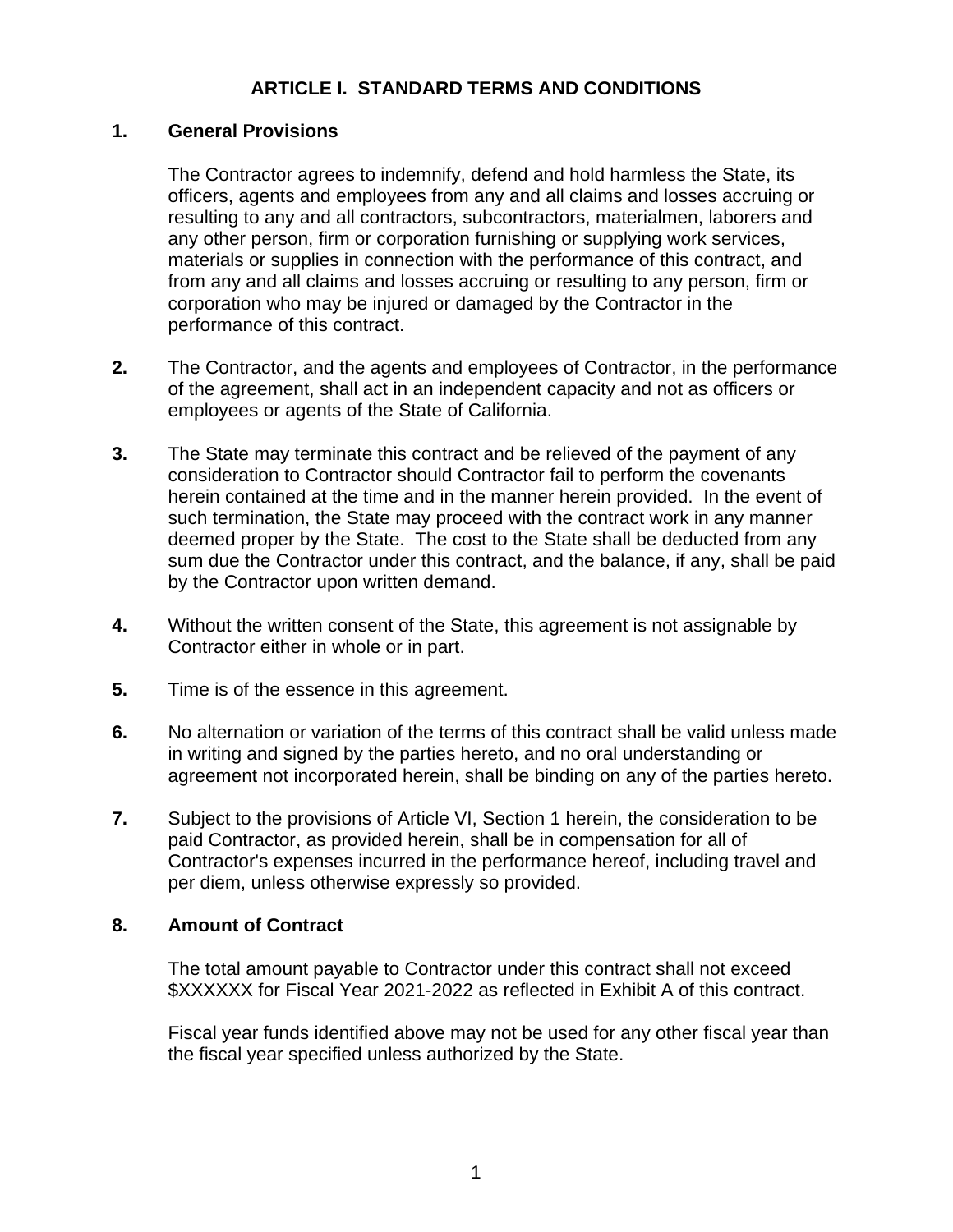### **ARTICLE I. STANDARD TERMS AND CONDITIONS**

#### **1. General Provisions**

The Contractor agrees to indemnify, defend and hold harmless the State, its officers, agents and employees from any and all claims and losses accruing or resulting to any and all contractors, subcontractors, materialmen, laborers and any other person, firm or corporation furnishing or supplying work services, materials or supplies in connection with the performance of this contract, and from any and all claims and losses accruing or resulting to any person, firm or corporation who may be injured or damaged by the Contractor in the performance of this contract.

- **2.** The Contractor, and the agents and employees of Contractor, in the performance of the agreement, shall act in an independent capacity and not as officers or employees or agents of the State of California.
- **3.** The State may terminate this contract and be relieved of the payment of any consideration to Contractor should Contractor fail to perform the covenants herein contained at the time and in the manner herein provided. In the event of such termination, the State may proceed with the contract work in any manner deemed proper by the State. The cost to the State shall be deducted from any sum due the Contractor under this contract, and the balance, if any, shall be paid by the Contractor upon written demand.
- **4.** Without the written consent of the State, this agreement is not assignable by Contractor either in whole or in part.
- **5.** Time is of the essence in this agreement.
- **6.** No alternation or variation of the terms of this contract shall be valid unless made in writing and signed by the parties hereto, and no oral understanding or agreement not incorporated herein, shall be binding on any of the parties hereto.
- **7.** Subject to the provisions of Article VI, Section 1 herein, the consideration to be paid Contractor, as provided herein, shall be in compensation for all of Contractor's expenses incurred in the performance hereof, including travel and per diem, unless otherwise expressly so provided.

#### **8. Amount of Contract**

The total amount payable to Contractor under this contract shall not exceed \$XXXXXX for Fiscal Year 2021-2022 as reflected in Exhibit A of this contract.

Fiscal year funds identified above may not be used for any other fiscal year than the fiscal year specified unless authorized by the State.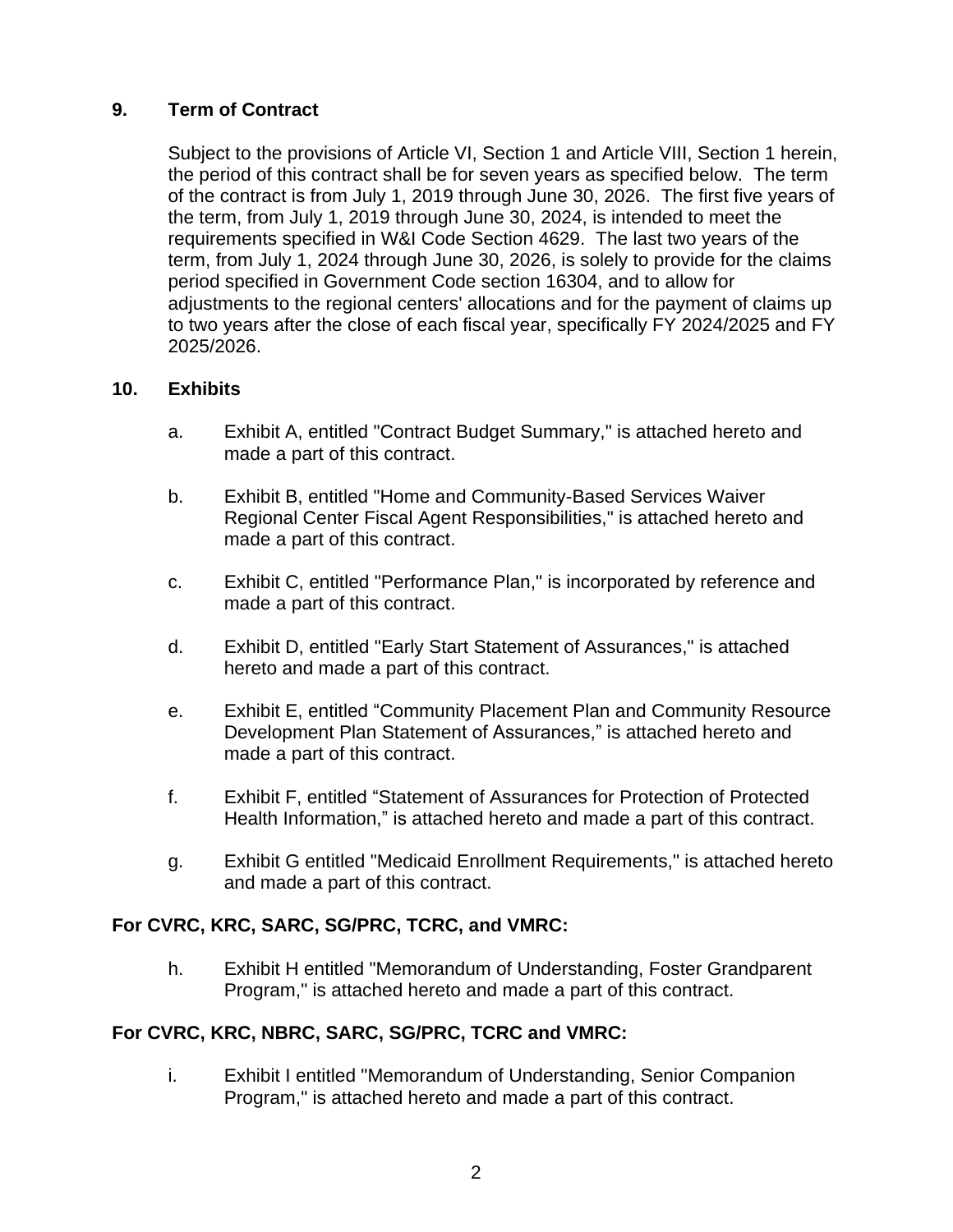#### **9. Term of Contract**

Subject to the provisions of Article VI, Section 1 and Article VIII, Section 1 herein, the period of this contract shall be for seven years as specified below. The term of the contract is from July 1, 2019 through June 30, 2026. The first five years of the term, from July 1, 2019 through June 30, 2024, is intended to meet the requirements specified in W&I Code Section 4629. The last two years of the term, from July 1, 2024 through June 30, 2026, is solely to provide for the claims period specified in Government Code section 16304, and to allow for adjustments to the regional centers' allocations and for the payment of claims up to two years after the close of each fiscal year, specifically FY 2024/2025 and FY 2025/2026.

#### **10. Exhibits**

- a. Exhibit A, entitled "Contract Budget Summary," is attached hereto and made a part of this contract.
- b. Exhibit B, entitled "Home and Community-Based Services Waiver Regional Center Fiscal Agent Responsibilities," is attached hereto and made a part of this contract.
- c. Exhibit C, entitled "Performance Plan," is incorporated by reference and made a part of this contract.
- d. Exhibit D, entitled "Early Start Statement of Assurances," is attached hereto and made a part of this contract.
- e. Exhibit E, entitled "Community Placement Plan and Community Resource Development Plan Statement of Assurances," is attached hereto and made a part of this contract.
- f. Exhibit F, entitled "Statement of Assurances for Protection of Protected Health Information," is attached hereto and made a part of this contract.
- g. Exhibit G entitled "Medicaid Enrollment Requirements," is attached hereto and made a part of this contract.

#### **For CVRC, KRC, SARC, SG/PRC, TCRC, and VMRC:**

h. Exhibit H entitled "Memorandum of Understanding, Foster Grandparent Program," is attached hereto and made a part of this contract.

#### **For CVRC, KRC, NBRC, SARC, SG/PRC, TCRC and VMRC:**

i. Exhibit I entitled "Memorandum of Understanding, Senior Companion Program," is attached hereto and made a part of this contract.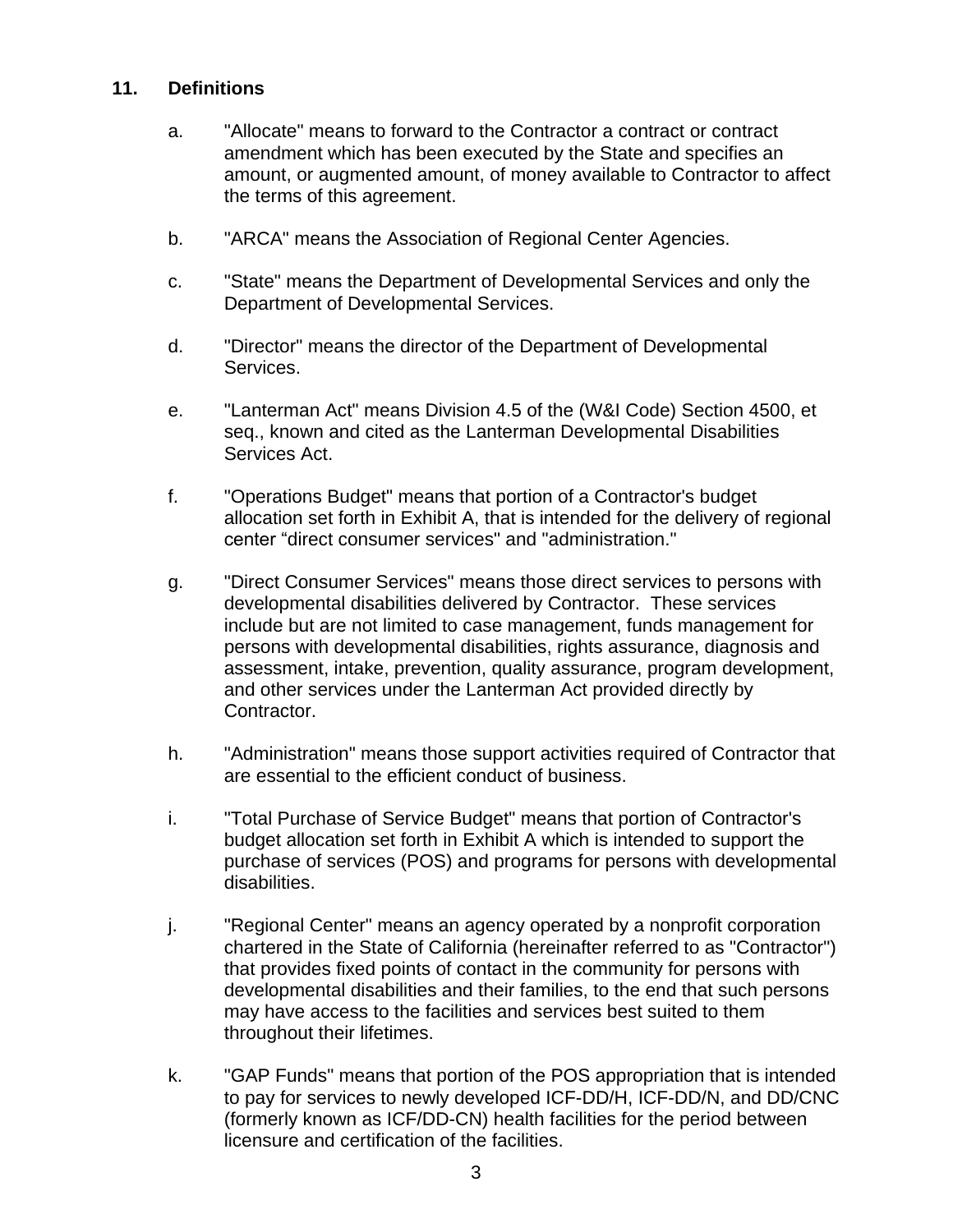#### **11. Definitions**

- a. "Allocate" means to forward to the Contractor a contract or contract amendment which has been executed by the State and specifies an amount, or augmented amount, of money available to Contractor to affect the terms of this agreement.
- b. "ARCA" means the Association of Regional Center Agencies.
- c. "State" means the Department of Developmental Services and only the Department of Developmental Services.
- d. "Director" means the director of the Department of Developmental Services.
- e. "Lanterman Act" means Division 4.5 of the (W&I Code) Section 4500, et seq., known and cited as the Lanterman Developmental Disabilities Services Act.
- f. "Operations Budget" means that portion of a Contractor's budget allocation set forth in Exhibit A, that is intended for the delivery of regional center "direct consumer services" and "administration."
- g. "Direct Consumer Services" means those direct services to persons with developmental disabilities delivered by Contractor. These services include but are not limited to case management, funds management for persons with developmental disabilities, rights assurance, diagnosis and assessment, intake, prevention, quality assurance, program development, and other services under the Lanterman Act provided directly by Contractor.
- h. "Administration" means those support activities required of Contractor that are essential to the efficient conduct of business.
- i. "Total Purchase of Service Budget" means that portion of Contractor's budget allocation set forth in Exhibit A which is intended to support the purchase of services (POS) and programs for persons with developmental disabilities.
- j. "Regional Center" means an agency operated by a nonprofit corporation chartered in the State of California (hereinafter referred to as "Contractor") that provides fixed points of contact in the community for persons with developmental disabilities and their families, to the end that such persons may have access to the facilities and services best suited to them throughout their lifetimes.
- k. "GAP Funds" means that portion of the POS appropriation that is intended to pay for services to newly developed ICF-DD/H, ICF-DD/N, and DD/CNC (formerly known as ICF/DD-CN) health facilities for the period between licensure and certification of the facilities.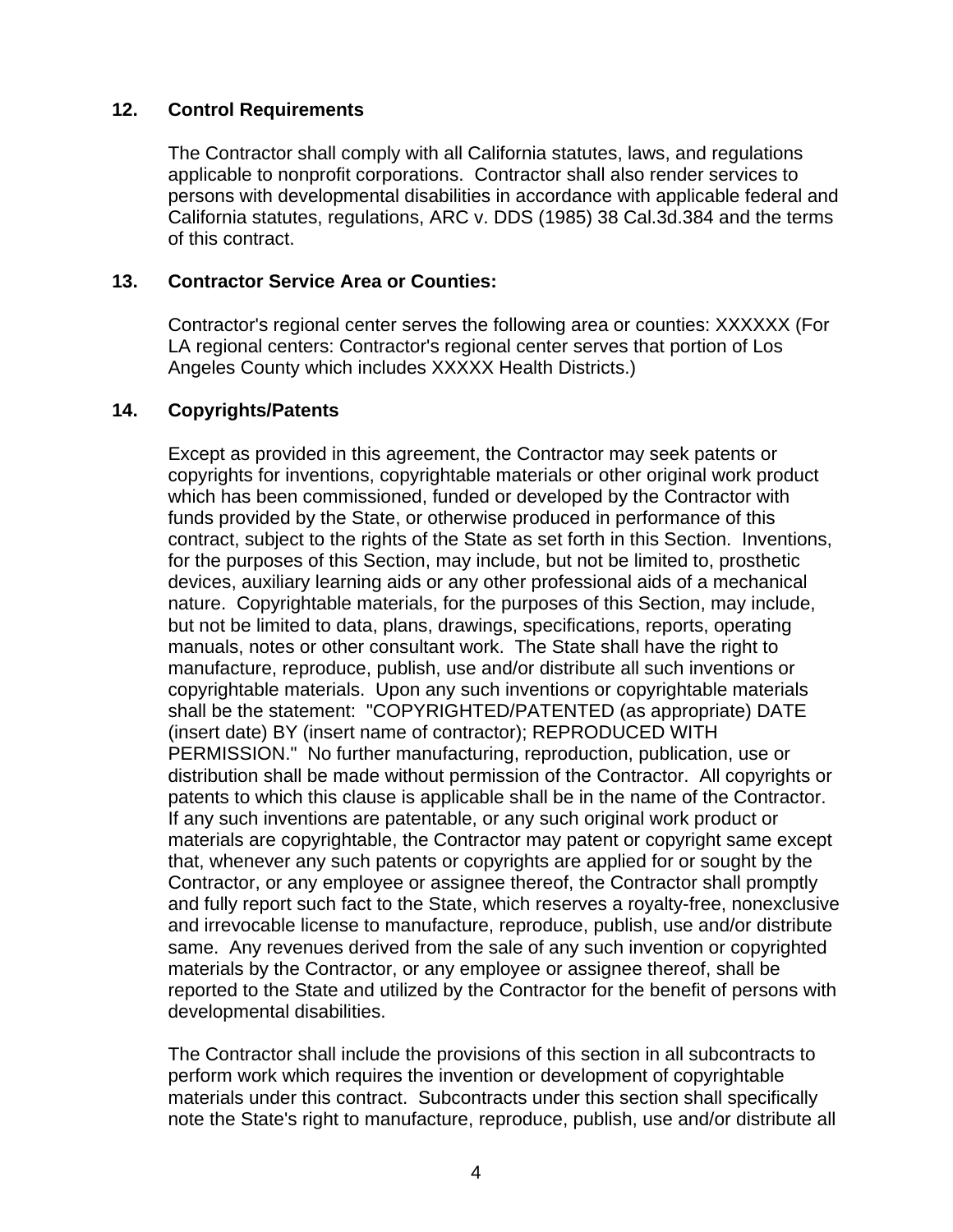#### **12. Control Requirements**

The Contractor shall comply with all California statutes, laws, and regulations applicable to nonprofit corporations. Contractor shall also render services to persons with developmental disabilities in accordance with applicable federal and California statutes, regulations, ARC v. DDS (1985) 38 Cal.3d.384 and the terms of this contract.

#### **13. Contractor Service Area or Counties:**

Contractor's regional center serves the following area or counties: XXXXXX (For LA regional centers: Contractor's regional center serves that portion of Los Angeles County which includes XXXXX Health Districts.)

#### **14. Copyrights/Patents**

Except as provided in this agreement, the Contractor may seek patents or copyrights for inventions, copyrightable materials or other original work product which has been commissioned, funded or developed by the Contractor with funds provided by the State, or otherwise produced in performance of this contract, subject to the rights of the State as set forth in this Section. Inventions, for the purposes of this Section, may include, but not be limited to, prosthetic devices, auxiliary learning aids or any other professional aids of a mechanical nature. Copyrightable materials, for the purposes of this Section, may include, but not be limited to data, plans, drawings, specifications, reports, operating manuals, notes or other consultant work. The State shall have the right to manufacture, reproduce, publish, use and/or distribute all such inventions or copyrightable materials. Upon any such inventions or copyrightable materials shall be the statement: "COPYRIGHTED/PATENTED (as appropriate) DATE (insert date) BY (insert name of contractor); REPRODUCED WITH PERMISSION." No further manufacturing, reproduction, publication, use or distribution shall be made without permission of the Contractor. All copyrights or patents to which this clause is applicable shall be in the name of the Contractor. If any such inventions are patentable, or any such original work product or materials are copyrightable, the Contractor may patent or copyright same except that, whenever any such patents or copyrights are applied for or sought by the Contractor, or any employee or assignee thereof, the Contractor shall promptly and fully report such fact to the State, which reserves a royalty-free, nonexclusive and irrevocable license to manufacture, reproduce, publish, use and/or distribute same. Any revenues derived from the sale of any such invention or copyrighted materials by the Contractor, or any employee or assignee thereof, shall be reported to the State and utilized by the Contractor for the benefit of persons with developmental disabilities.

The Contractor shall include the provisions of this section in all subcontracts to perform work which requires the invention or development of copyrightable materials under this contract. Subcontracts under this section shall specifically note the State's right to manufacture, reproduce, publish, use and/or distribute all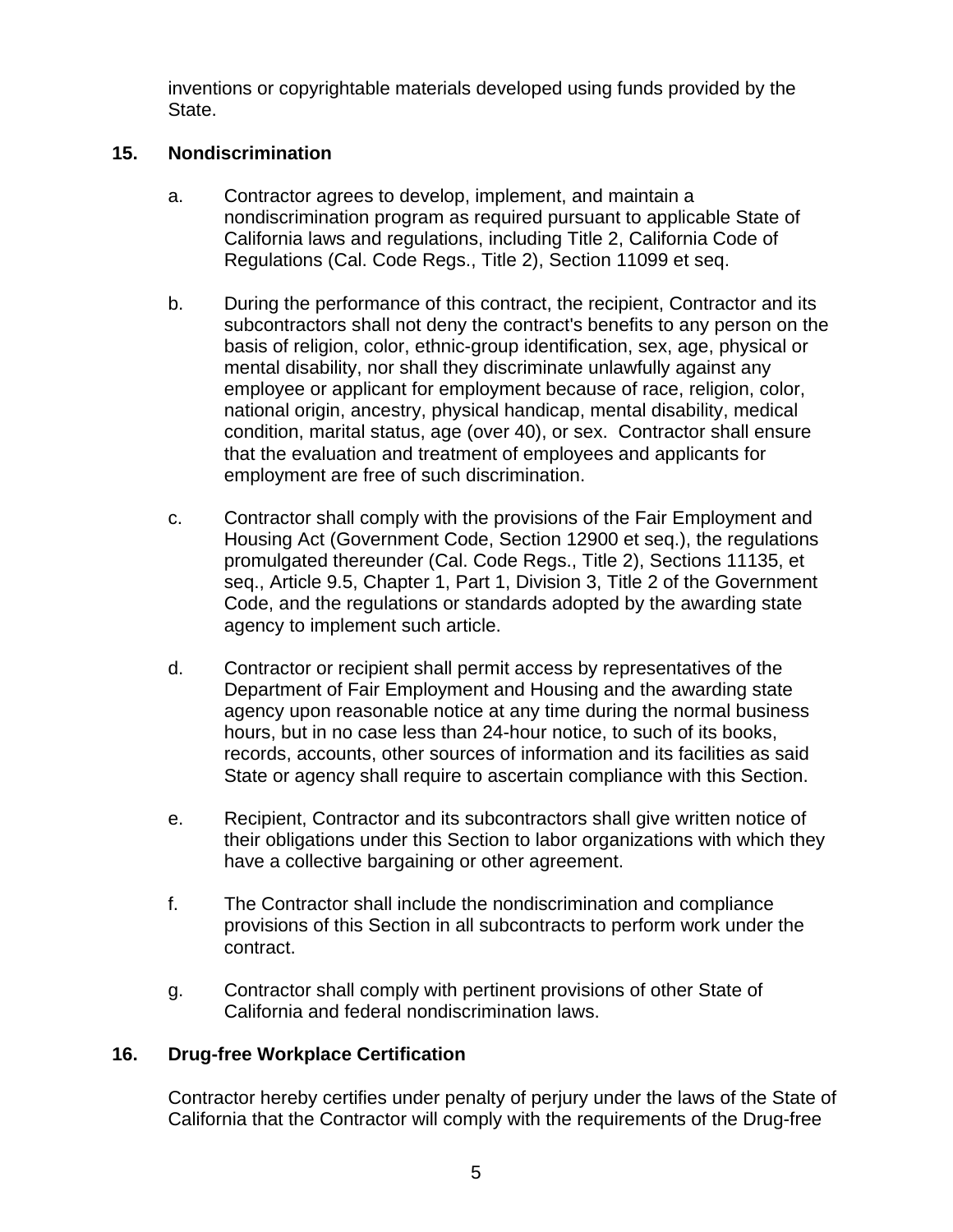inventions or copyrightable materials developed using funds provided by the State.

#### **15. Nondiscrimination**

- a. Contractor agrees to develop, implement, and maintain a nondiscrimination program as required pursuant to applicable State of California laws and regulations, including Title 2, California Code of Regulations (Cal. Code Regs., Title 2), Section 11099 et seq.
- b. During the performance of this contract, the recipient, Contractor and its subcontractors shall not deny the contract's benefits to any person on the basis of religion, color, ethnic-group identification, sex, age, physical or mental disability, nor shall they discriminate unlawfully against any employee or applicant for employment because of race, religion, color, national origin, ancestry, physical handicap, mental disability, medical condition, marital status, age (over 40), or sex. Contractor shall ensure that the evaluation and treatment of employees and applicants for employment are free of such discrimination.
- c. Contractor shall comply with the provisions of the Fair Employment and Housing Act (Government Code, Section 12900 et seq.), the regulations promulgated thereunder (Cal. Code Regs., Title 2), Sections 11135, et seq., Article 9.5, Chapter 1, Part 1, Division 3, Title 2 of the Government Code, and the regulations or standards adopted by the awarding state agency to implement such article.
- d. Contractor or recipient shall permit access by representatives of the Department of Fair Employment and Housing and the awarding state agency upon reasonable notice at any time during the normal business hours, but in no case less than 24-hour notice, to such of its books, records, accounts, other sources of information and its facilities as said State or agency shall require to ascertain compliance with this Section.
- e. Recipient, Contractor and its subcontractors shall give written notice of their obligations under this Section to labor organizations with which they have a collective bargaining or other agreement.
- f. The Contractor shall include the nondiscrimination and compliance provisions of this Section in all subcontracts to perform work under the contract.
- g. Contractor shall comply with pertinent provisions of other State of California and federal nondiscrimination laws.

### **16. Drug-free Workplace Certification**

Contractor hereby certifies under penalty of perjury under the laws of the State of California that the Contractor will comply with the requirements of the Drug-free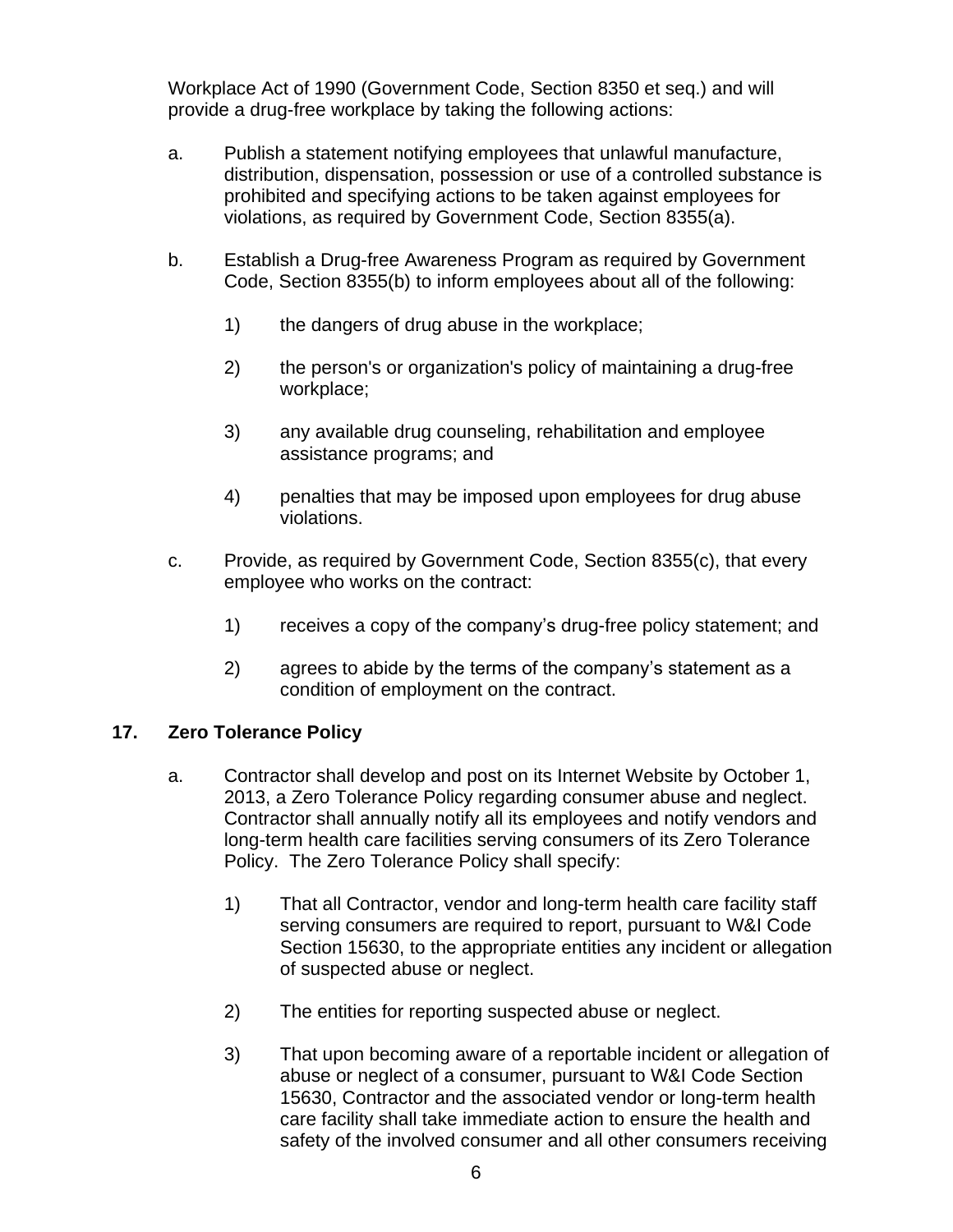Workplace Act of 1990 (Government Code, Section 8350 et seq.) and will provide a drug-free workplace by taking the following actions:

- a. Publish a statement notifying employees that unlawful manufacture, distribution, dispensation, possession or use of a controlled substance is prohibited and specifying actions to be taken against employees for violations, as required by Government Code, Section 8355(a).
- b. Establish a Drug-free Awareness Program as required by Government Code, Section 8355(b) to inform employees about all of the following:
	- 1) the dangers of drug abuse in the workplace;
	- 2) the person's or organization's policy of maintaining a drug-free workplace;
	- 3) any available drug counseling, rehabilitation and employee assistance programs; and
	- 4) penalties that may be imposed upon employees for drug abuse violations.
- c. Provide, as required by Government Code, Section 8355(c), that every employee who works on the contract:
	- 1) receives a copy of the company's drug-free policy statement; and
	- 2) agrees to abide by the terms of the company's statement as a condition of employment on the contract.

#### **17. Zero Tolerance Policy**

- a. Contractor shall develop and post on its Internet Website by October 1, 2013, a Zero Tolerance Policy regarding consumer abuse and neglect. Contractor shall annually notify all its employees and notify vendors and long-term health care facilities serving consumers of its Zero Tolerance Policy. The Zero Tolerance Policy shall specify:
	- 1) That all Contractor, vendor and long-term health care facility staff serving consumers are required to report, pursuant to W&I Code Section 15630, to the appropriate entities any incident or allegation of suspected abuse or neglect.
	- 2) The entities for reporting suspected abuse or neglect.
	- 3) That upon becoming aware of a reportable incident or allegation of abuse or neglect of a consumer, pursuant to W&I Code Section 15630, Contractor and the associated vendor or long-term health care facility shall take immediate action to ensure the health and safety of the involved consumer and all other consumers receiving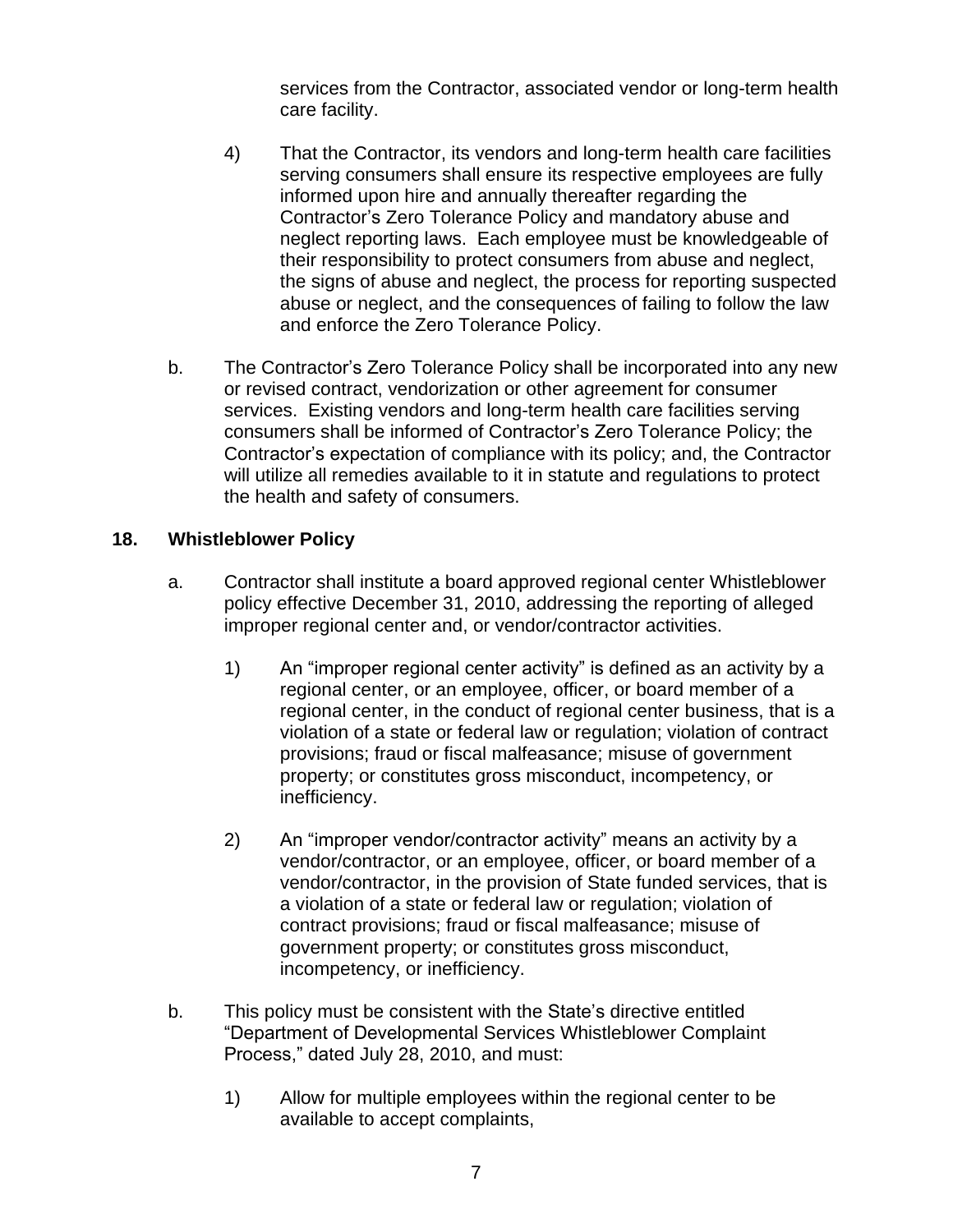services from the Contractor, associated vendor or long-term health care facility.

- 4) That the Contractor, its vendors and long-term health care facilities serving consumers shall ensure its respective employees are fully informed upon hire and annually thereafter regarding the Contractor's Zero Tolerance Policy and mandatory abuse and neglect reporting laws. Each employee must be knowledgeable of their responsibility to protect consumers from abuse and neglect, the signs of abuse and neglect, the process for reporting suspected abuse or neglect, and the consequences of failing to follow the law and enforce the Zero Tolerance Policy.
- b. The Contractor's Zero Tolerance Policy shall be incorporated into any new or revised contract, vendorization or other agreement for consumer services. Existing vendors and long-term health care facilities serving consumers shall be informed of Contractor's Zero Tolerance Policy; the Contractor's expectation of compliance with its policy; and, the Contractor will utilize all remedies available to it in statute and regulations to protect the health and safety of consumers.

### **18. Whistleblower Policy**

- a. Contractor shall institute a board approved regional center Whistleblower policy effective December 31, 2010, addressing the reporting of alleged improper regional center and, or vendor/contractor activities.
	- 1) An "improper regional center activity" is defined as an activity by a regional center, or an employee, officer, or board member of a regional center, in the conduct of regional center business, that is a violation of a state or federal law or regulation; violation of contract provisions; fraud or fiscal malfeasance; misuse of government property; or constitutes gross misconduct, incompetency, or inefficiency.
	- 2) An "improper vendor/contractor activity" means an activity by a vendor/contractor, or an employee, officer, or board member of a vendor/contractor, in the provision of State funded services, that is a violation of a state or federal law or regulation; violation of contract provisions; fraud or fiscal malfeasance; misuse of government property; or constitutes gross misconduct, incompetency, or inefficiency.
- b. This policy must be consistent with the State's directive entitled "Department of Developmental Services Whistleblower Complaint Process," dated July 28, 2010, and must:
	- 1) Allow for multiple employees within the regional center to be available to accept complaints,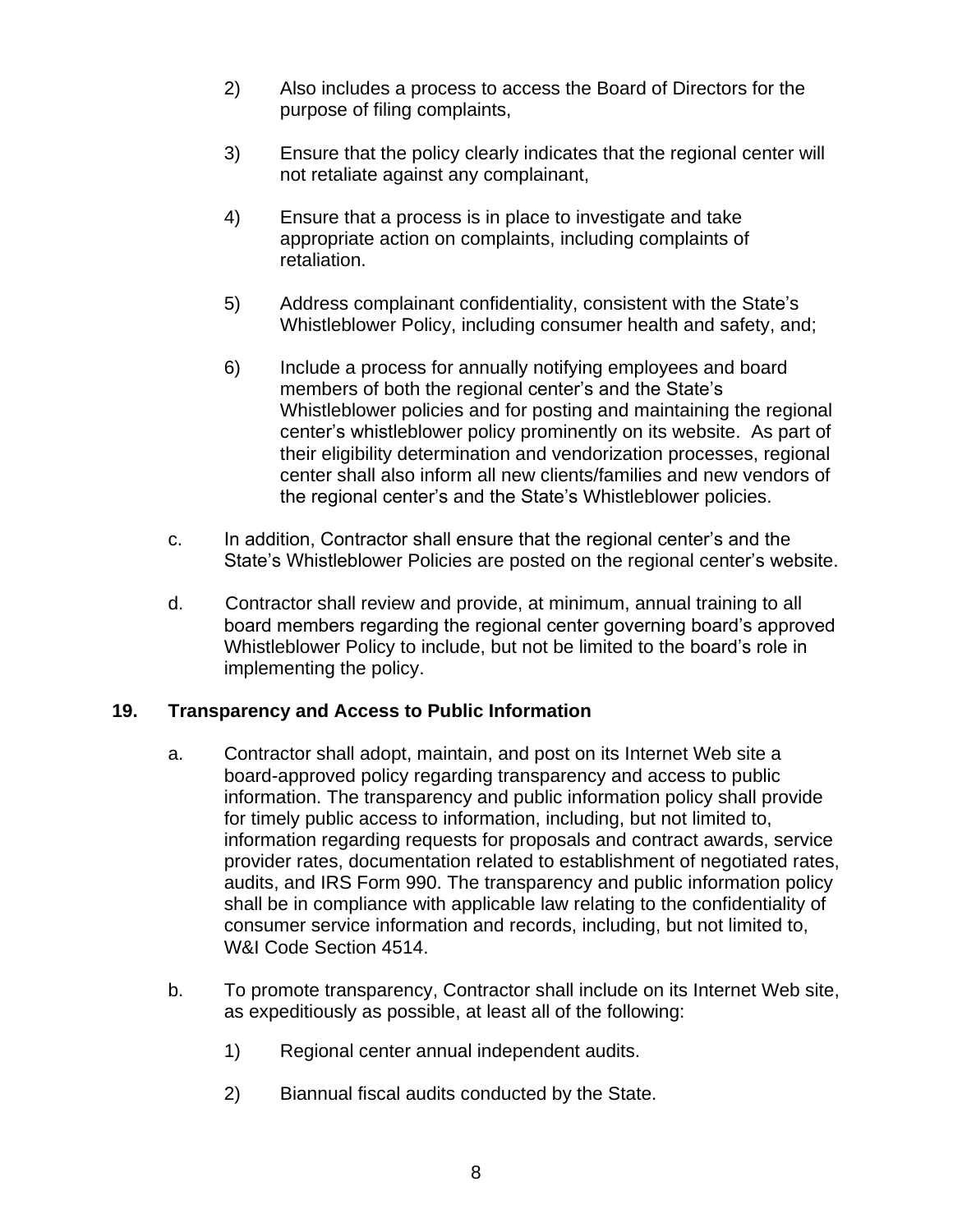- 2) Also includes a process to access the Board of Directors for the purpose of filing complaints,
- 3) Ensure that the policy clearly indicates that the regional center will not retaliate against any complainant,
- 4) Ensure that a process is in place to investigate and take appropriate action on complaints, including complaints of retaliation.
- 5) Address complainant confidentiality, consistent with the State's Whistleblower Policy, including consumer health and safety, and;
- 6) Include a process for annually notifying employees and board members of both the regional center's and the State's Whistleblower policies and for posting and maintaining the regional center's whistleblower policy prominently on its website. As part of their eligibility determination and vendorization processes, regional center shall also inform all new clients/families and new vendors of the regional center's and the State's Whistleblower policies.
- c. In addition, Contractor shall ensure that the regional center's and the State's Whistleblower Policies are posted on the regional center's website.
- d. Contractor shall review and provide, at minimum, annual training to all board members regarding the regional center governing board's approved Whistleblower Policy to include, but not be limited to the board's role in implementing the policy.

### **19. Transparency and Access to Public Information**

- a. Contractor shall adopt, maintain, and post on its Internet Web site a board-approved policy regarding transparency and access to public information. The transparency and public information policy shall provide for timely public access to information, including, but not limited to, information regarding requests for proposals and contract awards, service provider rates, documentation related to establishment of negotiated rates, audits, and IRS Form 990. The transparency and public information policy shall be in compliance with applicable law relating to the confidentiality of consumer service information and records, including, but not limited to, W&I Code Section 4514.
- b. To promote transparency, Contractor shall include on its Internet Web site, as expeditiously as possible, at least all of the following:
	- 1) Regional center annual independent audits.
	- 2) Biannual fiscal audits conducted by the State.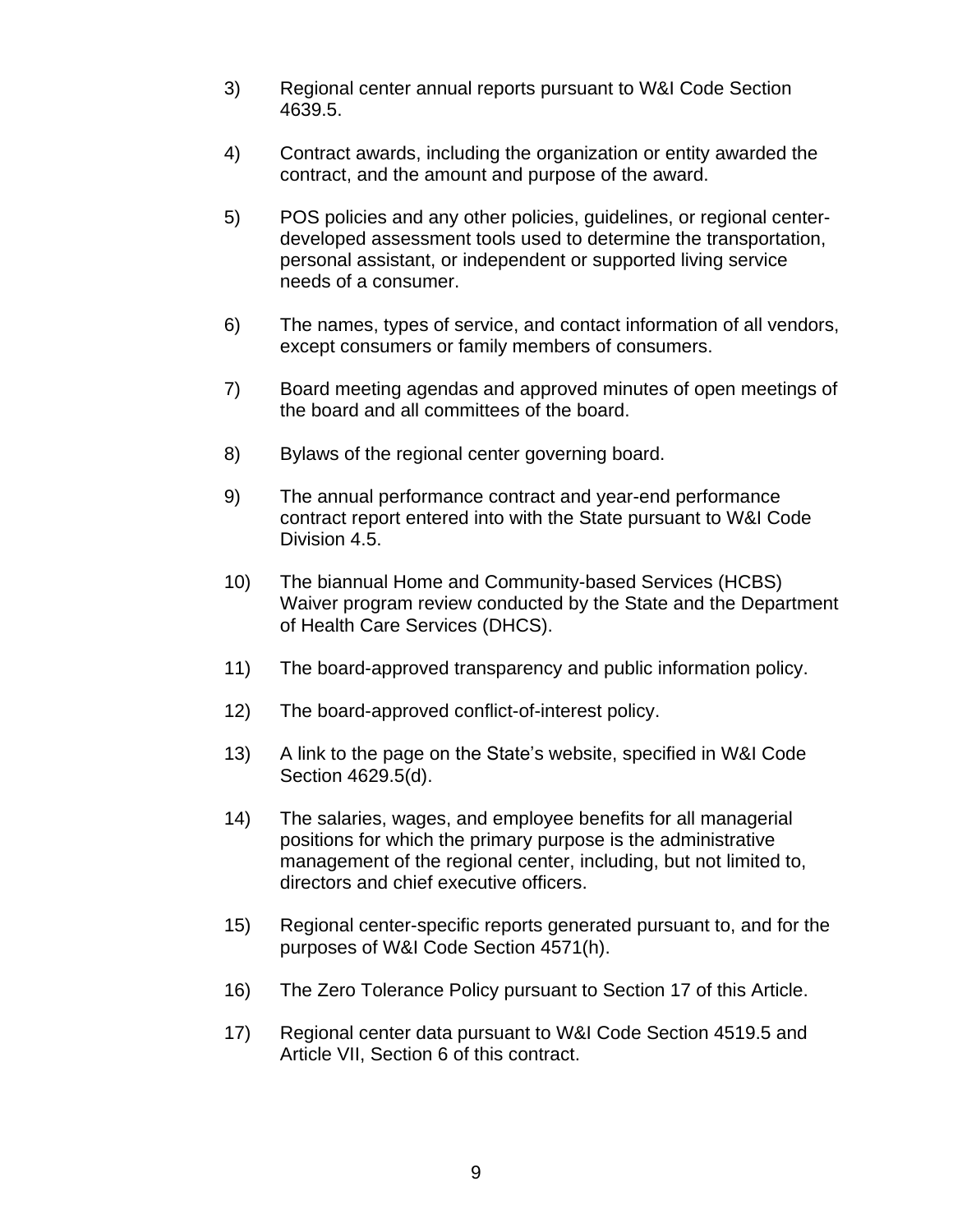- 3) Regional center annual reports pursuant to W&I Code Section 4639.5.
- 4) Contract awards, including the organization or entity awarded the contract, and the amount and purpose of the award.
- 5) POS policies and any other policies, guidelines, or regional centerdeveloped assessment tools used to determine the transportation, personal assistant, or independent or supported living service needs of a consumer.
- 6) The names, types of service, and contact information of all vendors, except consumers or family members of consumers.
- 7) Board meeting agendas and approved minutes of open meetings of the board and all committees of the board.
- 8) Bylaws of the regional center governing board.
- 9) The annual performance contract and year-end performance contract report entered into with the State pursuant to W&I Code Division 4.5.
- 10) The biannual Home and Community-based Services (HCBS) Waiver program review conducted by the State and the Department of Health Care Services (DHCS).
- 11) The board-approved transparency and public information policy.
- 12) The board-approved conflict-of-interest policy.
- 13) A link to the page on the State's website, specified in W&I Code Section 4629.5(d).
- 14) The salaries, wages, and employee benefits for all managerial positions for which the primary purpose is the administrative management of the regional center, including, but not limited to, directors and chief executive officers.
- 15) Regional center-specific reports generated pursuant to, and for the purposes of W&I Code Section 4571(h).
- 16) The Zero Tolerance Policy pursuant to Section 17 of this Article.
- 17) Regional center data pursuant to W&I Code Section 4519.5 and Article VII, Section 6 of this contract.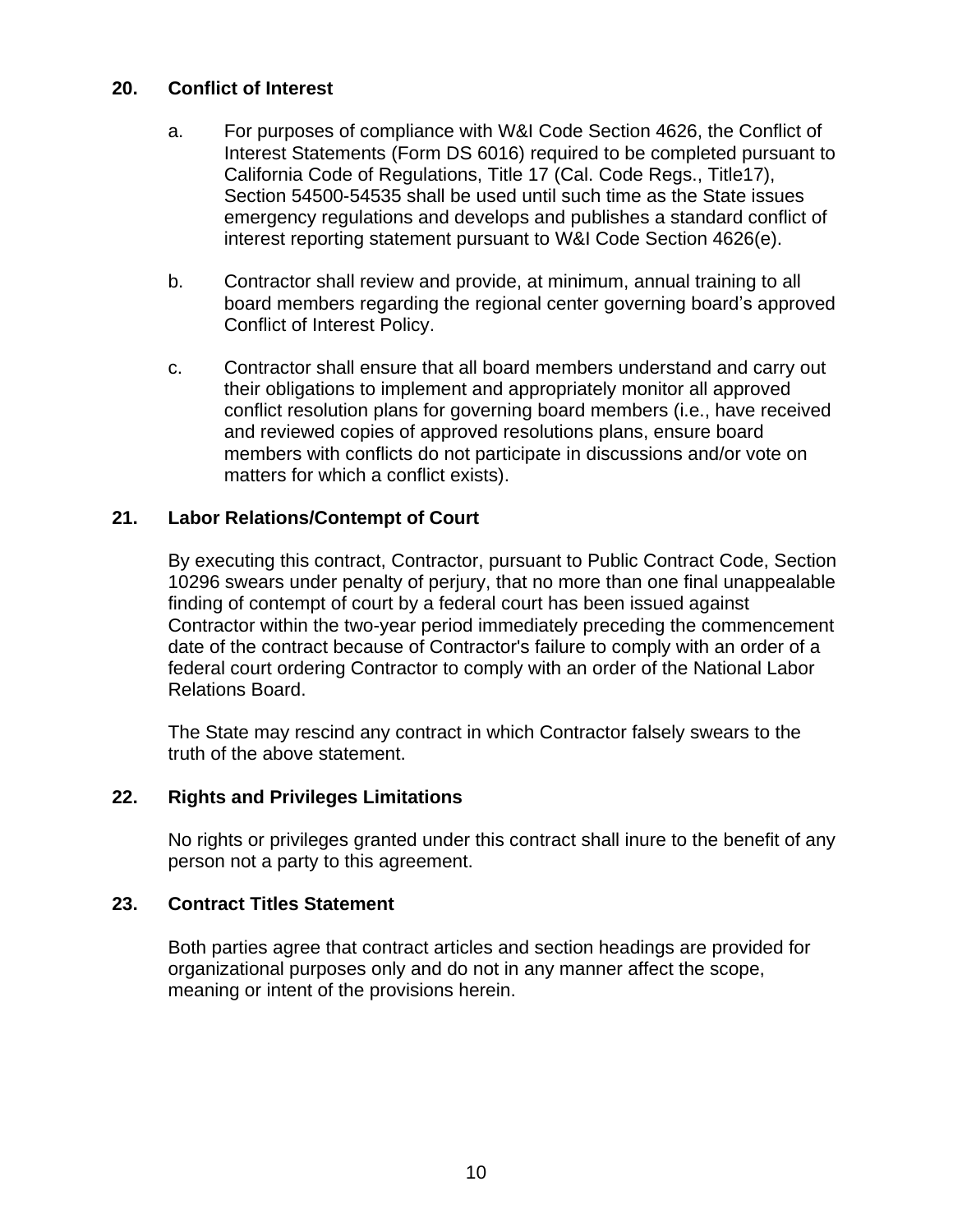#### **20. Conflict of Interest**

- a. For purposes of compliance with W&I Code Section 4626, the Conflict of Interest Statements (Form DS 6016) required to be completed pursuant to California Code of Regulations, Title 17 (Cal. Code Regs., Title17), Section 54500-54535 shall be used until such time as the State issues emergency regulations and develops and publishes a standard conflict of interest reporting statement pursuant to W&I Code Section 4626(e).
- b. Contractor shall review and provide, at minimum, annual training to all board members regarding the regional center governing board's approved Conflict of Interest Policy.
- c. Contractor shall ensure that all board members understand and carry out their obligations to implement and appropriately monitor all approved conflict resolution plans for governing board members (i.e., have received and reviewed copies of approved resolutions plans, ensure board members with conflicts do not participate in discussions and/or vote on matters for which a conflict exists).

#### **21. Labor Relations/Contempt of Court**

By executing this contract, Contractor, pursuant to Public Contract Code, Section 10296 swears under penalty of perjury, that no more than one final unappealable finding of contempt of court by a federal court has been issued against Contractor within the two-year period immediately preceding the commencement date of the contract because of Contractor's failure to comply with an order of a federal court ordering Contractor to comply with an order of the National Labor Relations Board.

The State may rescind any contract in which Contractor falsely swears to the truth of the above statement.

#### **22. Rights and Privileges Limitations**

No rights or privileges granted under this contract shall inure to the benefit of any person not a party to this agreement.

#### **23. Contract Titles Statement**

Both parties agree that contract articles and section headings are provided for organizational purposes only and do not in any manner affect the scope, meaning or intent of the provisions herein.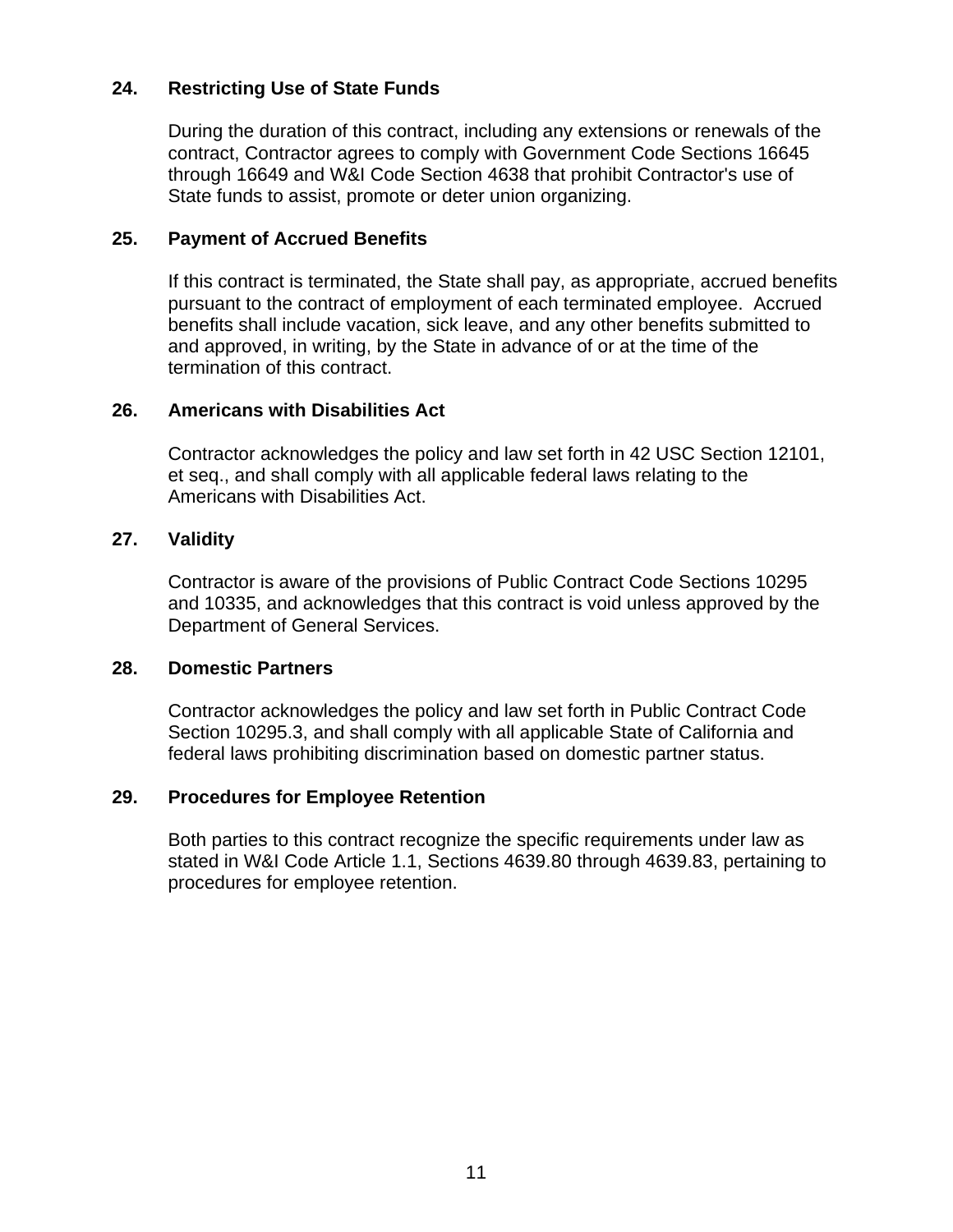#### **24. Restricting Use of State Funds**

During the duration of this contract, including any extensions or renewals of the contract, Contractor agrees to comply with Government Code Sections 16645 through 16649 and W&I Code Section 4638 that prohibit Contractor's use of State funds to assist, promote or deter union organizing.

#### **25. Payment of Accrued Benefits**

If this contract is terminated, the State shall pay, as appropriate, accrued benefits pursuant to the contract of employment of each terminated employee. Accrued benefits shall include vacation, sick leave, and any other benefits submitted to and approved, in writing, by the State in advance of or at the time of the termination of this contract.

#### **26. Americans with Disabilities Act**

Contractor acknowledges the policy and law set forth in 42 USC Section 12101, et seq., and shall comply with all applicable federal laws relating to the Americans with Disabilities Act.

#### **27. Validity**

Contractor is aware of the provisions of Public Contract Code Sections 10295 and 10335, and acknowledges that this contract is void unless approved by the Department of General Services.

#### **28. Domestic Partners**

Contractor acknowledges the policy and law set forth in Public Contract Code Section 10295.3, and shall comply with all applicable State of California and federal laws prohibiting discrimination based on domestic partner status.

#### **29. Procedures for Employee Retention**

Both parties to this contract recognize the specific requirements under law as stated in W&I Code Article 1.1, Sections 4639.80 through 4639.83, pertaining to procedures for employee retention.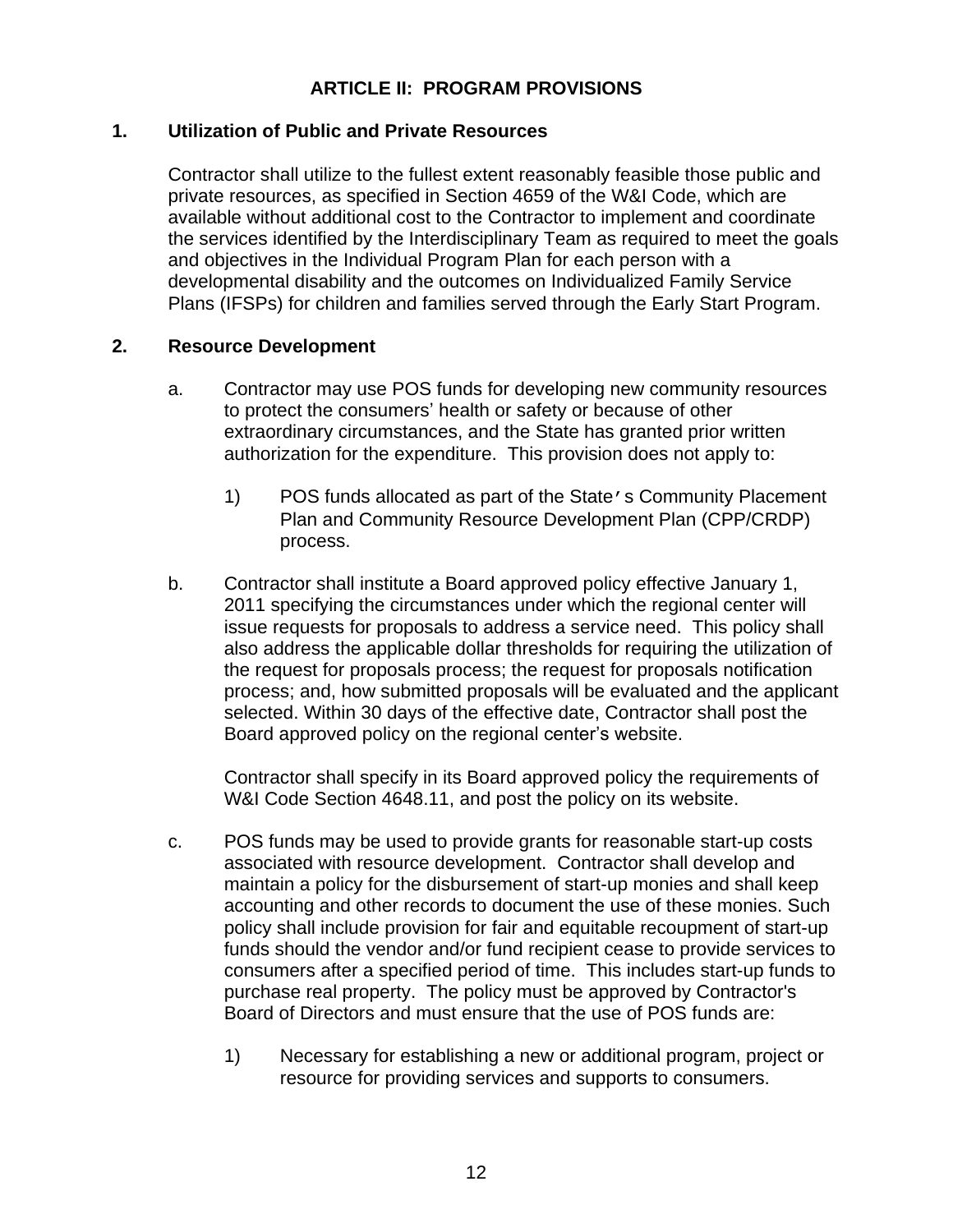## **ARTICLE II: PROGRAM PROVISIONS**

#### **1. Utilization of Public and Private Resources**

Contractor shall utilize to the fullest extent reasonably feasible those public and private resources, as specified in Section 4659 of the W&I Code, which are available without additional cost to the Contractor to implement and coordinate the services identified by the Interdisciplinary Team as required to meet the goals and objectives in the Individual Program Plan for each person with a developmental disability and the outcomes on Individualized Family Service Plans (IFSPs) for children and families served through the Early Start Program.

#### **2. Resource Development**

- a. Contractor may use POS funds for developing new community resources to protect the consumers' health or safety or because of other extraordinary circumstances, and the State has granted prior written authorization for the expenditure. This provision does not apply to:
	- 1) POS funds allocated as part of the State's Community Placement Plan and Community Resource Development Plan (CPP/CRDP) process.
- b. Contractor shall institute a Board approved policy effective January 1, 2011 specifying the circumstances under which the regional center will issue requests for proposals to address a service need. This policy shall also address the applicable dollar thresholds for requiring the utilization of the request for proposals process; the request for proposals notification process; and, how submitted proposals will be evaluated and the applicant selected. Within 30 days of the effective date, Contractor shall post the Board approved policy on the regional center's website.

Contractor shall specify in its Board approved policy the requirements of W&I Code Section 4648.11, and post the policy on its website.

- c. POS funds may be used to provide grants for reasonable start-up costs associated with resource development. Contractor shall develop and maintain a policy for the disbursement of start-up monies and shall keep accounting and other records to document the use of these monies. Such policy shall include provision for fair and equitable recoupment of start-up funds should the vendor and/or fund recipient cease to provide services to consumers after a specified period of time. This includes start-up funds to purchase real property. The policy must be approved by Contractor's Board of Directors and must ensure that the use of POS funds are:
	- 1) Necessary for establishing a new or additional program, project or resource for providing services and supports to consumers.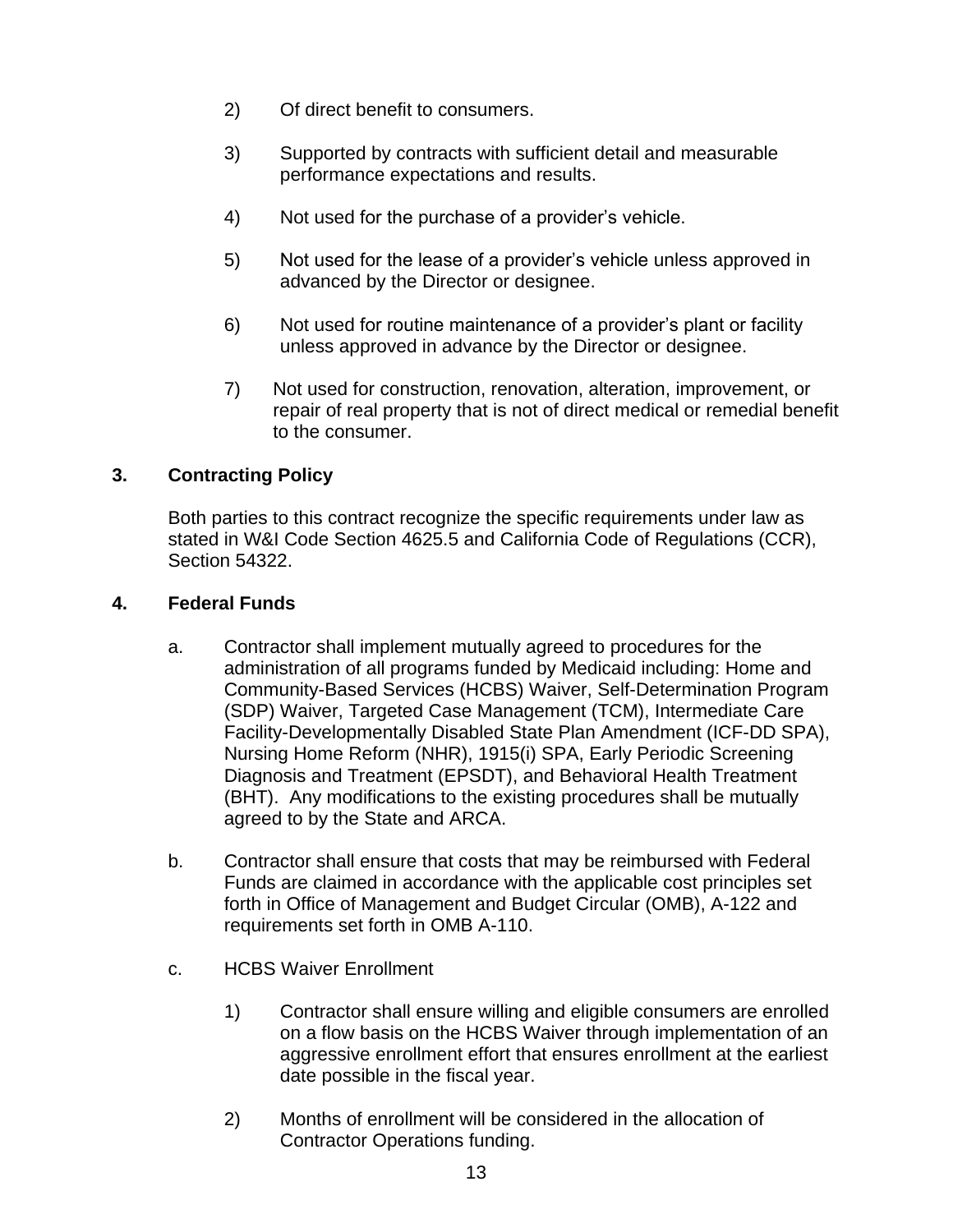- 2) Of direct benefit to consumers.
- 3) Supported by contracts with sufficient detail and measurable performance expectations and results.
- 4) Not used for the purchase of a provider's vehicle.
- 5) Not used for the lease of a provider's vehicle unless approved in advanced by the Director or designee.
- 6) Not used for routine maintenance of a provider's plant or facility unless approved in advance by the Director or designee.
- 7) Not used for construction, renovation, alteration, improvement, or repair of real property that is not of direct medical or remedial benefit to the consumer.

### **3. Contracting Policy**

Both parties to this contract recognize the specific requirements under law as stated in W&I Code Section 4625.5 and California Code of Regulations (CCR), Section 54322.

#### **4. Federal Funds**

- a. Contractor shall implement mutually agreed to procedures for the administration of all programs funded by Medicaid including: Home and Community-Based Services (HCBS) Waiver, Self-Determination Program (SDP) Waiver, Targeted Case Management (TCM), Intermediate Care Facility-Developmentally Disabled State Plan Amendment (ICF-DD SPA), Nursing Home Reform (NHR), 1915(i) SPA, Early Periodic Screening Diagnosis and Treatment (EPSDT), and Behavioral Health Treatment (BHT). Any modifications to the existing procedures shall be mutually agreed to by the State and ARCA.
- b. Contractor shall ensure that costs that may be reimbursed with Federal Funds are claimed in accordance with the applicable cost principles set forth in Office of Management and Budget Circular (OMB), A-122 and requirements set forth in OMB A-110.
- c. HCBS Waiver Enrollment
	- 1) Contractor shall ensure willing and eligible consumers are enrolled on a flow basis on the HCBS Waiver through implementation of an aggressive enrollment effort that ensures enrollment at the earliest date possible in the fiscal year.
	- 2) Months of enrollment will be considered in the allocation of Contractor Operations funding.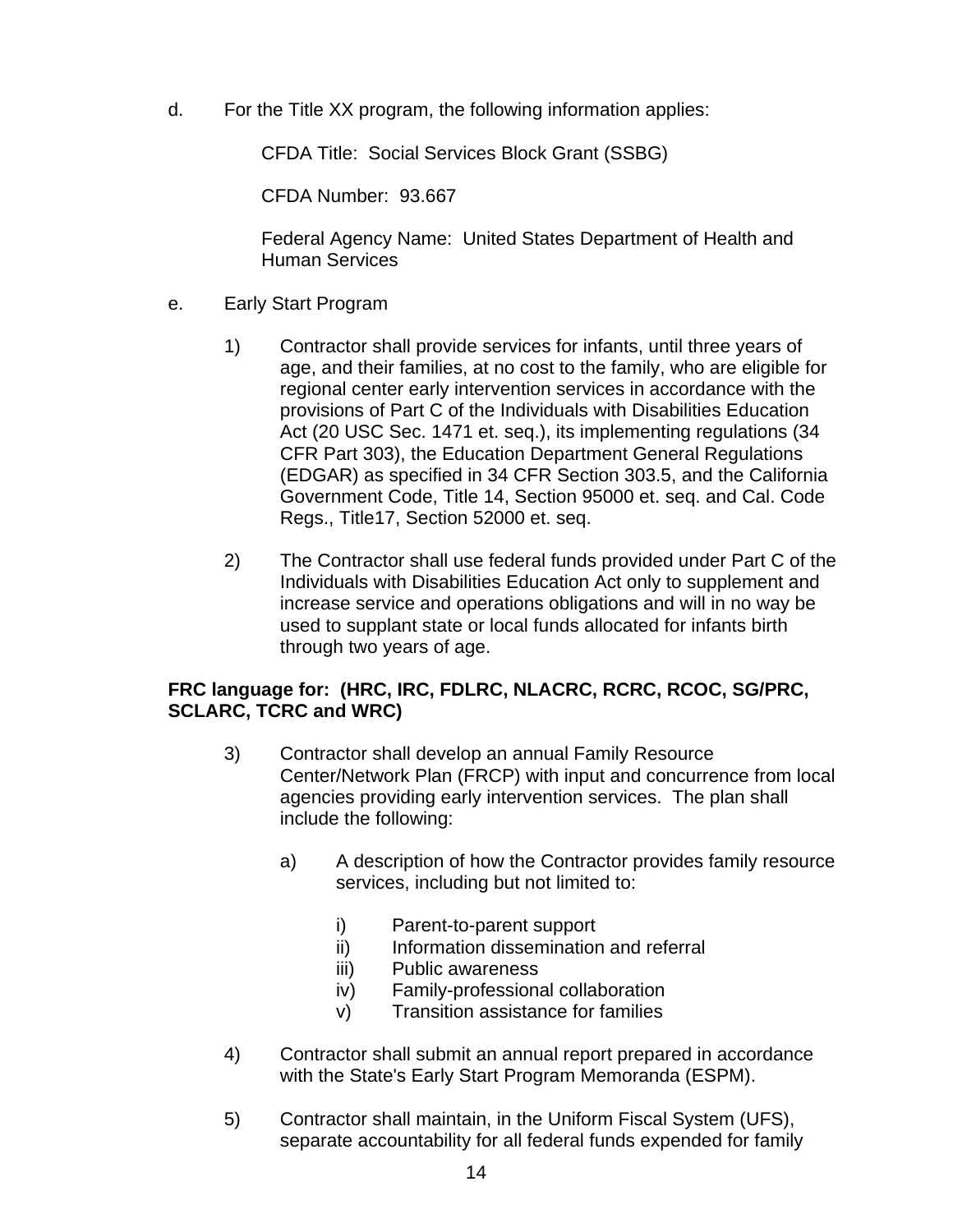d. For the Title XX program, the following information applies:

CFDA Title: Social Services Block Grant (SSBG)

CFDA Number: 93.667

Federal Agency Name: United States Department of Health and Human Services

- e. Early Start Program
	- 1) Contractor shall provide services for infants, until three years of age, and their families, at no cost to the family, who are eligible for regional center early intervention services in accordance with the provisions of Part C of the Individuals with Disabilities Education Act (20 USC Sec. 1471 et. seq.), its implementing regulations (34 CFR Part 303), the Education Department General Regulations (EDGAR) as specified in 34 CFR Section 303.5, and the California Government Code, Title 14, Section 95000 et. seq. and Cal. Code Regs., Title17, Section 52000 et. seq.
	- 2) The Contractor shall use federal funds provided under Part C of the Individuals with Disabilities Education Act only to supplement and increase service and operations obligations and will in no way be used to supplant state or local funds allocated for infants birth through two years of age.

#### **FRC language for: (HRC, IRC, FDLRC, NLACRC, RCRC, RCOC, SG/PRC, SCLARC, TCRC and WRC)**

- 3) Contractor shall develop an annual Family Resource Center/Network Plan (FRCP) with input and concurrence from local agencies providing early intervention services. The plan shall include the following:
	- a) A description of how the Contractor provides family resource services, including but not limited to:
		- i) Parent-to-parent support
		- ii) Information dissemination and referral
		- iii) Public awareness
		- iv) Family-professional collaboration
		- v) Transition assistance for families
- 4) Contractor shall submit an annual report prepared in accordance with the State's Early Start Program Memoranda (ESPM).
- 5) Contractor shall maintain, in the Uniform Fiscal System (UFS), separate accountability for all federal funds expended for family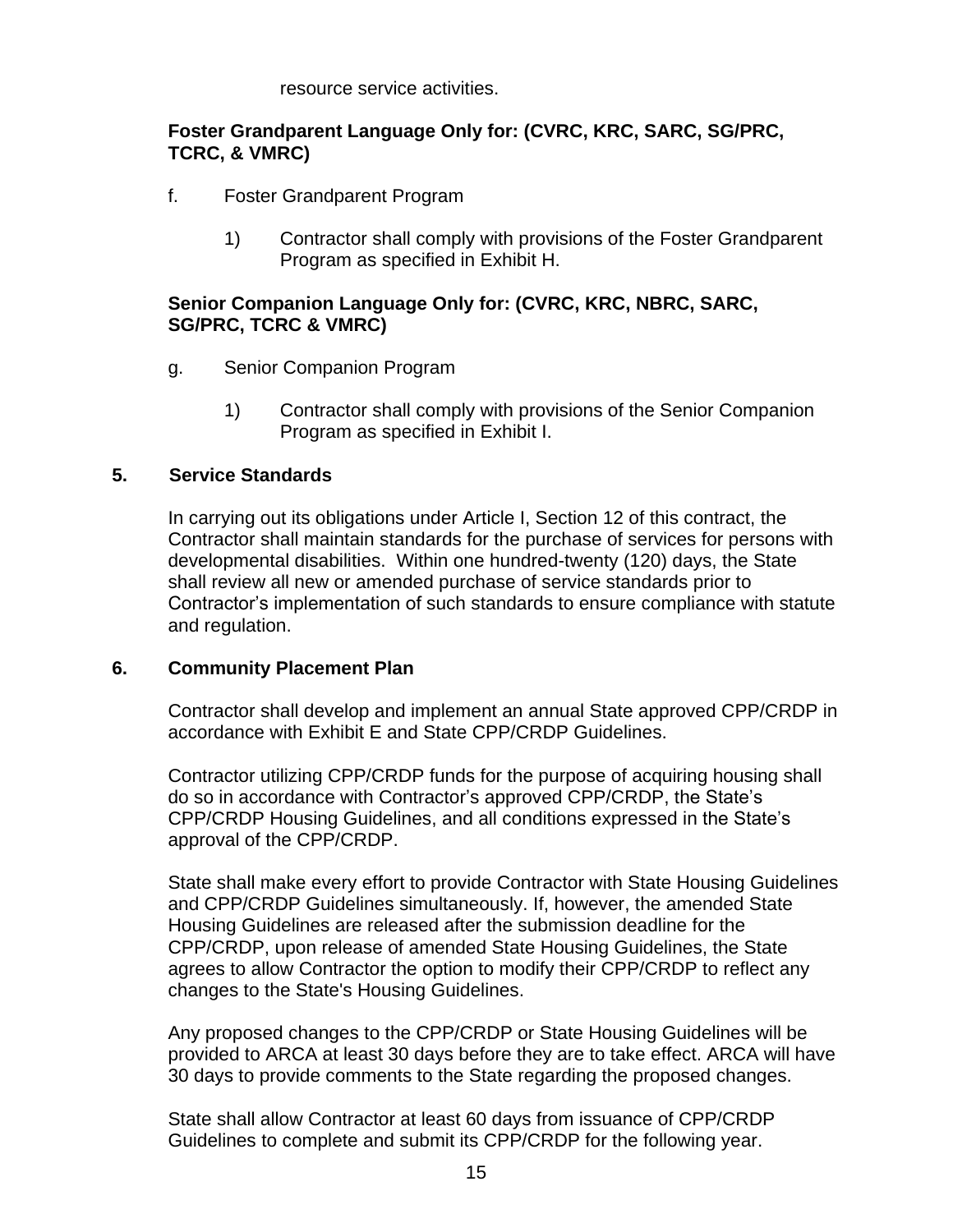resource service activities.

#### **Foster Grandparent Language Only for: (CVRC, KRC, SARC, SG/PRC, TCRC, & VMRC)**

- f. Foster Grandparent Program
	- 1) Contractor shall comply with provisions of the Foster Grandparent Program as specified in Exhibit H.

#### **Senior Companion Language Only for: (CVRC, KRC, NBRC, SARC, SG/PRC, TCRC & VMRC)**

- g. Senior Companion Program
	- 1) Contractor shall comply with provisions of the Senior Companion Program as specified in Exhibit I.

#### **5. Service Standards**

In carrying out its obligations under Article I, Section 12 of this contract, the Contractor shall maintain standards for the purchase of services for persons with developmental disabilities. Within one hundred-twenty (120) days, the State shall review all new or amended purchase of service standards prior to Contractor's implementation of such standards to ensure compliance with statute and regulation.

#### **6. Community Placement Plan**

Contractor shall develop and implement an annual State approved CPP/CRDP in accordance with Exhibit E and State CPP/CRDP Guidelines.

Contractor utilizing CPP/CRDP funds for the purpose of acquiring housing shall do so in accordance with Contractor's approved CPP/CRDP, the State's CPP/CRDP Housing Guidelines, and all conditions expressed in the State's approval of the CPP/CRDP.

State shall make every effort to provide Contractor with State Housing Guidelines and CPP/CRDP Guidelines simultaneously. If, however, the amended State Housing Guidelines are released after the submission deadline for the CPP/CRDP, upon release of amended State Housing Guidelines, the State agrees to allow Contractor the option to modify their CPP/CRDP to reflect any changes to the State's Housing Guidelines.

Any proposed changes to the CPP/CRDP or State Housing Guidelines will be provided to ARCA at least 30 days before they are to take effect. ARCA will have 30 days to provide comments to the State regarding the proposed changes.

State shall allow Contractor at least 60 days from issuance of CPP/CRDP Guidelines to complete and submit its CPP/CRDP for the following year.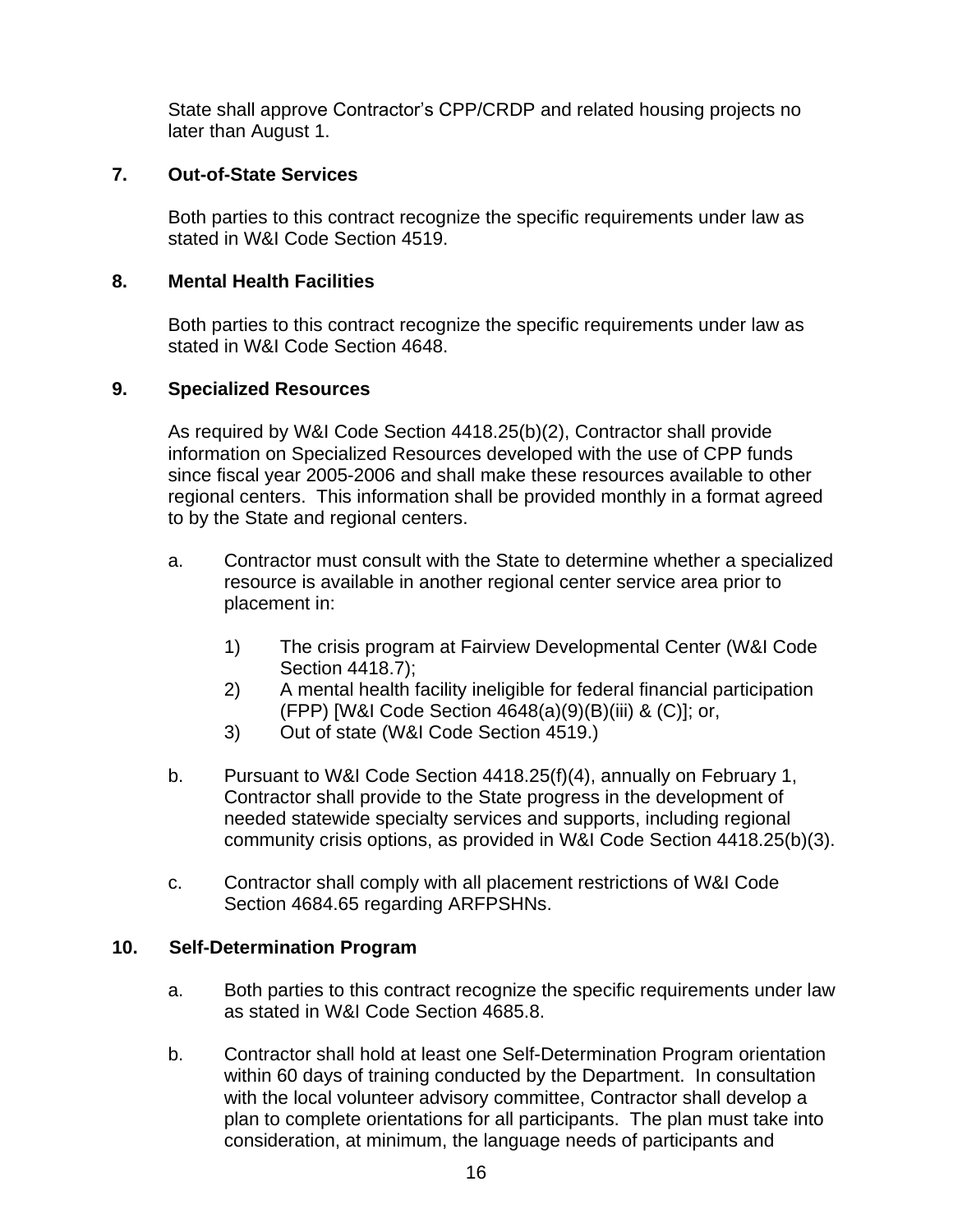State shall approve Contractor's CPP/CRDP and related housing projects no later than August 1.

#### **7. Out-of-State Services**

Both parties to this contract recognize the specific requirements under law as stated in W&I Code Section 4519.

#### **8. Mental Health Facilities**

Both parties to this contract recognize the specific requirements under law as stated in W&I Code Section 4648.

#### **9. Specialized Resources**

As required by W&I Code Section 4418.25(b)(2), Contractor shall provide information on Specialized Resources developed with the use of CPP funds since fiscal year 2005-2006 and shall make these resources available to other regional centers. This information shall be provided monthly in a format agreed to by the State and regional centers.

- a. Contractor must consult with the State to determine whether a specialized resource is available in another regional center service area prior to placement in:
	- 1) The crisis program at Fairview Developmental Center (W&I Code Section 4418.7);
	- 2) A mental health facility ineligible for federal financial participation (FPP) [W&I Code Section 4648(a)(9)(B)(iii) & (C)]; or,
	- 3) Out of state (W&I Code Section 4519.)
- b. Pursuant to W&I Code Section 4418.25(f)(4), annually on February 1, Contractor shall provide to the State progress in the development of needed statewide specialty services and supports, including regional community crisis options, as provided in W&I Code Section 4418.25(b)(3).
- c. Contractor shall comply with all placement restrictions of W&I Code Section 4684.65 regarding ARFPSHNs.

#### **10. Self-Determination Program**

- a. Both parties to this contract recognize the specific requirements under law as stated in W&I Code Section 4685.8.
- b. Contractor shall hold at least one Self-Determination Program orientation within 60 days of training conducted by the Department. In consultation with the local volunteer advisory committee, Contractor shall develop a plan to complete orientations for all participants. The plan must take into consideration, at minimum, the language needs of participants and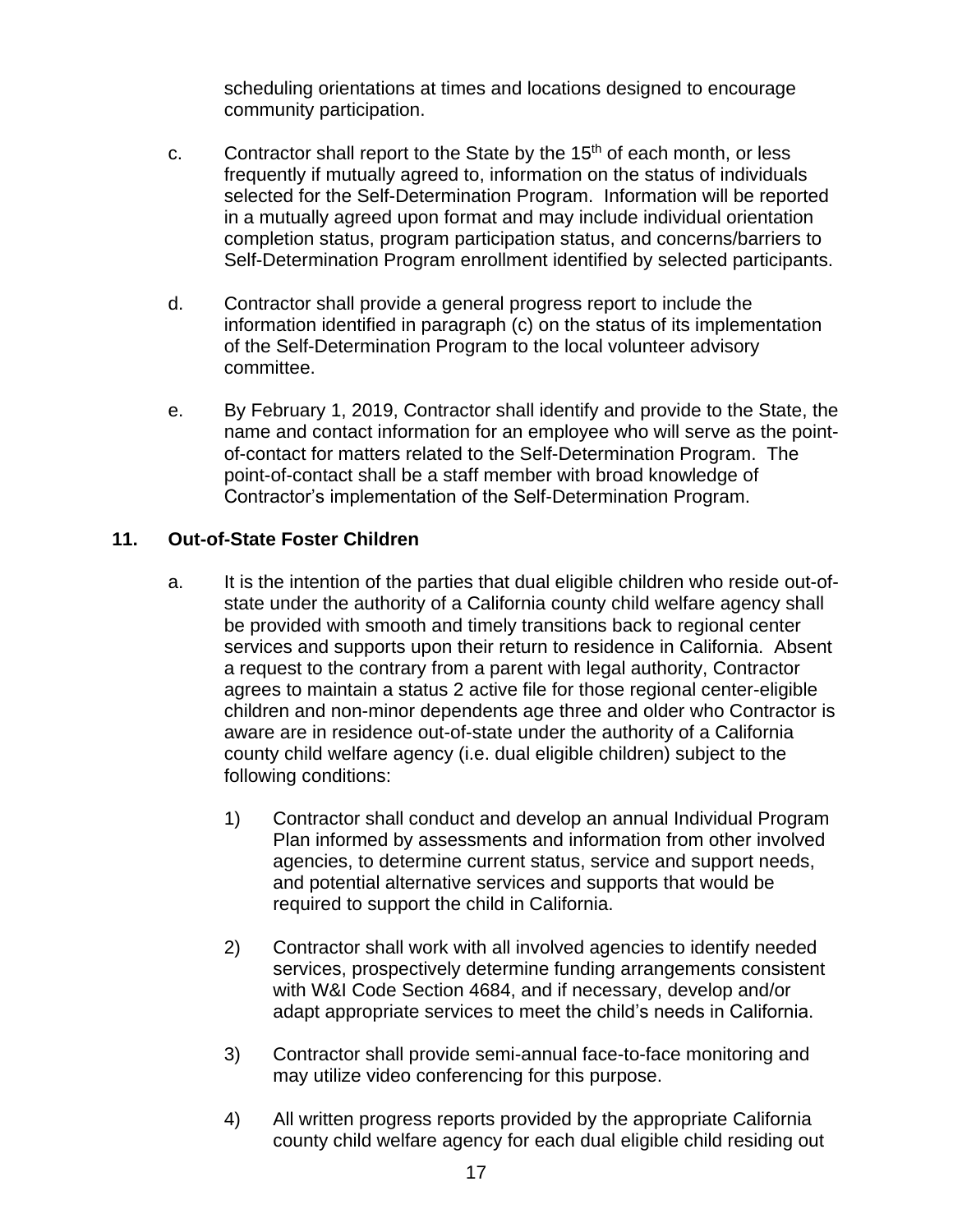scheduling orientations at times and locations designed to encourage community participation.

- c. Contractor shall report to the State by the  $15<sup>th</sup>$  of each month, or less frequently if mutually agreed to, information on the status of individuals selected for the Self-Determination Program. Information will be reported in a mutually agreed upon format and may include individual orientation completion status, program participation status, and concerns/barriers to Self-Determination Program enrollment identified by selected participants.
- d. Contractor shall provide a general progress report to include the information identified in paragraph (c) on the status of its implementation of the Self-Determination Program to the local volunteer advisory committee.
- e. By February 1, 2019, Contractor shall identify and provide to the State, the name and contact information for an employee who will serve as the pointof-contact for matters related to the Self-Determination Program. The point-of-contact shall be a staff member with broad knowledge of Contractor's implementation of the Self-Determination Program.

#### **11. Out-of-State Foster Children**

- a. It is the intention of the parties that dual eligible children who reside out-ofstate under the authority of a California county child welfare agency shall be provided with smooth and timely transitions back to regional center services and supports upon their return to residence in California. Absent a request to the contrary from a parent with legal authority, Contractor agrees to maintain a status 2 active file for those regional center-eligible children and non-minor dependents age three and older who Contractor is aware are in residence out-of-state under the authority of a California county child welfare agency (i.e. dual eligible children) subject to the following conditions:
	- 1) Contractor shall conduct and develop an annual Individual Program Plan informed by assessments and information from other involved agencies, to determine current status, service and support needs, and potential alternative services and supports that would be required to support the child in California.
	- 2) Contractor shall work with all involved agencies to identify needed services, prospectively determine funding arrangements consistent with W&I Code Section 4684, and if necessary, develop and/or adapt appropriate services to meet the child's needs in California.
	- 3) Contractor shall provide semi-annual face-to-face monitoring and may utilize video conferencing for this purpose.
	- 4) All written progress reports provided by the appropriate California county child welfare agency for each dual eligible child residing out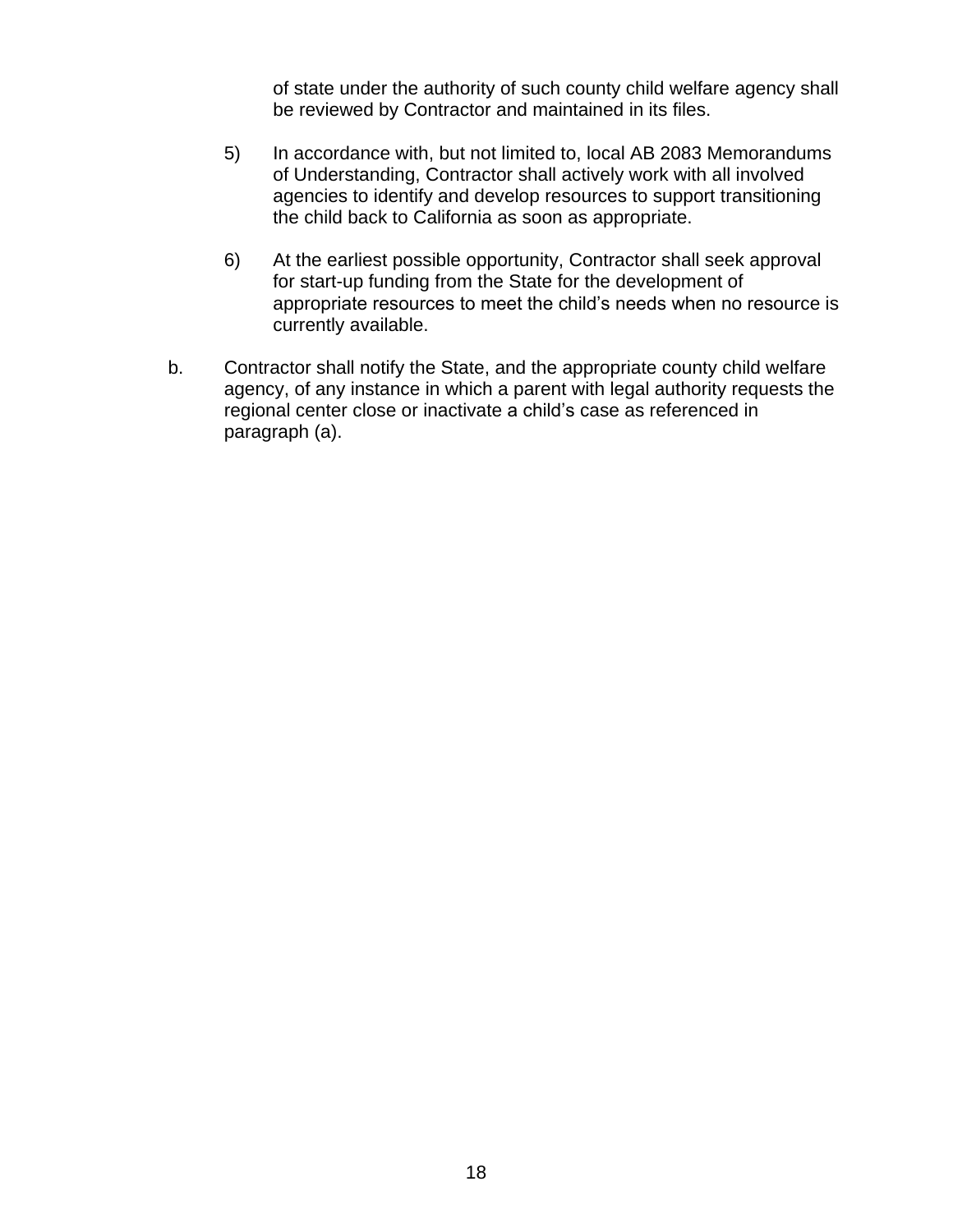of state under the authority of such county child welfare agency shall be reviewed by Contractor and maintained in its files.

- 5) In accordance with, but not limited to, local AB 2083 Memorandums of Understanding, Contractor shall actively work with all involved agencies to identify and develop resources to support transitioning the child back to California as soon as appropriate.
- 6) At the earliest possible opportunity, Contractor shall seek approval for start-up funding from the State for the development of appropriate resources to meet the child's needs when no resource is currently available.
- b. Contractor shall notify the State, and the appropriate county child welfare agency, of any instance in which a parent with legal authority requests the regional center close or inactivate a child's case as referenced in paragraph (a).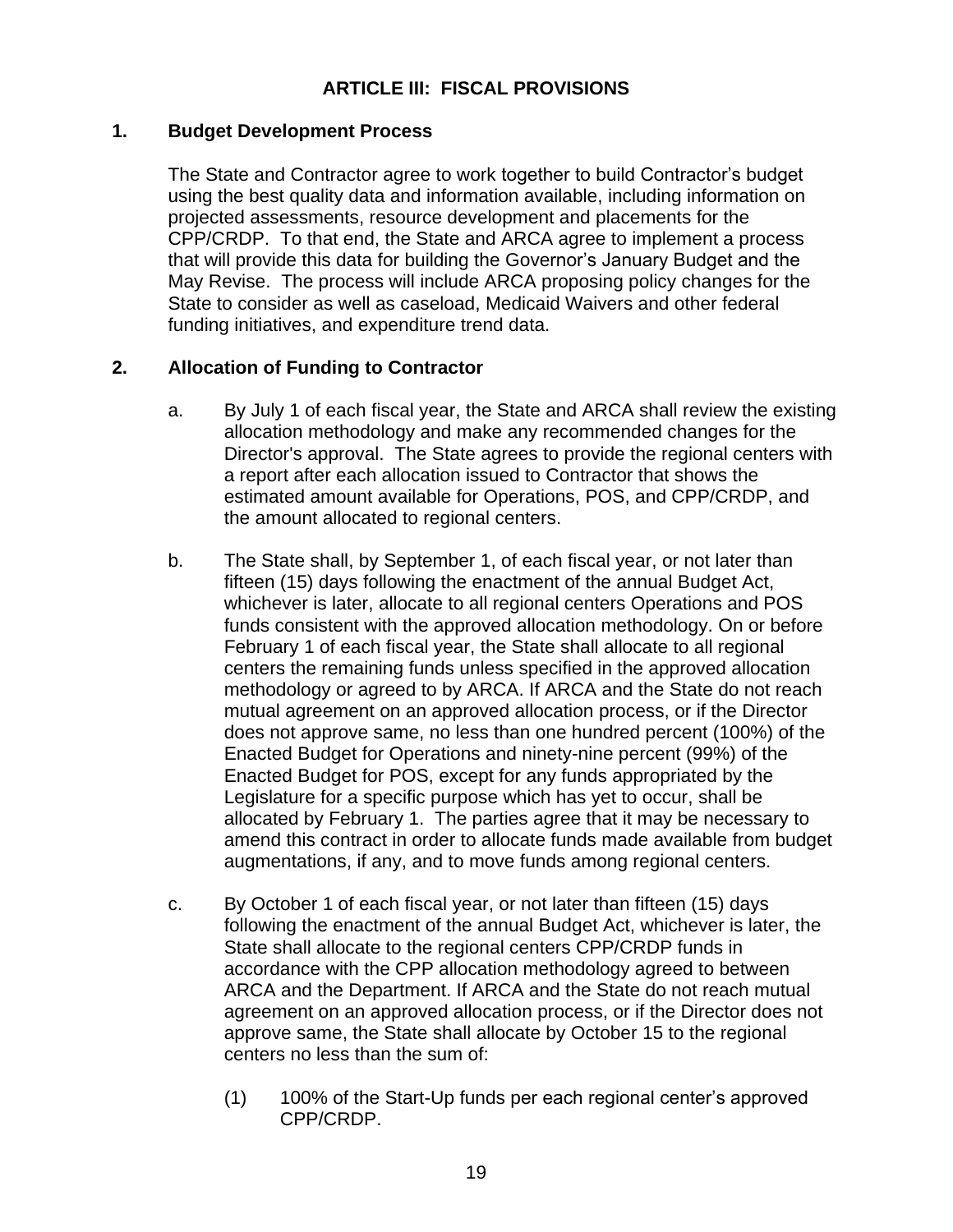### **ARTICLE III: FISCAL PROVISIONS**

#### **1. Budget Development Process**

The State and Contractor agree to work together to build Contractor's budget using the best quality data and information available, including information on projected assessments, resource development and placements for the CPP/CRDP. To that end, the State and ARCA agree to implement a process that will provide this data for building the Governor's January Budget and the May Revise. The process will include ARCA proposing policy changes for the State to consider as well as caseload, Medicaid Waivers and other federal funding initiatives, and expenditure trend data.

#### **2. Allocation of Funding to Contractor**

- a. By July 1 of each fiscal year, the State and ARCA shall review the existing allocation methodology and make any recommended changes for the Director's approval. The State agrees to provide the regional centers with a report after each allocation issued to Contractor that shows the estimated amount available for Operations, POS, and CPP/CRDP, and the amount allocated to regional centers.
- b. The State shall, by September 1, of each fiscal year, or not later than fifteen (15) days following the enactment of the annual Budget Act, whichever is later, allocate to all regional centers Operations and POS funds consistent with the approved allocation methodology. On or before February 1 of each fiscal year, the State shall allocate to all regional centers the remaining funds unless specified in the approved allocation methodology or agreed to by ARCA. If ARCA and the State do not reach mutual agreement on an approved allocation process, or if the Director does not approve same, no less than one hundred percent (100%) of the Enacted Budget for Operations and ninety-nine percent (99%) of the Enacted Budget for POS, except for any funds appropriated by the Legislature for a specific purpose which has yet to occur, shall be allocated by February 1. The parties agree that it may be necessary to amend this contract in order to allocate funds made available from budget augmentations, if any, and to move funds among regional centers.
- c. By October 1 of each fiscal year, or not later than fifteen (15) days following the enactment of the annual Budget Act, whichever is later, the State shall allocate to the regional centers CPP/CRDP funds in accordance with the CPP allocation methodology agreed to between ARCA and the Department. If ARCA and the State do not reach mutual agreement on an approved allocation process, or if the Director does not approve same, the State shall allocate by October 15 to the regional centers no less than the sum of:
	- (1) 100% of the Start-Up funds per each regional center's approved CPP/CRDP.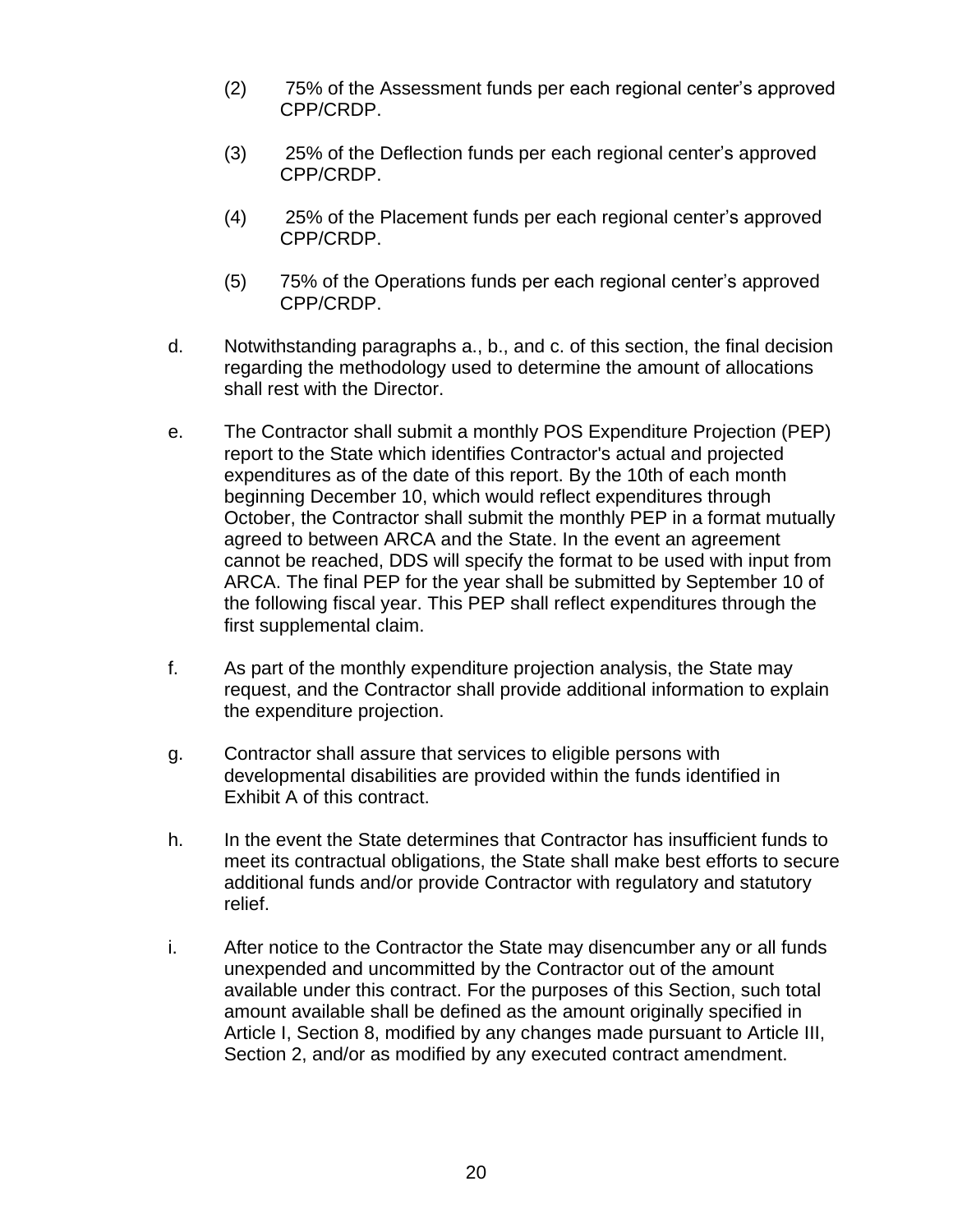- (2) 75% of the Assessment funds per each regional center's approved CPP/CRDP.
- (3) 25% of the Deflection funds per each regional center's approved CPP/CRDP.
- (4) 25% of the Placement funds per each regional center's approved CPP/CRDP.
- (5) 75% of the Operations funds per each regional center's approved CPP/CRDP.
- d. Notwithstanding paragraphs a., b., and c. of this section, the final decision regarding the methodology used to determine the amount of allocations shall rest with the Director.
- e. The Contractor shall submit a monthly POS Expenditure Projection (PEP) report to the State which identifies Contractor's actual and projected expenditures as of the date of this report. By the 10th of each month beginning December 10, which would reflect expenditures through October, the Contractor shall submit the monthly PEP in a format mutually agreed to between ARCA and the State. In the event an agreement cannot be reached, DDS will specify the format to be used with input from ARCA. The final PEP for the year shall be submitted by September 10 of the following fiscal year. This PEP shall reflect expenditures through the first supplemental claim.
- f. As part of the monthly expenditure projection analysis, the State may request, and the Contractor shall provide additional information to explain the expenditure projection.
- g. Contractor shall assure that services to eligible persons with developmental disabilities are provided within the funds identified in Exhibit A of this contract.
- h. In the event the State determines that Contractor has insufficient funds to meet its contractual obligations, the State shall make best efforts to secure additional funds and/or provide Contractor with regulatory and statutory relief.
- i. After notice to the Contractor the State may disencumber any or all funds unexpended and uncommitted by the Contractor out of the amount available under this contract. For the purposes of this Section, such total amount available shall be defined as the amount originally specified in Article I, Section 8, modified by any changes made pursuant to Article III, Section 2, and/or as modified by any executed contract amendment.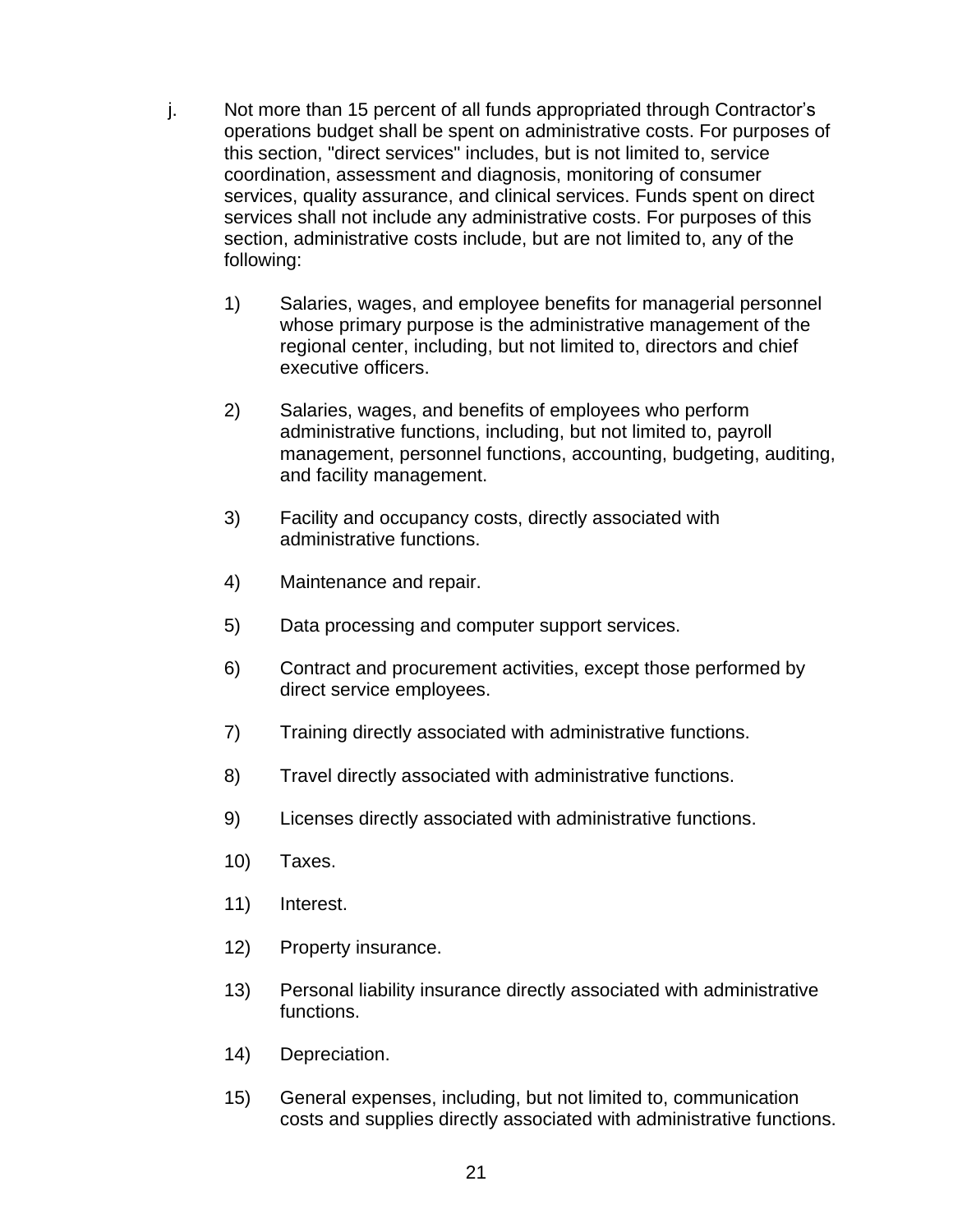- j. Not more than 15 percent of all funds appropriated through Contractor's operations budget shall be spent on administrative costs. For purposes of this section, "direct services" includes, but is not limited to, service coordination, assessment and diagnosis, monitoring of consumer services, quality assurance, and clinical services. Funds spent on direct services shall not include any administrative costs. For purposes of this section, administrative costs include, but are not limited to, any of the following:
	- 1) Salaries, wages, and employee benefits for managerial personnel whose primary purpose is the administrative management of the regional center, including, but not limited to, directors and chief executive officers.
	- 2) Salaries, wages, and benefits of employees who perform administrative functions, including, but not limited to, payroll management, personnel functions, accounting, budgeting, auditing, and facility management.
	- 3) Facility and occupancy costs, directly associated with administrative functions.
	- 4) Maintenance and repair.
	- 5) Data processing and computer support services.
	- 6) Contract and procurement activities, except those performed by direct service employees.
	- 7) Training directly associated with administrative functions.
	- 8) Travel directly associated with administrative functions.
	- 9) Licenses directly associated with administrative functions.
	- 10) Taxes.
	- 11) Interest.
	- 12) Property insurance.
	- 13) Personal liability insurance directly associated with administrative functions.
	- 14) Depreciation.
	- 15) General expenses, including, but not limited to, communication costs and supplies directly associated with administrative functions.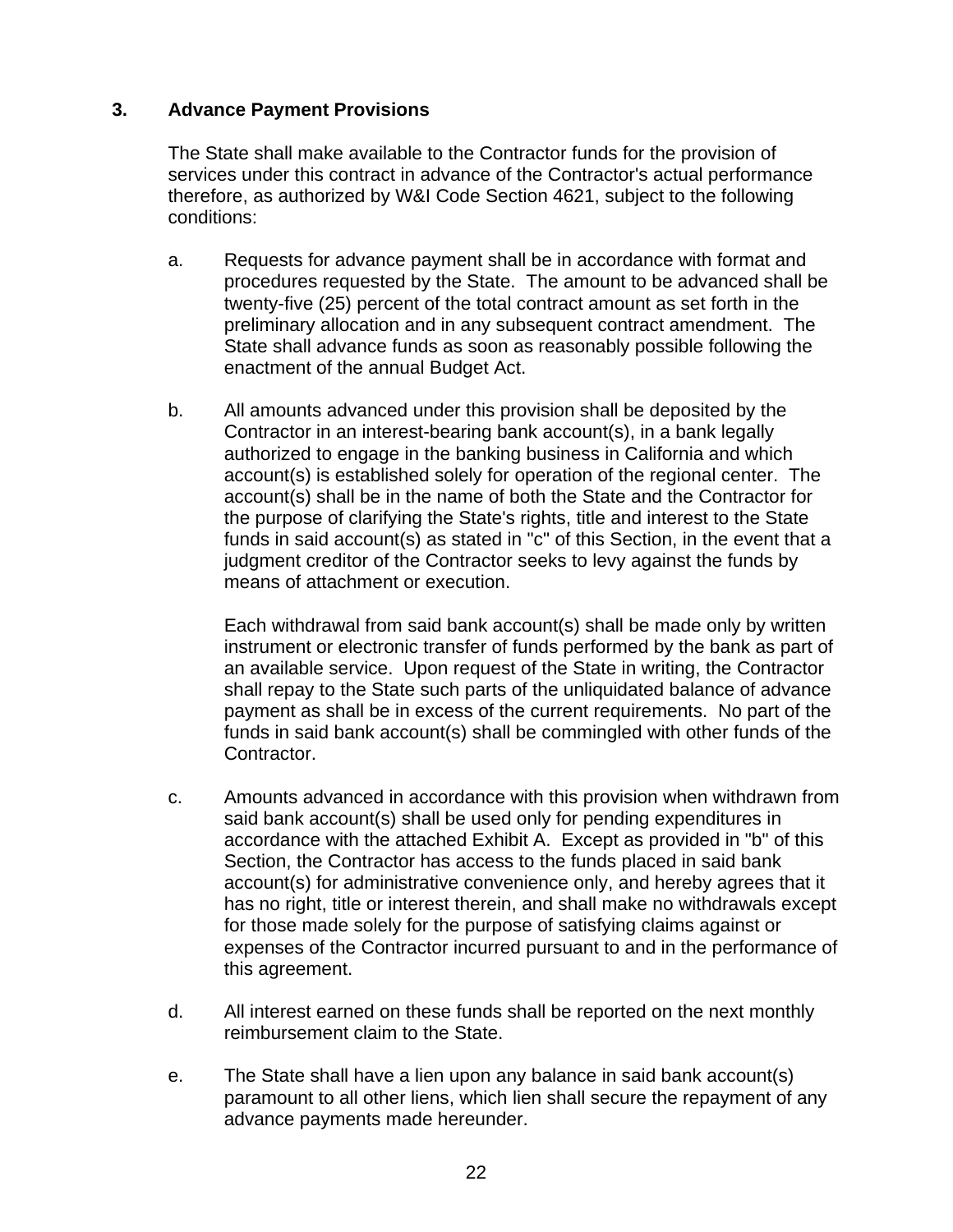#### **3. Advance Payment Provisions**

The State shall make available to the Contractor funds for the provision of services under this contract in advance of the Contractor's actual performance therefore, as authorized by W&I Code Section 4621, subject to the following conditions:

- a. Requests for advance payment shall be in accordance with format and procedures requested by the State. The amount to be advanced shall be twenty-five (25) percent of the total contract amount as set forth in the preliminary allocation and in any subsequent contract amendment. The State shall advance funds as soon as reasonably possible following the enactment of the annual Budget Act.
- b. All amounts advanced under this provision shall be deposited by the Contractor in an interest-bearing bank account(s), in a bank legally authorized to engage in the banking business in California and which account(s) is established solely for operation of the regional center. The account(s) shall be in the name of both the State and the Contractor for the purpose of clarifying the State's rights, title and interest to the State funds in said account(s) as stated in "c" of this Section, in the event that a judgment creditor of the Contractor seeks to levy against the funds by means of attachment or execution.

Each withdrawal from said bank account(s) shall be made only by written instrument or electronic transfer of funds performed by the bank as part of an available service. Upon request of the State in writing, the Contractor shall repay to the State such parts of the unliquidated balance of advance payment as shall be in excess of the current requirements. No part of the funds in said bank account(s) shall be commingled with other funds of the Contractor.

- c. Amounts advanced in accordance with this provision when withdrawn from said bank account(s) shall be used only for pending expenditures in accordance with the attached Exhibit A. Except as provided in "b" of this Section, the Contractor has access to the funds placed in said bank account(s) for administrative convenience only, and hereby agrees that it has no right, title or interest therein, and shall make no withdrawals except for those made solely for the purpose of satisfying claims against or expenses of the Contractor incurred pursuant to and in the performance of this agreement.
- d. All interest earned on these funds shall be reported on the next monthly reimbursement claim to the State.
- e. The State shall have a lien upon any balance in said bank account(s) paramount to all other liens, which lien shall secure the repayment of any advance payments made hereunder.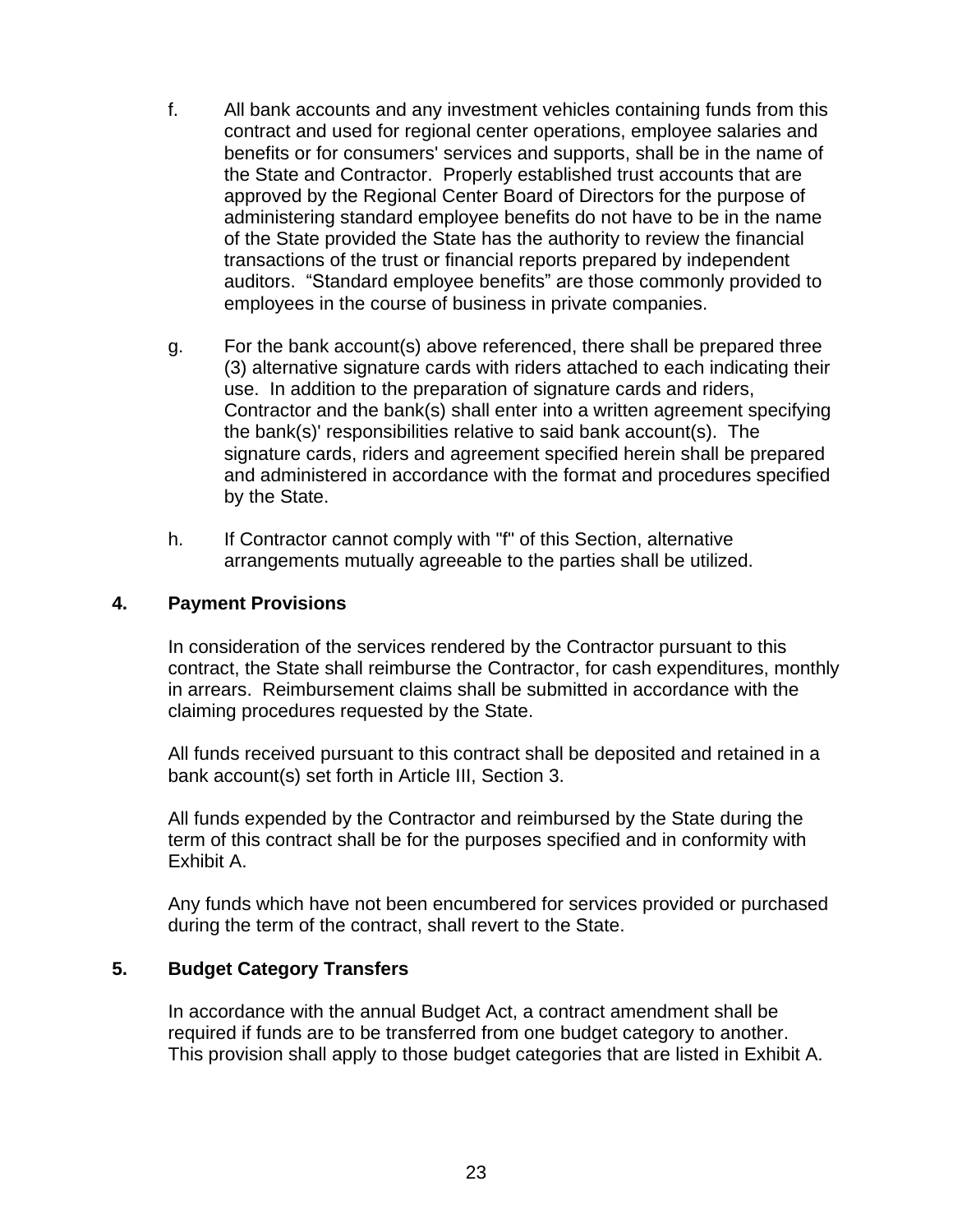- f. All bank accounts and any investment vehicles containing funds from this contract and used for regional center operations, employee salaries and benefits or for consumers' services and supports, shall be in the name of the State and Contractor. Properly established trust accounts that are approved by the Regional Center Board of Directors for the purpose of administering standard employee benefits do not have to be in the name of the State provided the State has the authority to review the financial transactions of the trust or financial reports prepared by independent auditors. "Standard employee benefits" are those commonly provided to employees in the course of business in private companies.
- g. For the bank account(s) above referenced, there shall be prepared three (3) alternative signature cards with riders attached to each indicating their use. In addition to the preparation of signature cards and riders, Contractor and the bank(s) shall enter into a written agreement specifying the bank(s)' responsibilities relative to said bank account(s). The signature cards, riders and agreement specified herein shall be prepared and administered in accordance with the format and procedures specified by the State.
- h. If Contractor cannot comply with "f" of this Section, alternative arrangements mutually agreeable to the parties shall be utilized.

#### **4. Payment Provisions**

In consideration of the services rendered by the Contractor pursuant to this contract, the State shall reimburse the Contractor, for cash expenditures, monthly in arrears. Reimbursement claims shall be submitted in accordance with the claiming procedures requested by the State.

All funds received pursuant to this contract shall be deposited and retained in a bank account(s) set forth in Article III, Section 3.

All funds expended by the Contractor and reimbursed by the State during the term of this contract shall be for the purposes specified and in conformity with Exhibit A.

Any funds which have not been encumbered for services provided or purchased during the term of the contract, shall revert to the State.

#### **5. Budget Category Transfers**

In accordance with the annual Budget Act, a contract amendment shall be required if funds are to be transferred from one budget category to another. This provision shall apply to those budget categories that are listed in Exhibit A.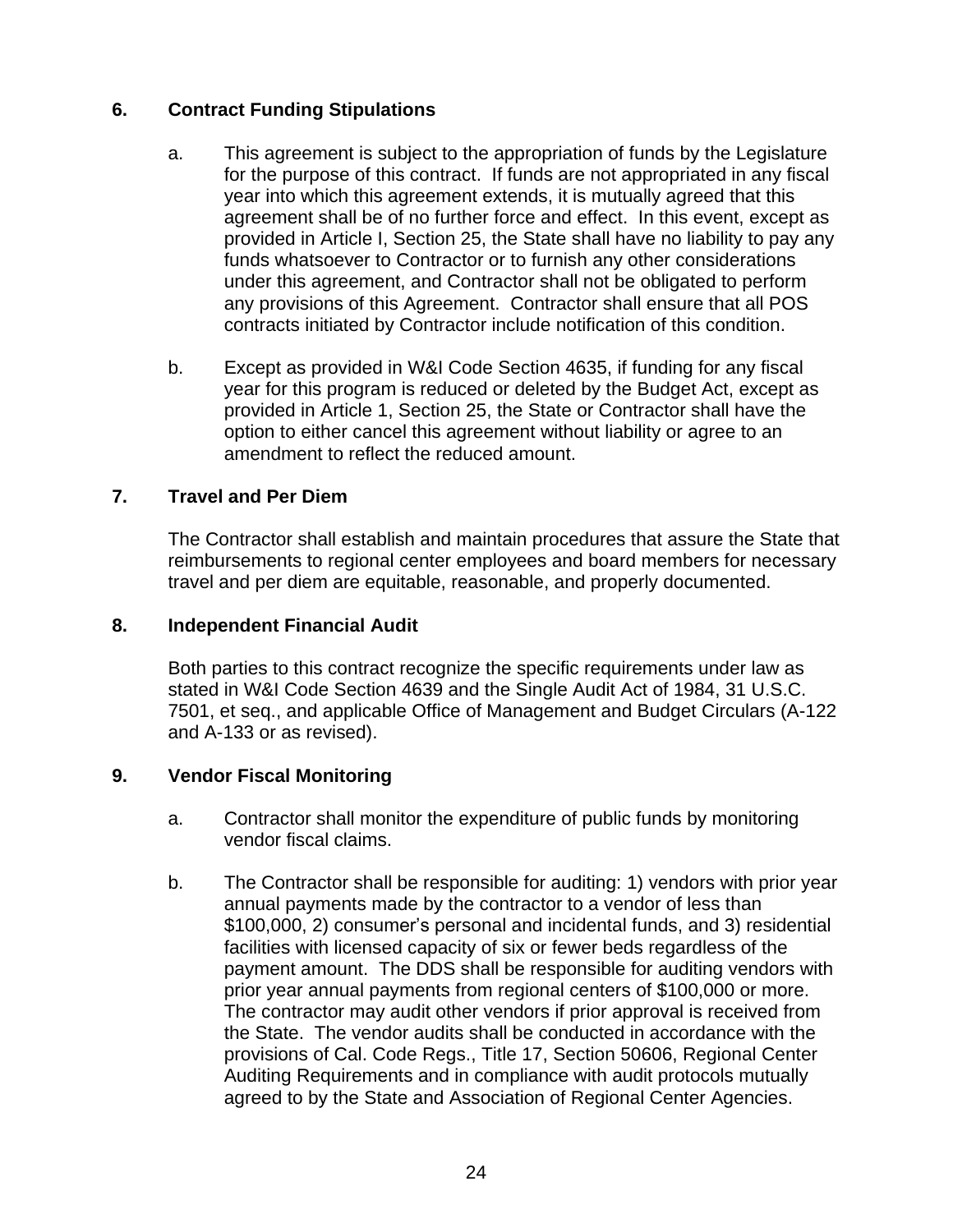### **6. Contract Funding Stipulations**

- a. This agreement is subject to the appropriation of funds by the Legislature for the purpose of this contract. If funds are not appropriated in any fiscal year into which this agreement extends, it is mutually agreed that this agreement shall be of no further force and effect. In this event, except as provided in Article I, Section 25, the State shall have no liability to pay any funds whatsoever to Contractor or to furnish any other considerations under this agreement, and Contractor shall not be obligated to perform any provisions of this Agreement. Contractor shall ensure that all POS contracts initiated by Contractor include notification of this condition.
- b. Except as provided in W&I Code Section 4635, if funding for any fiscal year for this program is reduced or deleted by the Budget Act, except as provided in Article 1, Section 25, the State or Contractor shall have the option to either cancel this agreement without liability or agree to an amendment to reflect the reduced amount.

#### **7. Travel and Per Diem**

The Contractor shall establish and maintain procedures that assure the State that reimbursements to regional center employees and board members for necessary travel and per diem are equitable, reasonable, and properly documented.

#### **8. Independent Financial Audit**

Both parties to this contract recognize the specific requirements under law as stated in W&I Code Section 4639 and the Single Audit Act of 1984, 31 U.S.C. 7501, et seq., and applicable Office of Management and Budget Circulars (A-122 and A-133 or as revised).

#### **9. Vendor Fiscal Monitoring**

- a. Contractor shall monitor the expenditure of public funds by monitoring vendor fiscal claims.
- b. The Contractor shall be responsible for auditing: 1) vendors with prior year annual payments made by the contractor to a vendor of less than \$100,000, 2) consumer's personal and incidental funds, and 3) residential facilities with licensed capacity of six or fewer beds regardless of the payment amount. The DDS shall be responsible for auditing vendors with prior year annual payments from regional centers of \$100,000 or more. The contractor may audit other vendors if prior approval is received from the State. The vendor audits shall be conducted in accordance with the provisions of Cal. Code Regs., Title 17, Section 50606, Regional Center Auditing Requirements and in compliance with audit protocols mutually agreed to by the State and Association of Regional Center Agencies.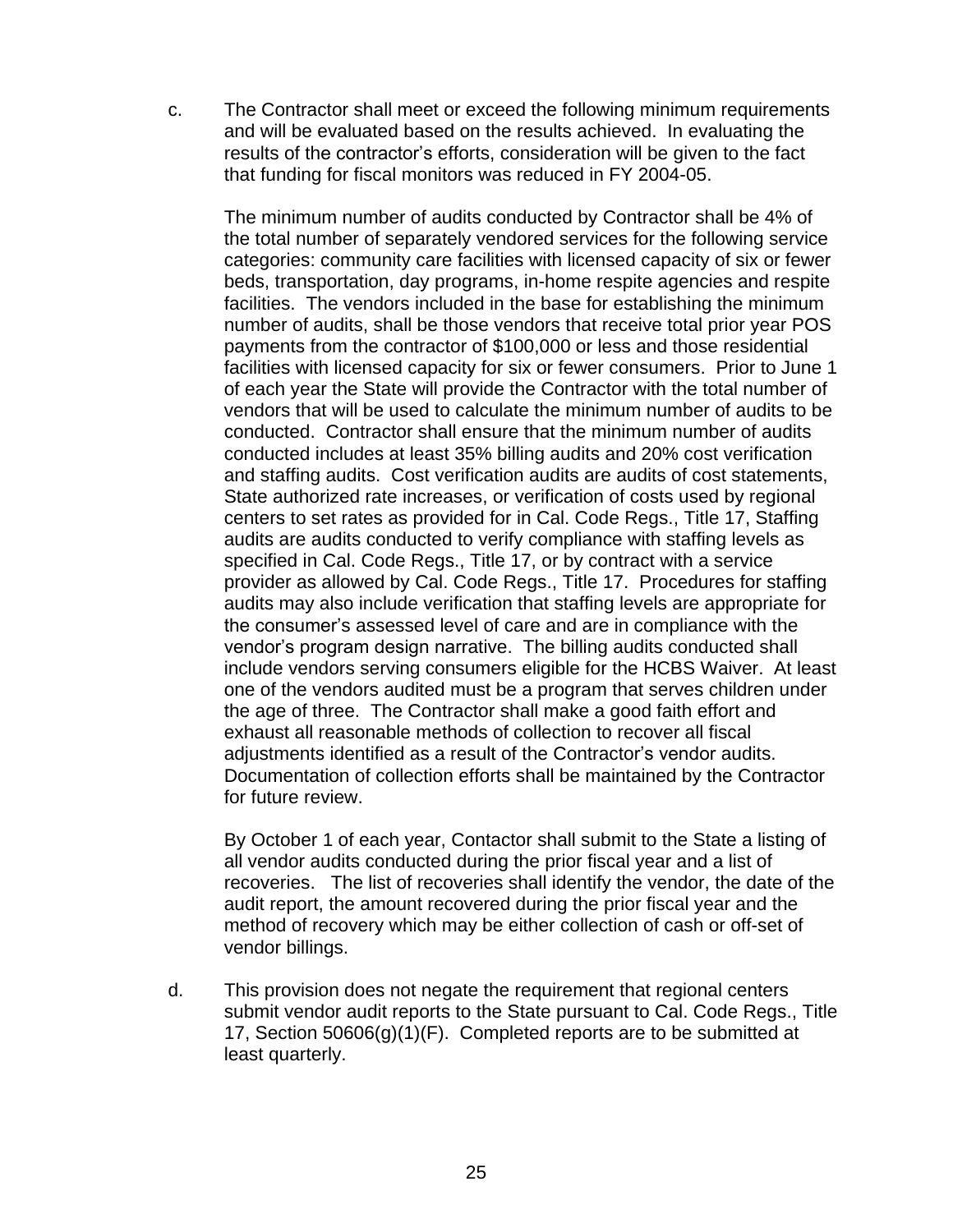c. The Contractor shall meet or exceed the following minimum requirements and will be evaluated based on the results achieved. In evaluating the results of the contractor's efforts, consideration will be given to the fact that funding for fiscal monitors was reduced in FY 2004-05.

The minimum number of audits conducted by Contractor shall be 4% of the total number of separately vendored services for the following service categories: community care facilities with licensed capacity of six or fewer beds, transportation, day programs, in-home respite agencies and respite facilities. The vendors included in the base for establishing the minimum number of audits, shall be those vendors that receive total prior year POS payments from the contractor of \$100,000 or less and those residential facilities with licensed capacity for six or fewer consumers. Prior to June 1 of each year the State will provide the Contractor with the total number of vendors that will be used to calculate the minimum number of audits to be conducted. Contractor shall ensure that the minimum number of audits conducted includes at least 35% billing audits and 20% cost verification and staffing audits. Cost verification audits are audits of cost statements, State authorized rate increases, or verification of costs used by regional centers to set rates as provided for in Cal. Code Regs., Title 17, Staffing audits are audits conducted to verify compliance with staffing levels as specified in Cal. Code Regs., Title 17, or by contract with a service provider as allowed by Cal. Code Regs., Title 17. Procedures for staffing audits may also include verification that staffing levels are appropriate for the consumer's assessed level of care and are in compliance with the vendor's program design narrative. The billing audits conducted shall include vendors serving consumers eligible for the HCBS Waiver. At least one of the vendors audited must be a program that serves children under the age of three. The Contractor shall make a good faith effort and exhaust all reasonable methods of collection to recover all fiscal adjustments identified as a result of the Contractor's vendor audits. Documentation of collection efforts shall be maintained by the Contractor for future review.

By October 1 of each year, Contactor shall submit to the State a listing of all vendor audits conducted during the prior fiscal year and a list of recoveries. The list of recoveries shall identify the vendor, the date of the audit report, the amount recovered during the prior fiscal year and the method of recovery which may be either collection of cash or off-set of vendor billings.

d. This provision does not negate the requirement that regional centers submit vendor audit reports to the State pursuant to Cal. Code Regs., Title 17, Section 50606(g)(1)(F). Completed reports are to be submitted at least quarterly.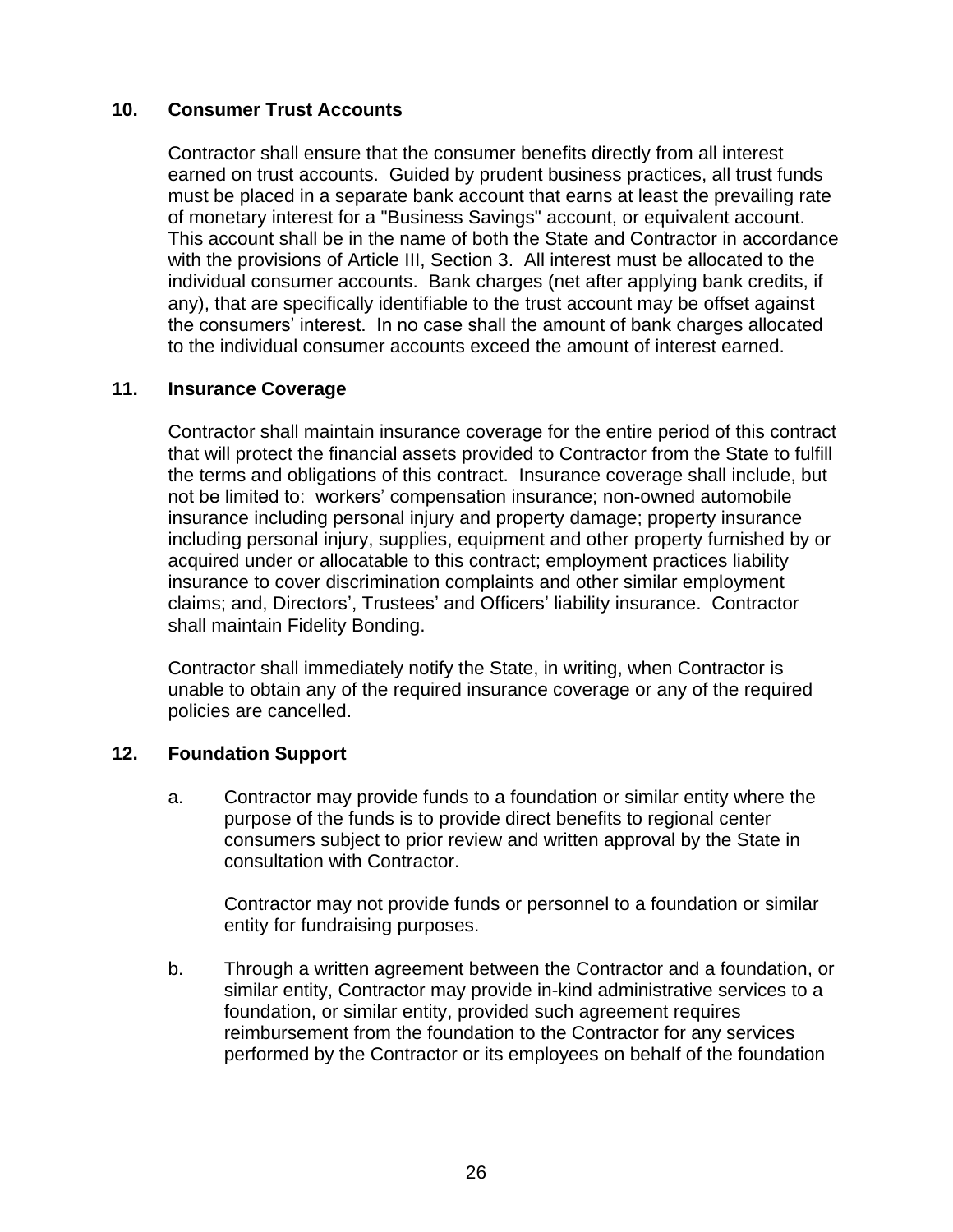#### **10. Consumer Trust Accounts**

Contractor shall ensure that the consumer benefits directly from all interest earned on trust accounts. Guided by prudent business practices, all trust funds must be placed in a separate bank account that earns at least the prevailing rate of monetary interest for a "Business Savings" account, or equivalent account. This account shall be in the name of both the State and Contractor in accordance with the provisions of Article III, Section 3. All interest must be allocated to the individual consumer accounts. Bank charges (net after applying bank credits, if any), that are specifically identifiable to the trust account may be offset against the consumers' interest. In no case shall the amount of bank charges allocated to the individual consumer accounts exceed the amount of interest earned.

#### **11. Insurance Coverage**

Contractor shall maintain insurance coverage for the entire period of this contract that will protect the financial assets provided to Contractor from the State to fulfill the terms and obligations of this contract. Insurance coverage shall include, but not be limited to: workers' compensation insurance; non-owned automobile insurance including personal injury and property damage; property insurance including personal injury, supplies, equipment and other property furnished by or acquired under or allocatable to this contract; employment practices liability insurance to cover discrimination complaints and other similar employment claims; and, Directors', Trustees' and Officers' liability insurance. Contractor shall maintain Fidelity Bonding.

Contractor shall immediately notify the State, in writing, when Contractor is unable to obtain any of the required insurance coverage or any of the required policies are cancelled.

#### **12. Foundation Support**

a. Contractor may provide funds to a foundation or similar entity where the purpose of the funds is to provide direct benefits to regional center consumers subject to prior review and written approval by the State in consultation with Contractor.

Contractor may not provide funds or personnel to a foundation or similar entity for fundraising purposes.

b. Through a written agreement between the Contractor and a foundation, or similar entity, Contractor may provide in-kind administrative services to a foundation, or similar entity, provided such agreement requires reimbursement from the foundation to the Contractor for any services performed by the Contractor or its employees on behalf of the foundation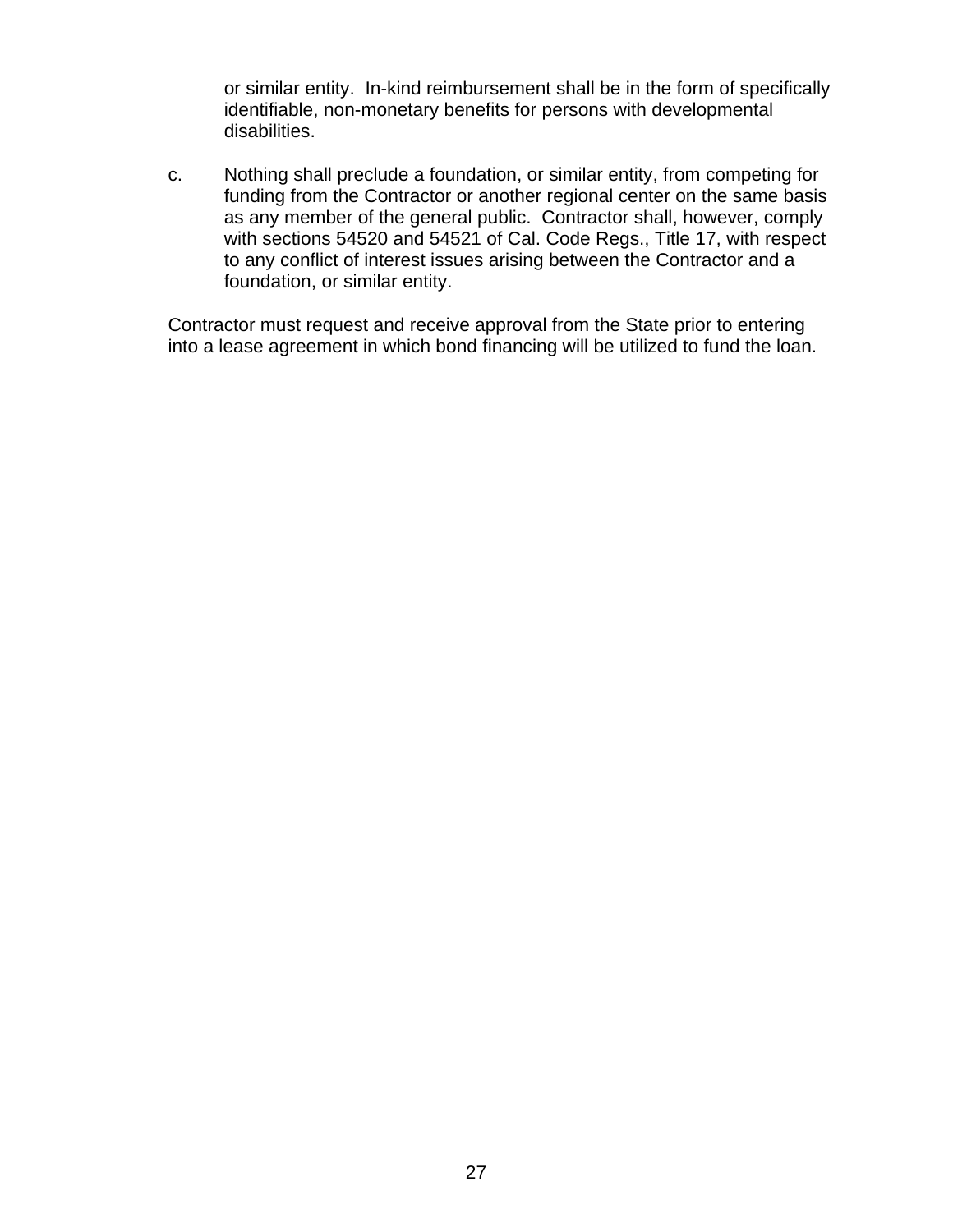or similar entity. In-kind reimbursement shall be in the form of specifically identifiable, non-monetary benefits for persons with developmental disabilities.

c. Nothing shall preclude a foundation, or similar entity, from competing for funding from the Contractor or another regional center on the same basis as any member of the general public. Contractor shall, however, comply with sections 54520 and 54521 of Cal. Code Regs., Title 17, with respect to any conflict of interest issues arising between the Contractor and a foundation, or similar entity.

Contractor must request and receive approval from the State prior to entering into a lease agreement in which bond financing will be utilized to fund the loan.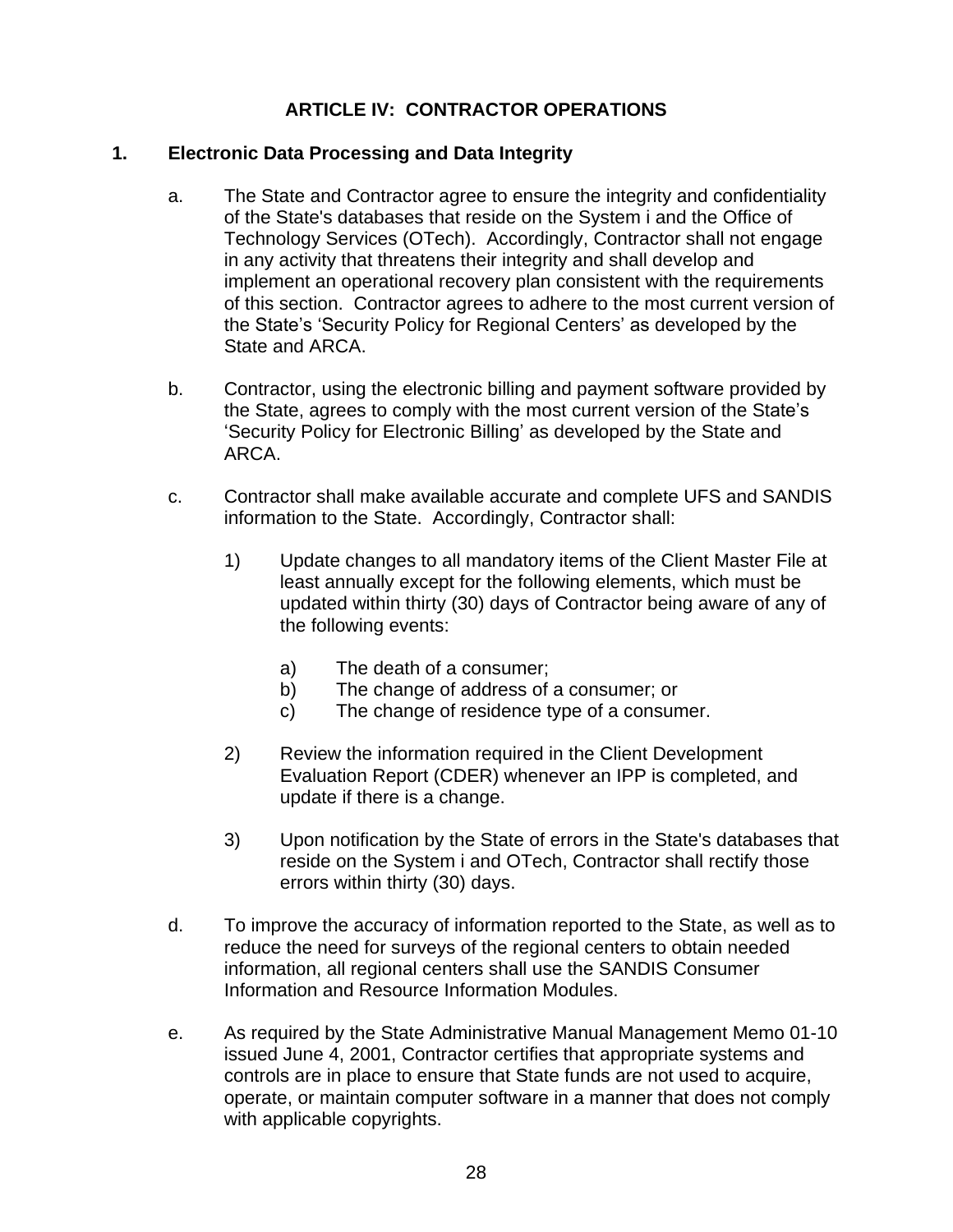## **ARTICLE IV: CONTRACTOR OPERATIONS**

#### **1. Electronic Data Processing and Data Integrity**

- a. The State and Contractor agree to ensure the integrity and confidentiality of the State's databases that reside on the System i and the Office of Technology Services (OTech). Accordingly, Contractor shall not engage in any activity that threatens their integrity and shall develop and implement an operational recovery plan consistent with the requirements of this section. Contractor agrees to adhere to the most current version of the State's 'Security Policy for Regional Centers' as developed by the State and ARCA.
- b. Contractor, using the electronic billing and payment software provided by the State, agrees to comply with the most current version of the State's 'Security Policy for Electronic Billing' as developed by the State and ARCA.
- c. Contractor shall make available accurate and complete UFS and SANDIS information to the State. Accordingly, Contractor shall:
	- 1) Update changes to all mandatory items of the Client Master File at least annually except for the following elements, which must be updated within thirty (30) days of Contractor being aware of any of the following events:
		- a) The death of a consumer;
		- b) The change of address of a consumer; or
		- c) The change of residence type of a consumer.
	- 2) Review the information required in the Client Development Evaluation Report (CDER) whenever an IPP is completed, and update if there is a change.
	- 3) Upon notification by the State of errors in the State's databases that reside on the System i and OTech, Contractor shall rectify those errors within thirty (30) days.
- d. To improve the accuracy of information reported to the State, as well as to reduce the need for surveys of the regional centers to obtain needed information, all regional centers shall use the SANDIS Consumer Information and Resource Information Modules.
- e. As required by the State Administrative Manual Management Memo 01-10 issued June 4, 2001, Contractor certifies that appropriate systems and controls are in place to ensure that State funds are not used to acquire, operate, or maintain computer software in a manner that does not comply with applicable copyrights.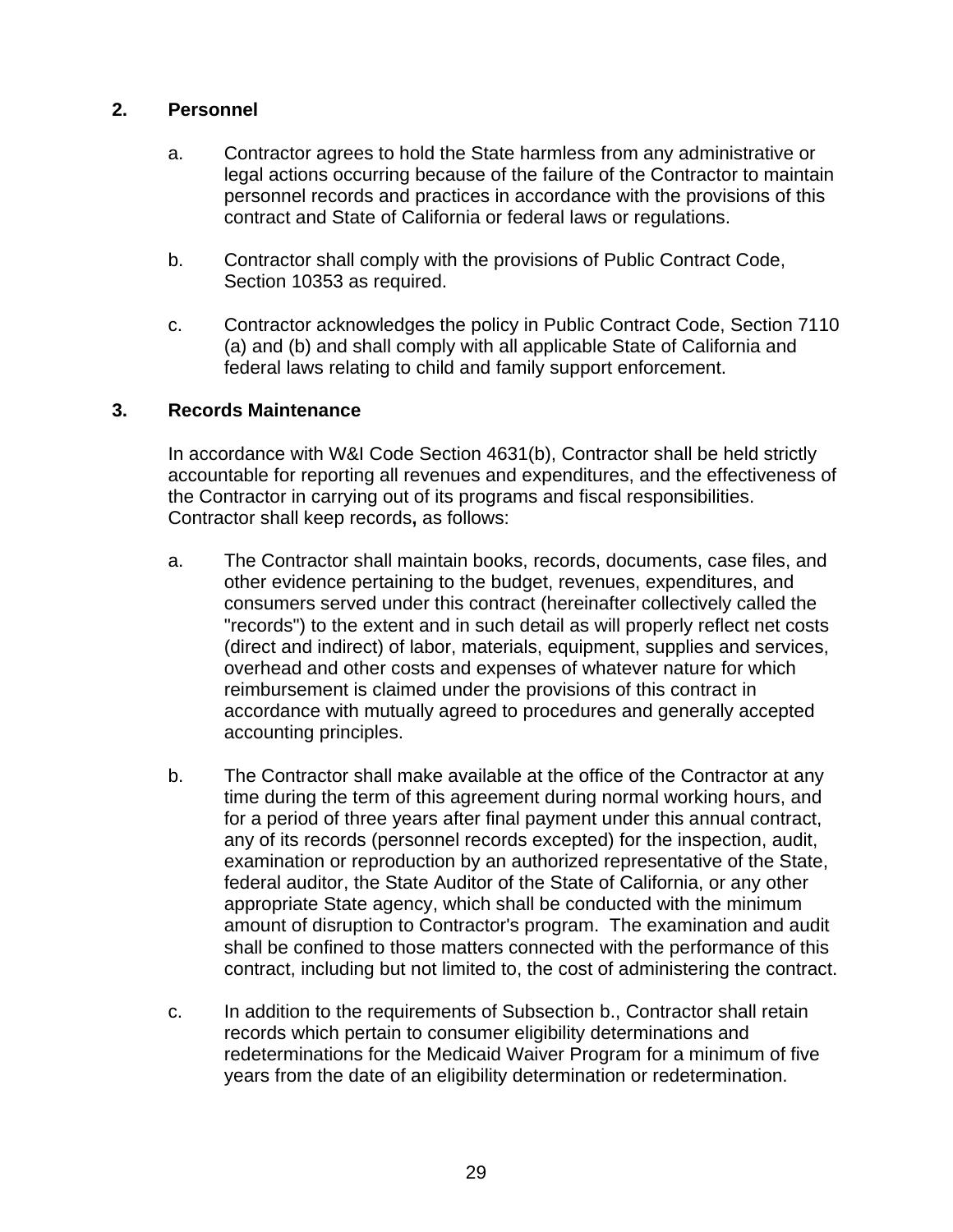#### **2. Personnel**

- a. Contractor agrees to hold the State harmless from any administrative or legal actions occurring because of the failure of the Contractor to maintain personnel records and practices in accordance with the provisions of this contract and State of California or federal laws or regulations.
- b. Contractor shall comply with the provisions of Public Contract Code, Section 10353 as required.
- c. Contractor acknowledges the policy in Public Contract Code, Section 7110 (a) and (b) and shall comply with all applicable State of California and federal laws relating to child and family support enforcement.

#### **3. Records Maintenance**

In accordance with W&I Code Section 4631(b), Contractor shall be held strictly accountable for reporting all revenues and expenditures, and the effectiveness of the Contractor in carrying out of its programs and fiscal responsibilities. Contractor shall keep records**,** as follows:

- a. The Contractor shall maintain books, records, documents, case files, and other evidence pertaining to the budget, revenues, expenditures, and consumers served under this contract (hereinafter collectively called the "records") to the extent and in such detail as will properly reflect net costs (direct and indirect) of labor, materials, equipment, supplies and services, overhead and other costs and expenses of whatever nature for which reimbursement is claimed under the provisions of this contract in accordance with mutually agreed to procedures and generally accepted accounting principles.
- b. The Contractor shall make available at the office of the Contractor at any time during the term of this agreement during normal working hours, and for a period of three years after final payment under this annual contract, any of its records (personnel records excepted) for the inspection, audit, examination or reproduction by an authorized representative of the State, federal auditor, the State Auditor of the State of California, or any other appropriate State agency, which shall be conducted with the minimum amount of disruption to Contractor's program. The examination and audit shall be confined to those matters connected with the performance of this contract, including but not limited to, the cost of administering the contract.
- c. In addition to the requirements of Subsection b., Contractor shall retain records which pertain to consumer eligibility determinations and redeterminations for the Medicaid Waiver Program for a minimum of five years from the date of an eligibility determination or redetermination.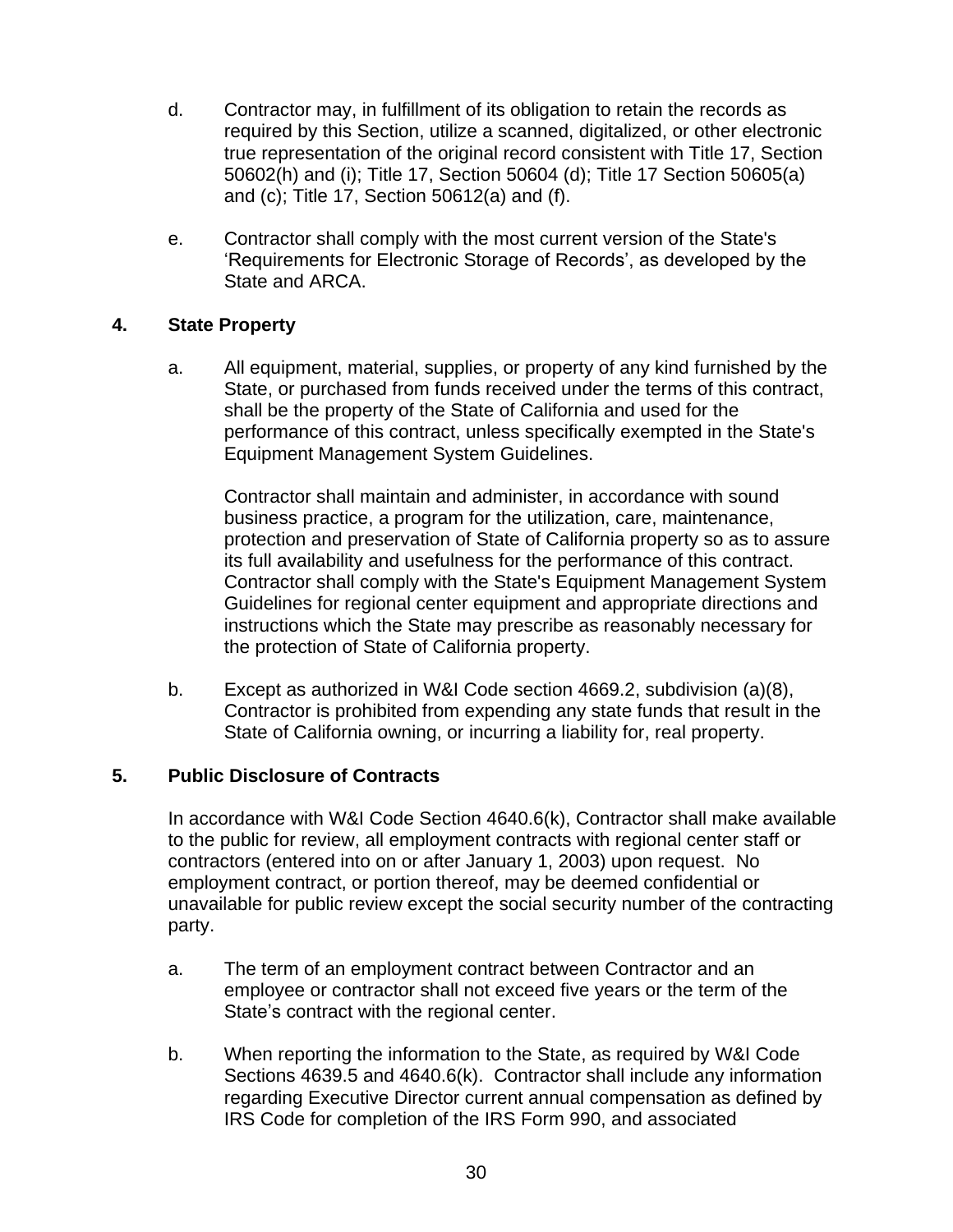- d. Contractor may, in fulfillment of its obligation to retain the records as required by this Section, utilize a scanned, digitalized, or other electronic true representation of the original record consistent with Title 17, Section 50602(h) and (i); Title 17, Section 50604 (d); Title 17 Section 50605(a) and (c); Title 17, Section 50612(a) and (f).
- e. Contractor shall comply with the most current version of the State's 'Requirements for Electronic Storage of Records', as developed by the State and ARCA.

#### **4. State Property**

a. All equipment, material, supplies, or property of any kind furnished by the State, or purchased from funds received under the terms of this contract, shall be the property of the State of California and used for the performance of this contract, unless specifically exempted in the State's Equipment Management System Guidelines.

Contractor shall maintain and administer, in accordance with sound business practice, a program for the utilization, care, maintenance, protection and preservation of State of California property so as to assure its full availability and usefulness for the performance of this contract. Contractor shall comply with the State's Equipment Management System Guidelines for regional center equipment and appropriate directions and instructions which the State may prescribe as reasonably necessary for the protection of State of California property.

b. Except as authorized in W&I Code section 4669.2, subdivision (a)(8), Contractor is prohibited from expending any state funds that result in the State of California owning, or incurring a liability for, real property.

### **5. Public Disclosure of Contracts**

In accordance with W&I Code Section 4640.6(k), Contractor shall make available to the public for review, all employment contracts with regional center staff or contractors (entered into on or after January 1, 2003) upon request. No employment contract, or portion thereof, may be deemed confidential or unavailable for public review except the social security number of the contracting party.

- a. The term of an employment contract between Contractor and an employee or contractor shall not exceed five years or the term of the State's contract with the regional center.
- b. When reporting the information to the State, as required by W&I Code Sections 4639.5 and 4640.6(k). Contractor shall include any information regarding Executive Director current annual compensation as defined by IRS Code for completion of the IRS Form 990, and associated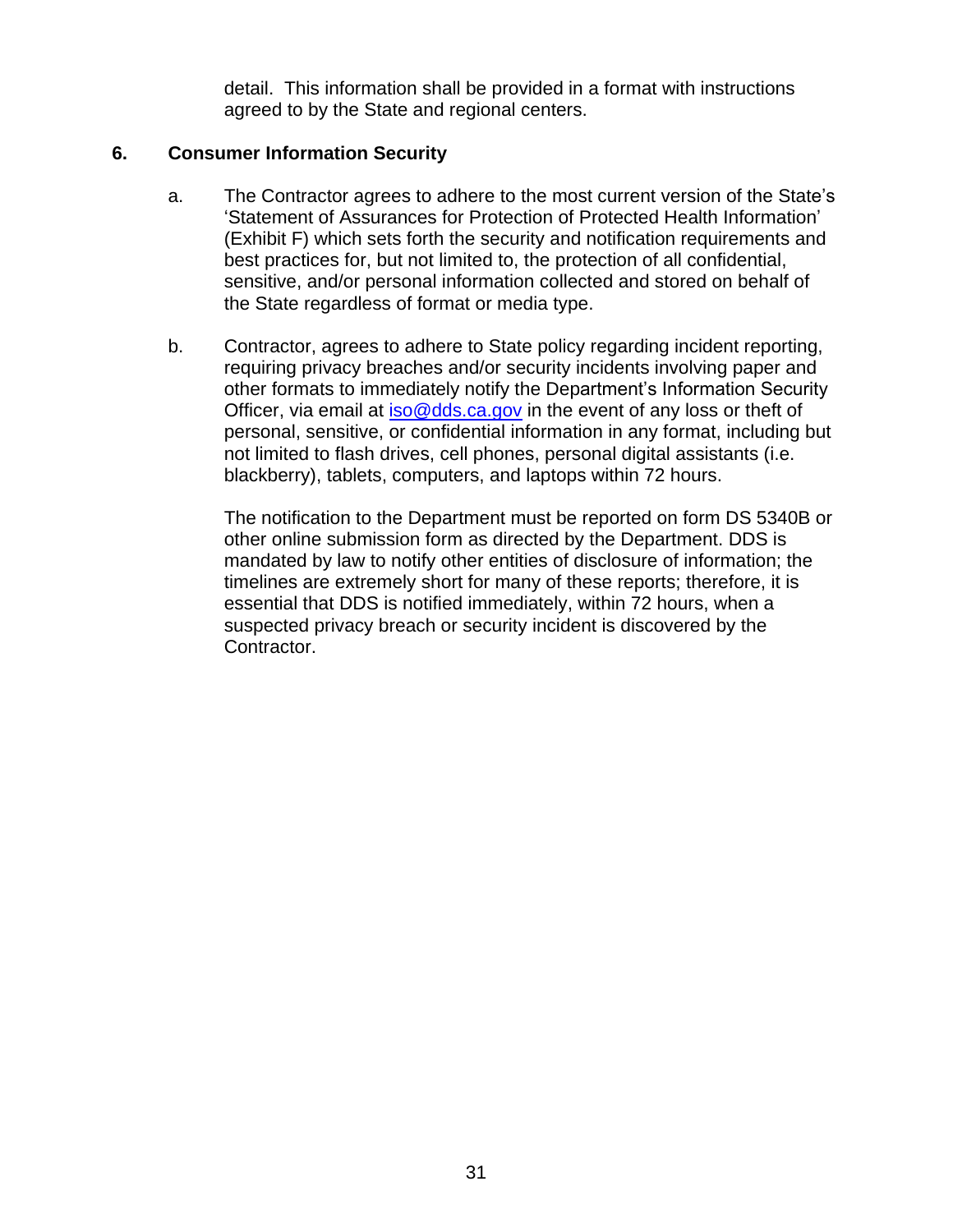detail. This information shall be provided in a format with instructions agreed to by the State and regional centers.

#### **6. Consumer Information Security**

- a. The Contractor agrees to adhere to the most current version of the State's 'Statement of Assurances for Protection of Protected Health Information' (Exhibit F) which sets forth the security and notification requirements and best practices for, but not limited to, the protection of all confidential, sensitive, and/or personal information collected and stored on behalf of the State regardless of format or media type.
- b. Contractor, agrees to adhere to State policy regarding incident reporting, requiring privacy breaches and/or security incidents involving paper and other formats to immediately notify the Department's Information Security Officer, via email at [iso@dds.ca.gov](mailto:iso@dds.ca.gov) in the event of any loss or theft of personal, sensitive, or confidential information in any format, including but not limited to flash drives, cell phones, personal digital assistants (i.e. blackberry), tablets, computers, and laptops within 72 hours.

The notification to the Department must be reported on form DS 5340B or other online submission form as directed by the Department. DDS is mandated by law to notify other entities of disclosure of information; the timelines are extremely short for many of these reports; therefore, it is essential that DDS is notified immediately, within 72 hours, when a suspected privacy breach or security incident is discovered by the Contractor.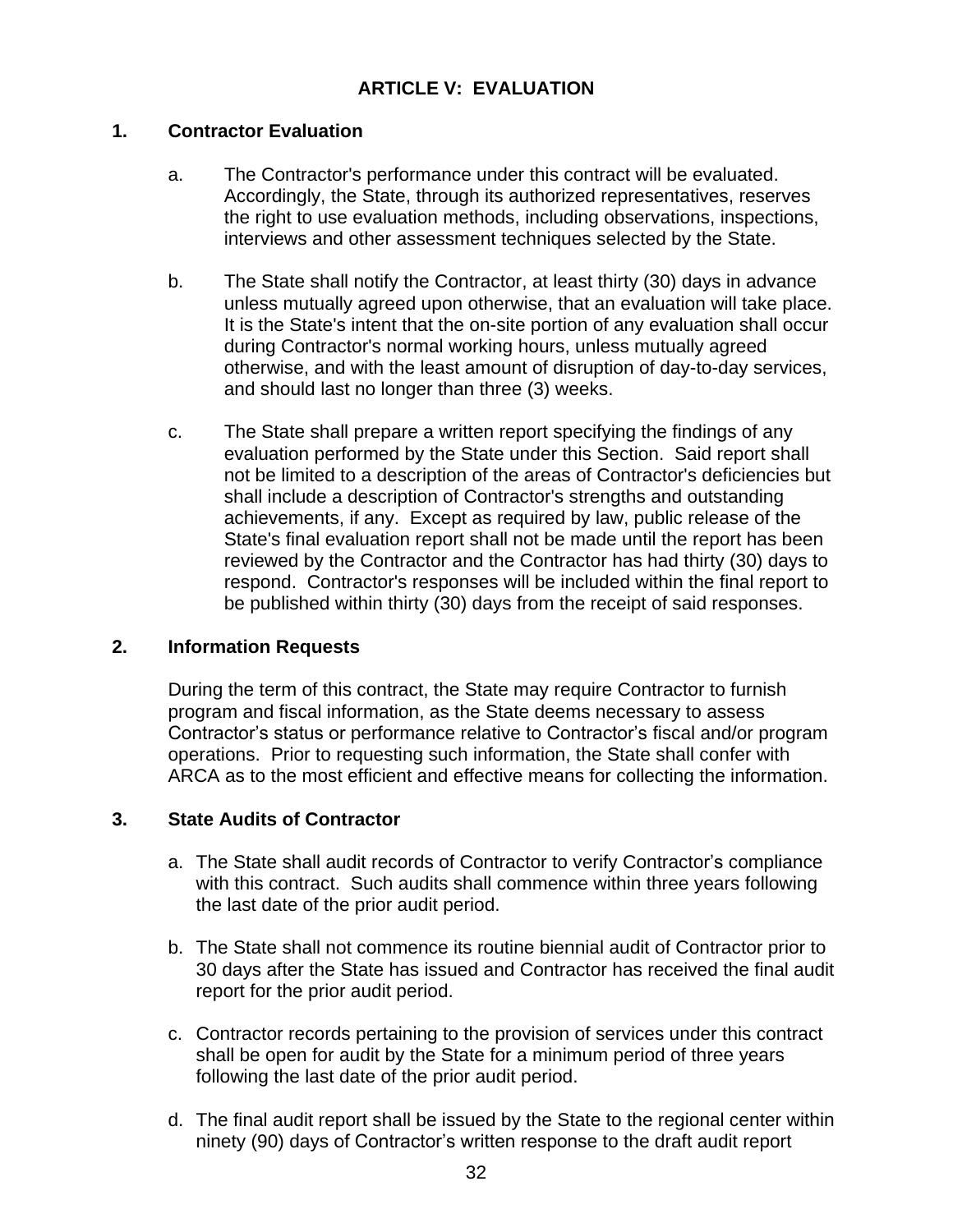## **ARTICLE V: EVALUATION**

#### **1. Contractor Evaluation**

- a. The Contractor's performance under this contract will be evaluated. Accordingly, the State, through its authorized representatives, reserves the right to use evaluation methods, including observations, inspections, interviews and other assessment techniques selected by the State.
- b. The State shall notify the Contractor, at least thirty (30) days in advance unless mutually agreed upon otherwise, that an evaluation will take place. It is the State's intent that the on-site portion of any evaluation shall occur during Contractor's normal working hours, unless mutually agreed otherwise, and with the least amount of disruption of day-to-day services, and should last no longer than three (3) weeks.
- c. The State shall prepare a written report specifying the findings of any evaluation performed by the State under this Section. Said report shall not be limited to a description of the areas of Contractor's deficiencies but shall include a description of Contractor's strengths and outstanding achievements, if any. Except as required by law, public release of the State's final evaluation report shall not be made until the report has been reviewed by the Contractor and the Contractor has had thirty (30) days to respond. Contractor's responses will be included within the final report to be published within thirty (30) days from the receipt of said responses.

#### **2. Information Requests**

During the term of this contract, the State may require Contractor to furnish program and fiscal information, as the State deems necessary to assess Contractor's status or performance relative to Contractor's fiscal and/or program operations. Prior to requesting such information, the State shall confer with ARCA as to the most efficient and effective means for collecting the information.

#### **3. State Audits of Contractor**

- a. The State shall audit records of Contractor to verify Contractor's compliance with this contract. Such audits shall commence within three years following the last date of the prior audit period.
- b. The State shall not commence its routine biennial audit of Contractor prior to 30 days after the State has issued and Contractor has received the final audit report for the prior audit period.
- c. Contractor records pertaining to the provision of services under this contract shall be open for audit by the State for a minimum period of three years following the last date of the prior audit period.
- d. The final audit report shall be issued by the State to the regional center within ninety (90) days of Contractor's written response to the draft audit report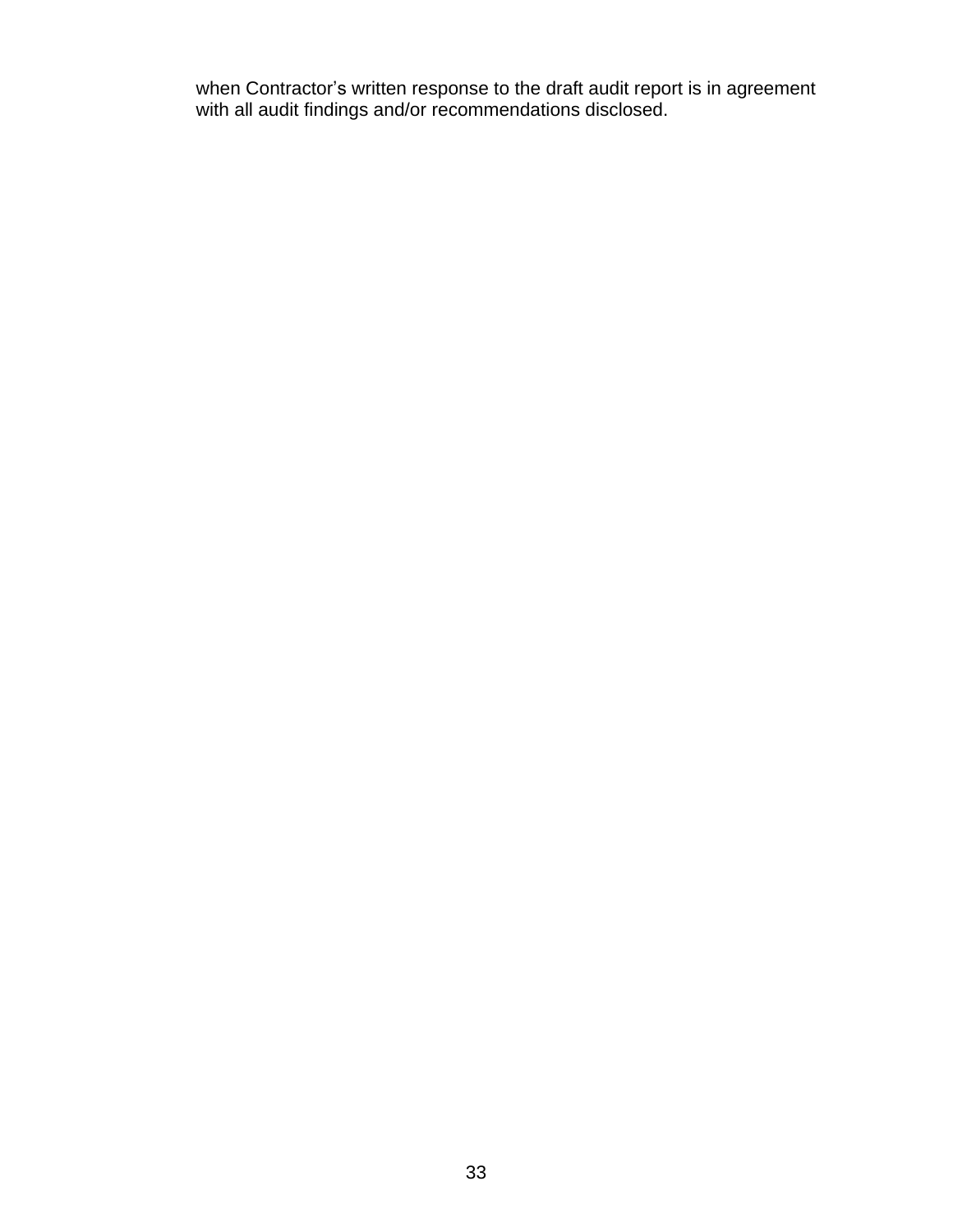when Contractor's written response to the draft audit report is in agreement with all audit findings and/or recommendations disclosed.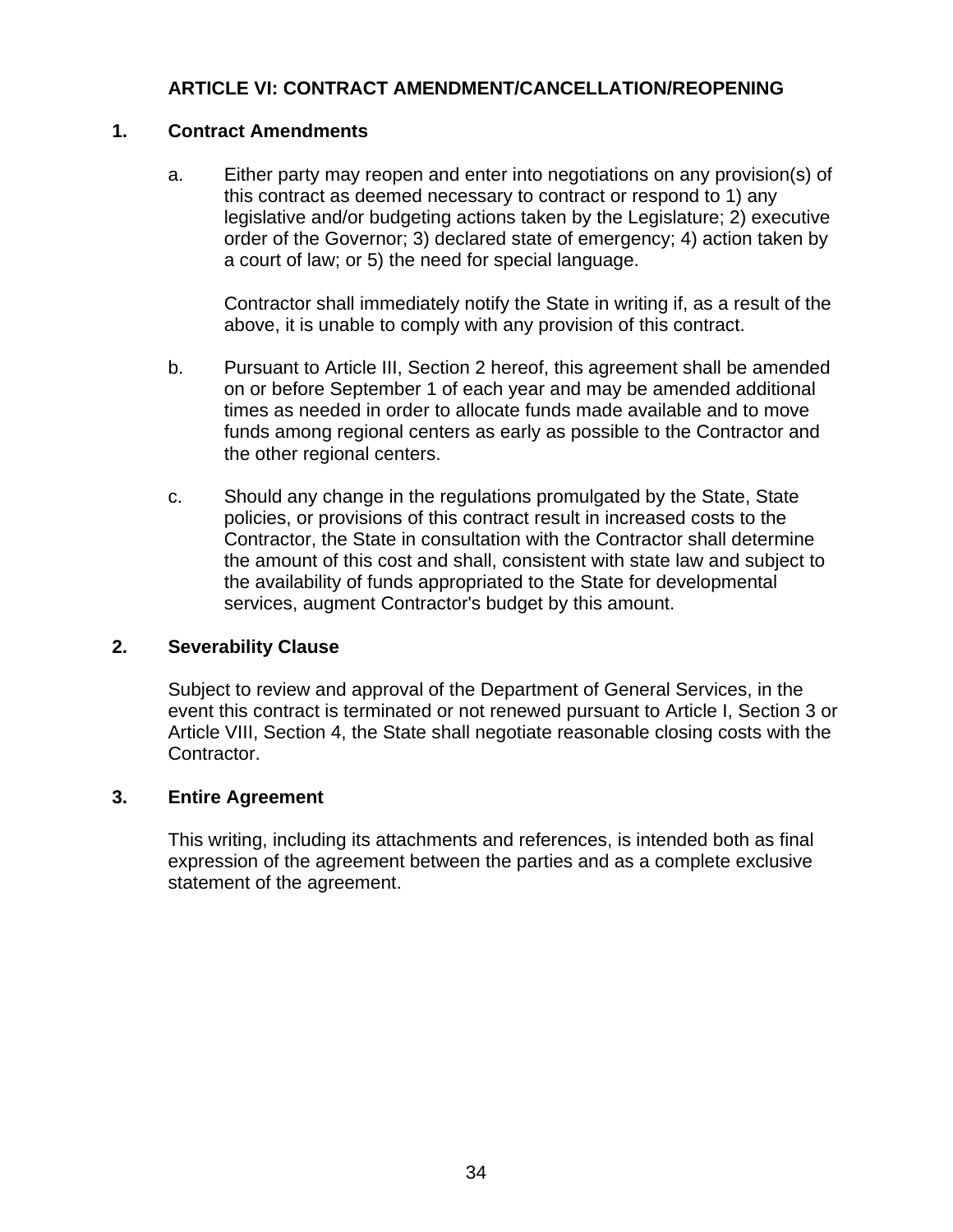# **ARTICLE VI: CONTRACT AMENDMENT/CANCELLATION/REOPENING**

## **1. Contract Amendments**

a. Either party may reopen and enter into negotiations on any provision(s) of this contract as deemed necessary to contract or respond to 1) any legislative and/or budgeting actions taken by the Legislature; 2) executive order of the Governor; 3) declared state of emergency; 4) action taken by a court of law; or 5) the need for special language.

Contractor shall immediately notify the State in writing if, as a result of the above, it is unable to comply with any provision of this contract.

- b. Pursuant to Article III, Section 2 hereof, this agreement shall be amended on or before September 1 of each year and may be amended additional times as needed in order to allocate funds made available and to move funds among regional centers as early as possible to the Contractor and the other regional centers.
- c. Should any change in the regulations promulgated by the State, State policies, or provisions of this contract result in increased costs to the Contractor, the State in consultation with the Contractor shall determine the amount of this cost and shall, consistent with state law and subject to the availability of funds appropriated to the State for developmental services, augment Contractor's budget by this amount.

## **2. Severability Clause**

Subject to review and approval of the Department of General Services, in the event this contract is terminated or not renewed pursuant to Article I, Section 3 or Article VIII, Section 4, the State shall negotiate reasonable closing costs with the Contractor.

#### **3. Entire Agreement**

This writing, including its attachments and references, is intended both as final expression of the agreement between the parties and as a complete exclusive statement of the agreement.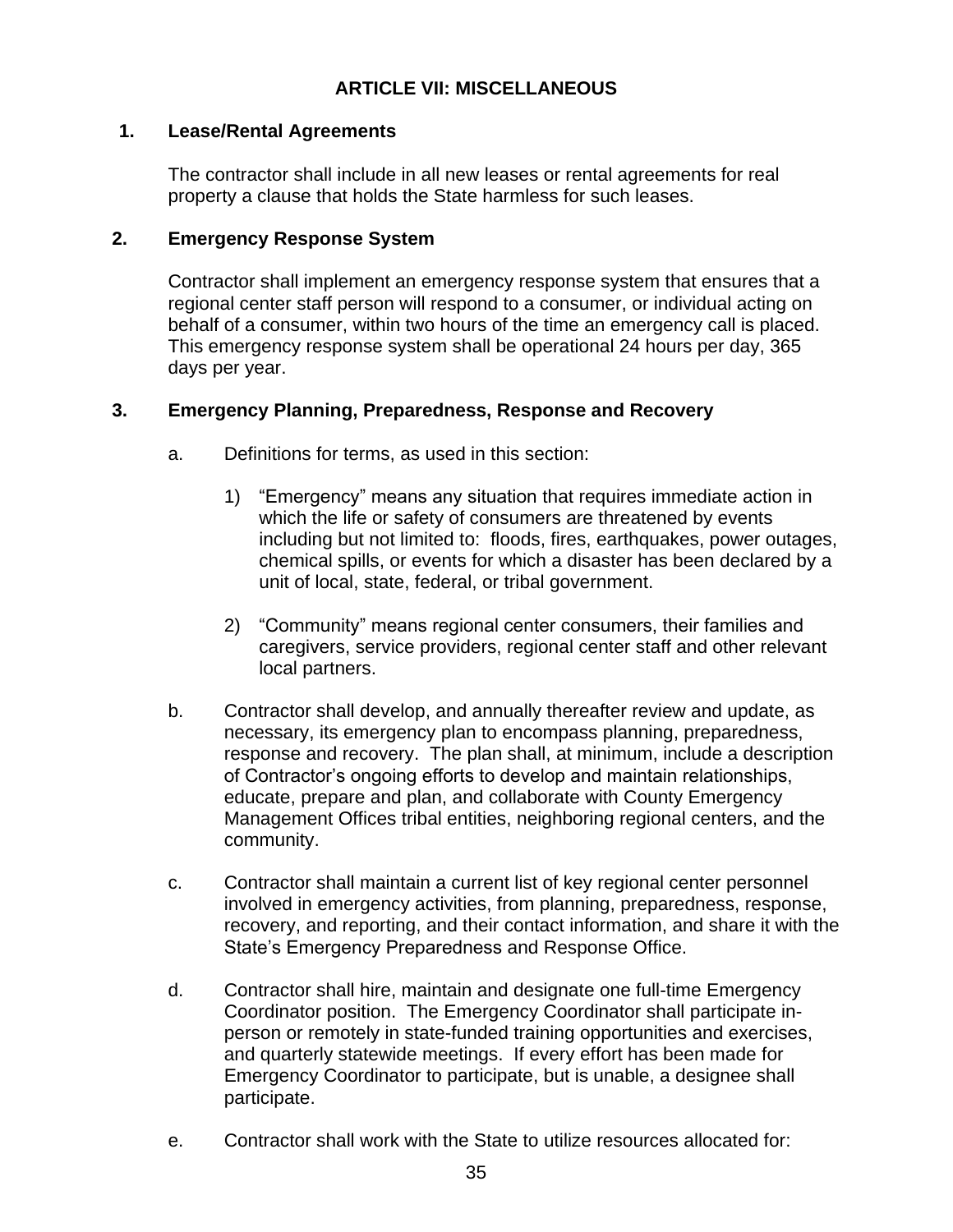## **ARTICLE VII: MISCELLANEOUS**

### **1. Lease/Rental Agreements**

The contractor shall include in all new leases or rental agreements for real property a clause that holds the State harmless for such leases.

### **2. Emergency Response System**

Contractor shall implement an emergency response system that ensures that a regional center staff person will respond to a consumer, or individual acting on behalf of a consumer, within two hours of the time an emergency call is placed. This emergency response system shall be operational 24 hours per day, 365 days per year.

## **3. Emergency Planning, Preparedness, Response and Recovery**

- a. Definitions for terms, as used in this section:
	- 1) "Emergency" means any situation that requires immediate action in which the life or safety of consumers are threatened by events including but not limited to: floods, fires, earthquakes, power outages, chemical spills, or events for which a disaster has been declared by a unit of local, state, federal, or tribal government.
	- 2) "Community" means regional center consumers, their families and caregivers, service providers, regional center staff and other relevant local partners.
- b. Contractor shall develop, and annually thereafter review and update, as necessary, its emergency plan to encompass planning, preparedness, response and recovery. The plan shall, at minimum, include a description of Contractor's ongoing efforts to develop and maintain relationships, educate, prepare and plan, and collaborate with County Emergency Management Offices tribal entities, neighboring regional centers, and the community.
- c. Contractor shall maintain a current list of key regional center personnel involved in emergency activities, from planning, preparedness, response, recovery, and reporting, and their contact information, and share it with the State's Emergency Preparedness and Response Office.
- d. Contractor shall hire, maintain and designate one full-time Emergency Coordinator position. The Emergency Coordinator shall participate inperson or remotely in state-funded training opportunities and exercises, and quarterly statewide meetings. If every effort has been made for Emergency Coordinator to participate, but is unable, a designee shall participate.
- e. Contractor shall work with the State to utilize resources allocated for: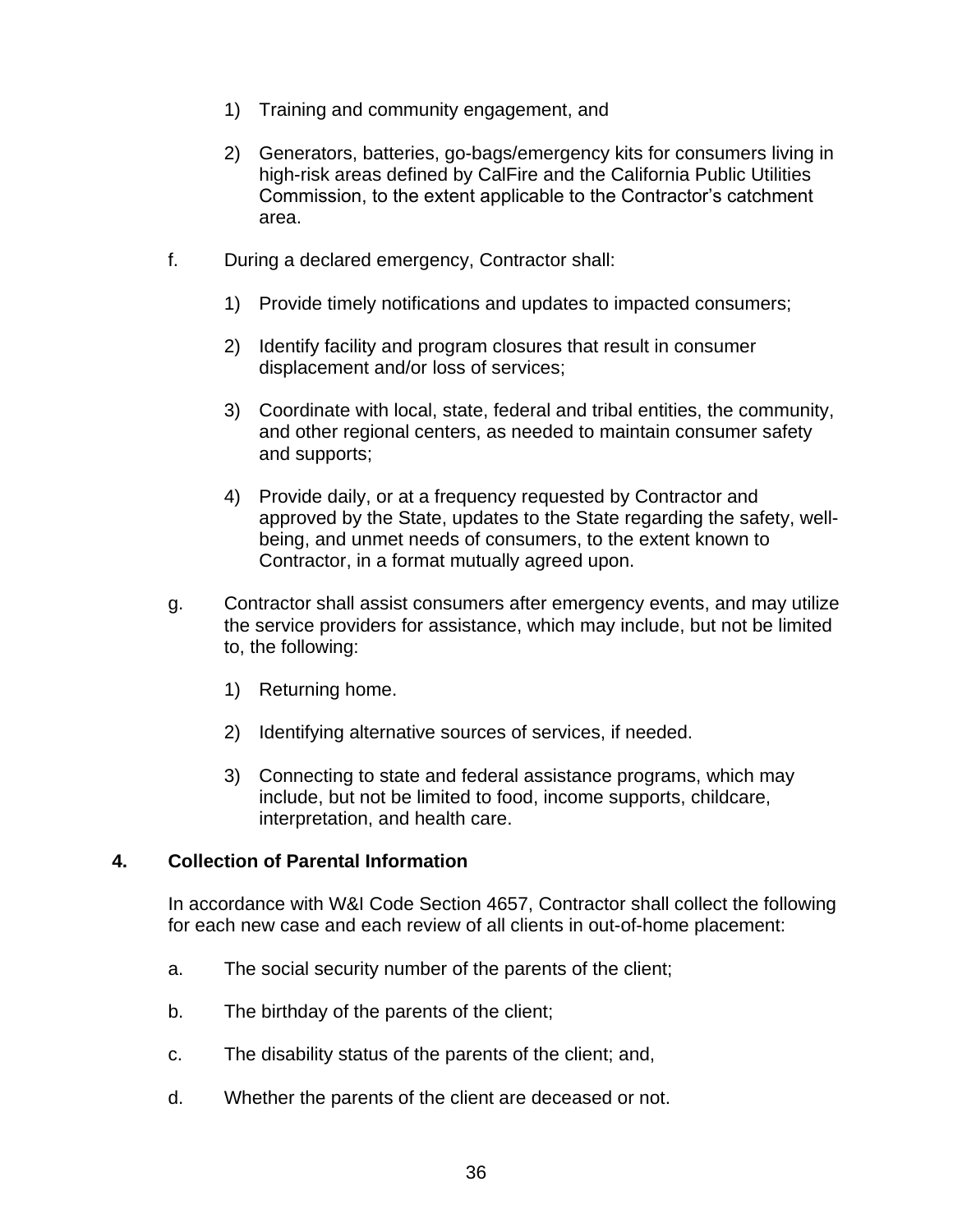- 1) Training and community engagement, and
- 2) Generators, batteries, go-bags/emergency kits for consumers living in high-risk areas defined by CalFire and the California Public Utilities Commission, to the extent applicable to the Contractor's catchment area.
- f. During a declared emergency, Contractor shall:
	- 1) Provide timely notifications and updates to impacted consumers;
	- 2) Identify facility and program closures that result in consumer displacement and/or loss of services;
	- 3) Coordinate with local, state, federal and tribal entities, the community, and other regional centers, as needed to maintain consumer safety and supports;
	- 4) Provide daily, or at a frequency requested by Contractor and approved by the State, updates to the State regarding the safety, wellbeing, and unmet needs of consumers, to the extent known to Contractor, in a format mutually agreed upon.
- g. Contractor shall assist consumers after emergency events, and may utilize the service providers for assistance, which may include, but not be limited to, the following:
	- 1) Returning home.
	- 2) Identifying alternative sources of services, if needed.
	- 3) Connecting to state and federal assistance programs, which may include, but not be limited to food, income supports, childcare, interpretation, and health care.

## **4. Collection of Parental Information**

In accordance with W&I Code Section 4657, Contractor shall collect the following for each new case and each review of all clients in out-of-home placement:

- a. The social security number of the parents of the client;
- b. The birthday of the parents of the client;
- c. The disability status of the parents of the client; and,
- d. Whether the parents of the client are deceased or not.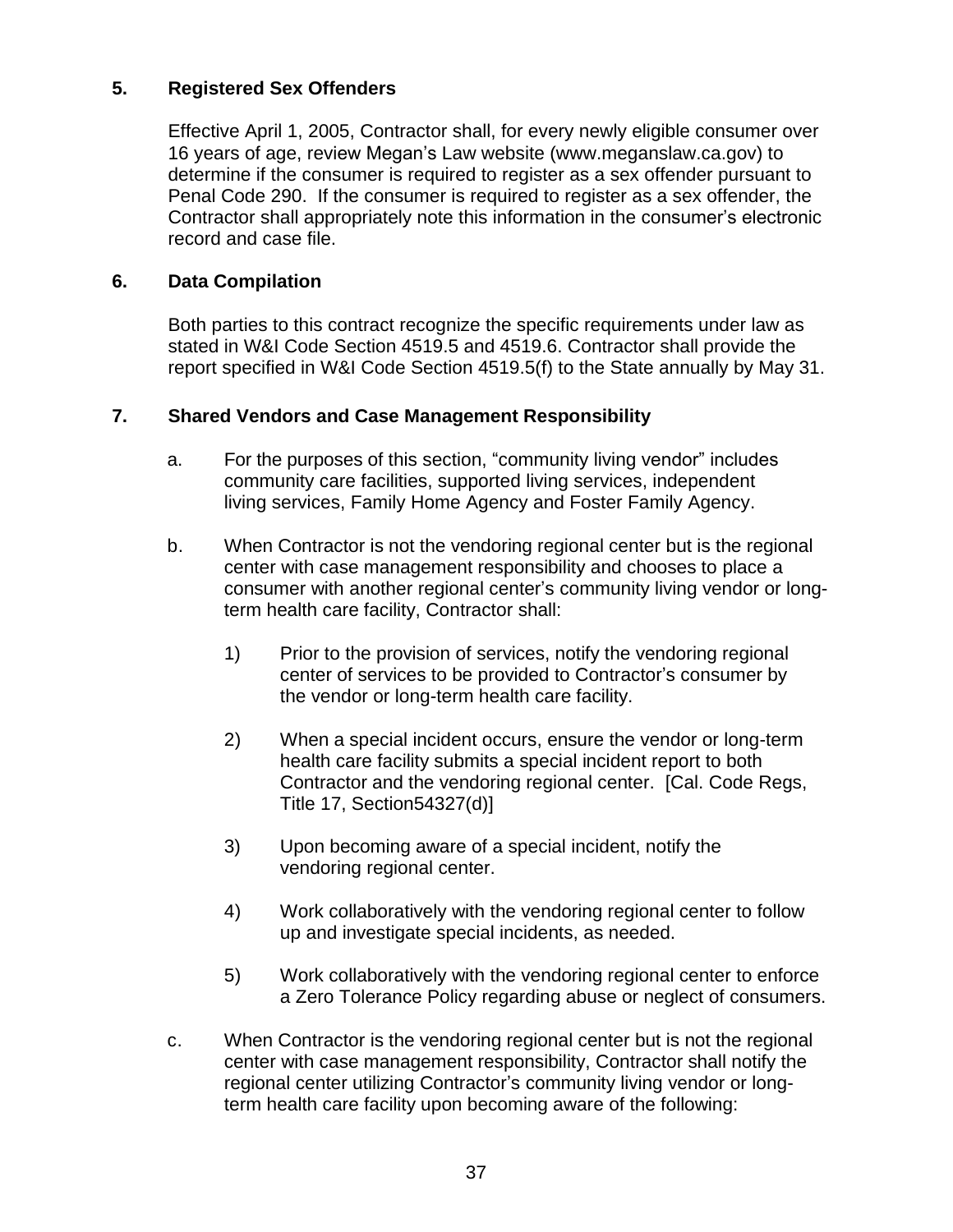## **5. Registered Sex Offenders**

Effective April 1, 2005, Contractor shall, for every newly eligible consumer over 16 years of age, review Megan's Law website (www.meganslaw.ca.gov) to determine if the consumer is required to register as a sex offender pursuant to Penal Code 290. If the consumer is required to register as a sex offender, the Contractor shall appropriately note this information in the consumer's electronic record and case file.

## **6. Data Compilation**

Both parties to this contract recognize the specific requirements under law as stated in W&I Code Section 4519.5 and 4519.6. Contractor shall provide the report specified in W&I Code Section 4519.5(f) to the State annually by May 31.

## **7. Shared Vendors and Case Management Responsibility**

- a. For the purposes of this section, "community living vendor" includes community care facilities, supported living services, independent living services, Family Home Agency and Foster Family Agency.
- b. When Contractor is not the vendoring regional center but is the regional center with case management responsibility and chooses to place a consumer with another regional center's community living vendor or longterm health care facility, Contractor shall:
	- 1) Prior to the provision of services, notify the vendoring regional center of services to be provided to Contractor's consumer by the vendor or long-term health care facility.
	- 2) When a special incident occurs, ensure the vendor or long-term health care facility submits a special incident report to both Contractor and the vendoring regional center. [Cal. Code Regs, Title 17, Section54327(d)]
	- 3) Upon becoming aware of a special incident, notify the vendoring regional center.
	- 4) Work collaboratively with the vendoring regional center to follow up and investigate special incidents, as needed.
	- 5) Work collaboratively with the vendoring regional center to enforce a Zero Tolerance Policy regarding abuse or neglect of consumers.
- c. When Contractor is the vendoring regional center but is not the regional center with case management responsibility, Contractor shall notify the regional center utilizing Contractor's community living vendor or longterm health care facility upon becoming aware of the following: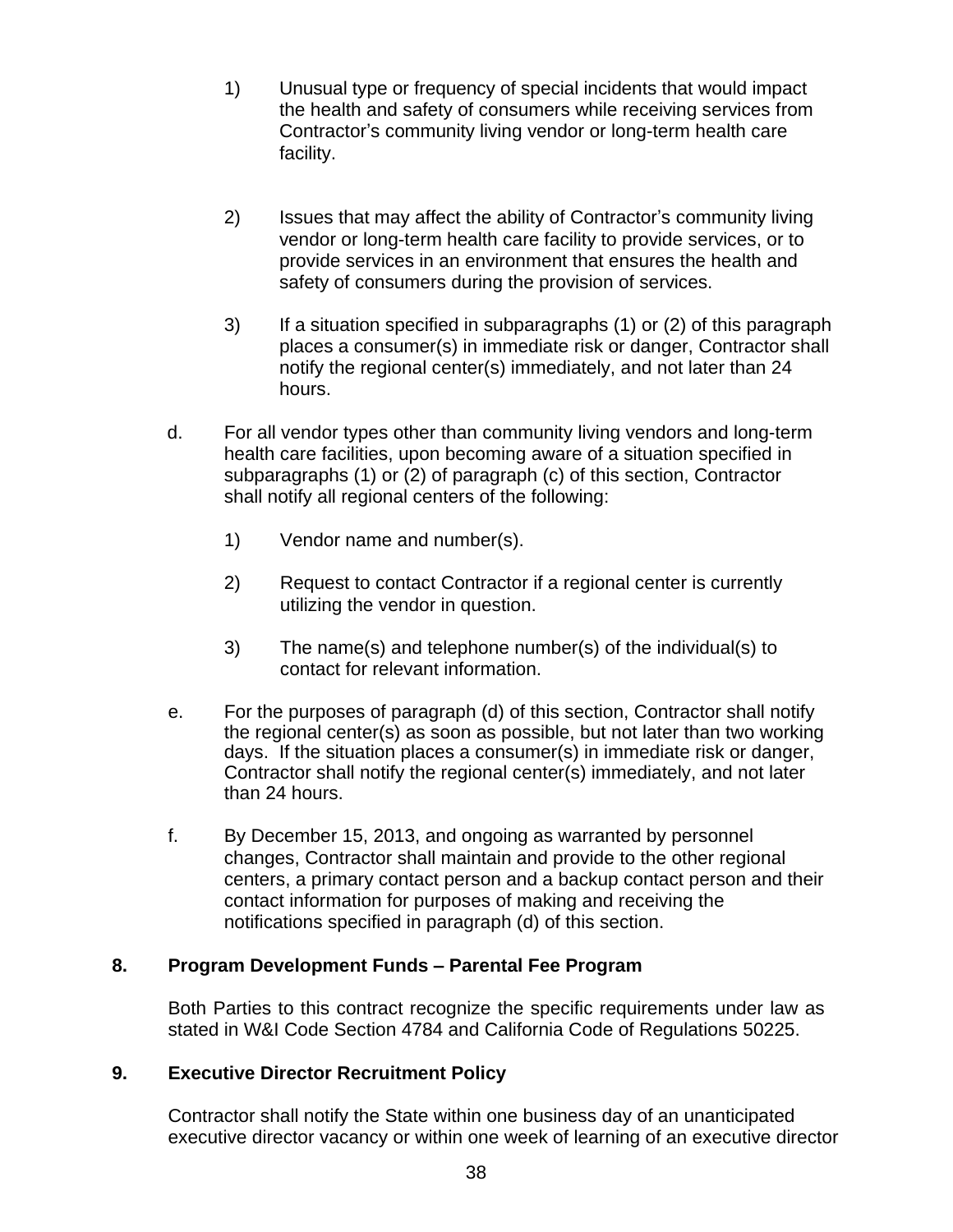- 1) Unusual type or frequency of special incidents that would impact the health and safety of consumers while receiving services from Contractor's community living vendor or long-term health care facility.
- 2) Issues that may affect the ability of Contractor's community living vendor or long-term health care facility to provide services, or to provide services in an environment that ensures the health and safety of consumers during the provision of services.
- 3) If a situation specified in subparagraphs (1) or (2) of this paragraph places a consumer(s) in immediate risk or danger, Contractor shall notify the regional center(s) immediately, and not later than 24 hours.
- d. For all vendor types other than community living vendors and long-term health care facilities, upon becoming aware of a situation specified in subparagraphs (1) or (2) of paragraph (c) of this section, Contractor shall notify all regional centers of the following:
	- 1) Vendor name and number(s).
	- 2) Request to contact Contractor if a regional center is currently utilizing the vendor in question.
	- 3) The name(s) and telephone number(s) of the individual(s) to contact for relevant information.
- e. For the purposes of paragraph (d) of this section, Contractor shall notify the regional center(s) as soon as possible, but not later than two working days. If the situation places a consumer(s) in immediate risk or danger, Contractor shall notify the regional center(s) immediately, and not later than 24 hours.
- f. By December 15, 2013, and ongoing as warranted by personnel changes, Contractor shall maintain and provide to the other regional centers, a primary contact person and a backup contact person and their contact information for purposes of making and receiving the notifications specified in paragraph (d) of this section.

# **8. Program Development Funds – Parental Fee Program**

Both Parties to this contract recognize the specific requirements under law as stated in W&I Code Section 4784 and California Code of Regulations 50225.

## **9. Executive Director Recruitment Policy**

Contractor shall notify the State within one business day of an unanticipated executive director vacancy or within one week of learning of an executive director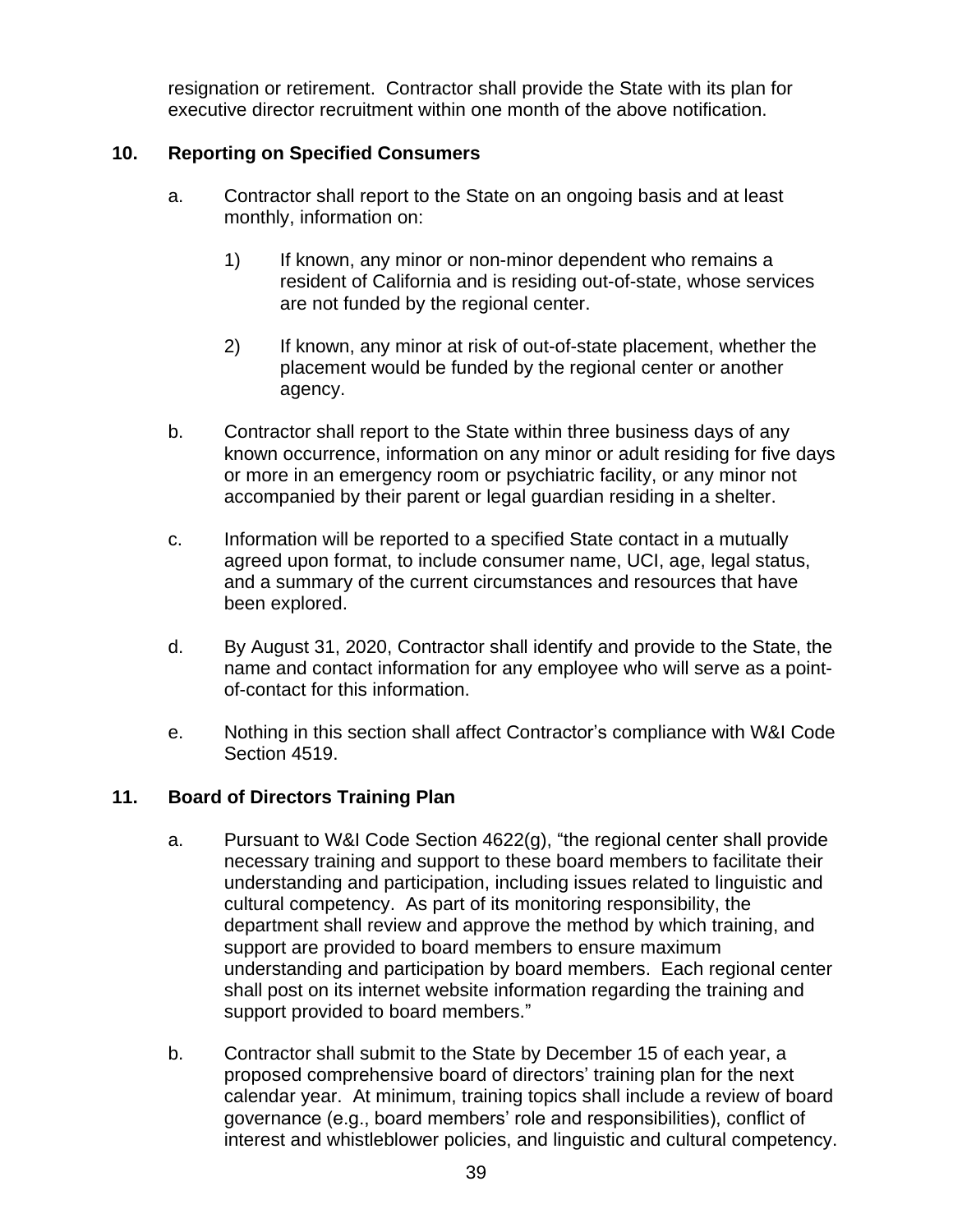resignation or retirement. Contractor shall provide the State with its plan for executive director recruitment within one month of the above notification.

# **10. Reporting on Specified Consumers**

- a. Contractor shall report to the State on an ongoing basis and at least monthly, information on:
	- 1) If known, any minor or non-minor dependent who remains a resident of California and is residing out-of-state, whose services are not funded by the regional center.
	- 2) If known, any minor at risk of out-of-state placement, whether the placement would be funded by the regional center or another agency.
- b. Contractor shall report to the State within three business days of any known occurrence, information on any minor or adult residing for five days or more in an emergency room or psychiatric facility, or any minor not accompanied by their parent or legal guardian residing in a shelter.
- c. Information will be reported to a specified State contact in a mutually agreed upon format, to include consumer name, UCI, age, legal status, and a summary of the current circumstances and resources that have been explored.
- d. By August 31, 2020, Contractor shall identify and provide to the State, the name and contact information for any employee who will serve as a pointof-contact for this information.
- e. Nothing in this section shall affect Contractor's compliance with W&I Code Section 4519.

# **11. Board of Directors Training Plan**

- a. Pursuant to W&I Code Section 4622(g), "the regional center shall provide necessary training and support to these board members to facilitate their understanding and participation, including issues related to linguistic and cultural competency. As part of its monitoring responsibility, the department shall review and approve the method by which training, and support are provided to board members to ensure maximum understanding and participation by board members. Each regional center shall post on its internet website information regarding the training and support provided to board members."
- b. Contractor shall submit to the State by December 15 of each year, a proposed comprehensive board of directors' training plan for the next calendar year. At minimum, training topics shall include a review of board governance (e.g., board members' role and responsibilities), conflict of interest and whistleblower policies, and linguistic and cultural competency.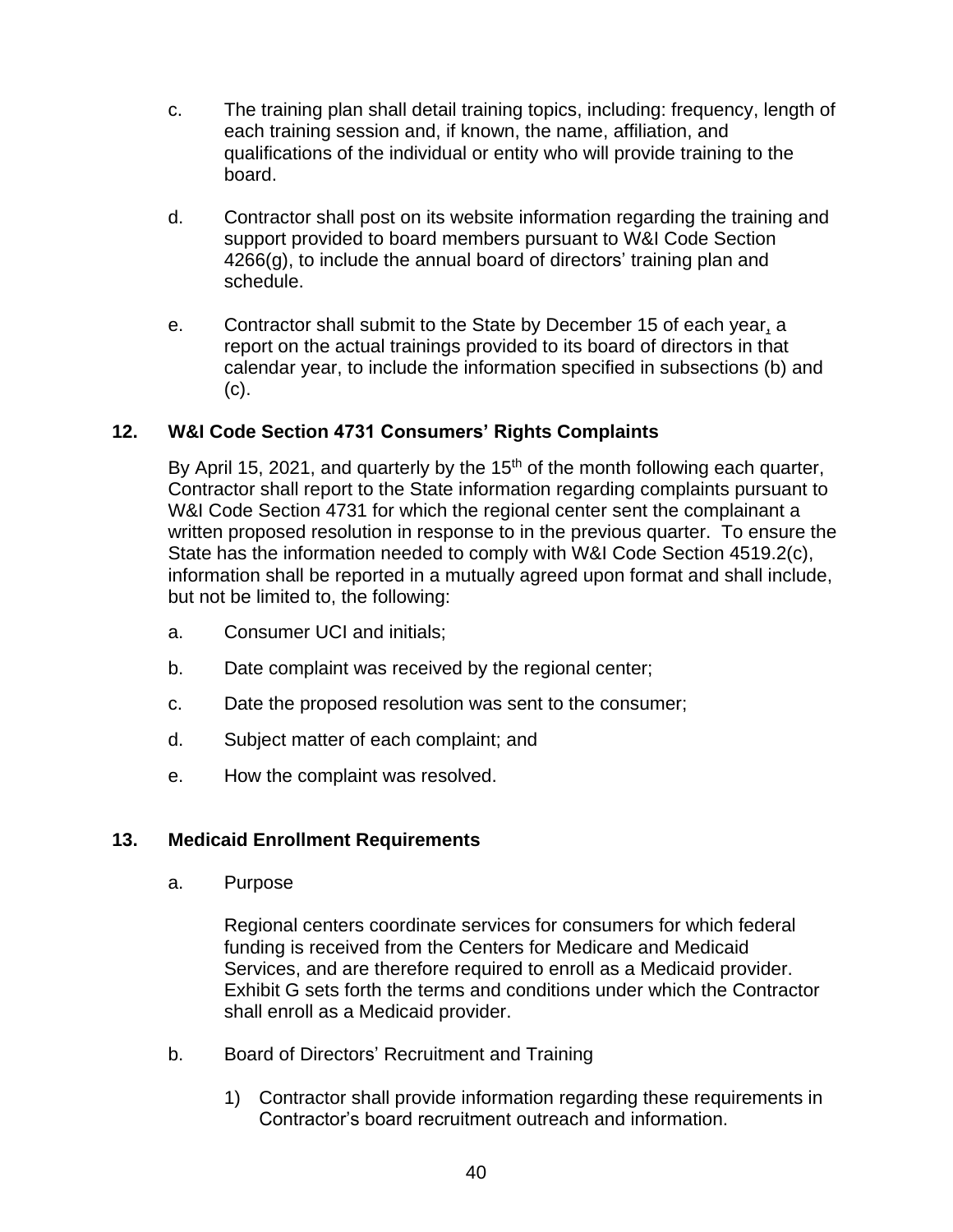- c. The training plan shall detail training topics, including: frequency, length of each training session and, if known, the name, affiliation, and qualifications of the individual or entity who will provide training to the board.
- d. Contractor shall post on its website information regarding the training and support provided to board members pursuant to W&I Code Section 4266(g), to include the annual board of directors' training plan and schedule.
- e. Contractor shall submit to the State by December 15 of each year, a report on the actual trainings provided to its board of directors in that calendar year, to include the information specified in subsections (b) and (c).

# **12. W&I Code Section 4731 Consumers' Rights Complaints**

By April 15, 2021, and quarterly by the  $15<sup>th</sup>$  of the month following each quarter, Contractor shall report to the State information regarding complaints pursuant to W&I Code Section 4731 for which the regional center sent the complainant a written proposed resolution in response to in the previous quarter. To ensure the State has the information needed to comply with W&I Code Section 4519.2(c), information shall be reported in a mutually agreed upon format and shall include, but not be limited to, the following:

- a. Consumer UCI and initials;
- b. Date complaint was received by the regional center;
- c. Date the proposed resolution was sent to the consumer;
- d. Subject matter of each complaint; and
- e. How the complaint was resolved.

# **13. Medicaid Enrollment Requirements**

a. Purpose

Regional centers coordinate services for consumers for which federal funding is received from the Centers for Medicare and Medicaid Services, and are therefore required to enroll as a Medicaid provider. Exhibit G sets forth the terms and conditions under which the Contractor shall enroll as a Medicaid provider.

- b. Board of Directors' Recruitment and Training
	- 1) Contractor shall provide information regarding these requirements in Contractor's board recruitment outreach and information.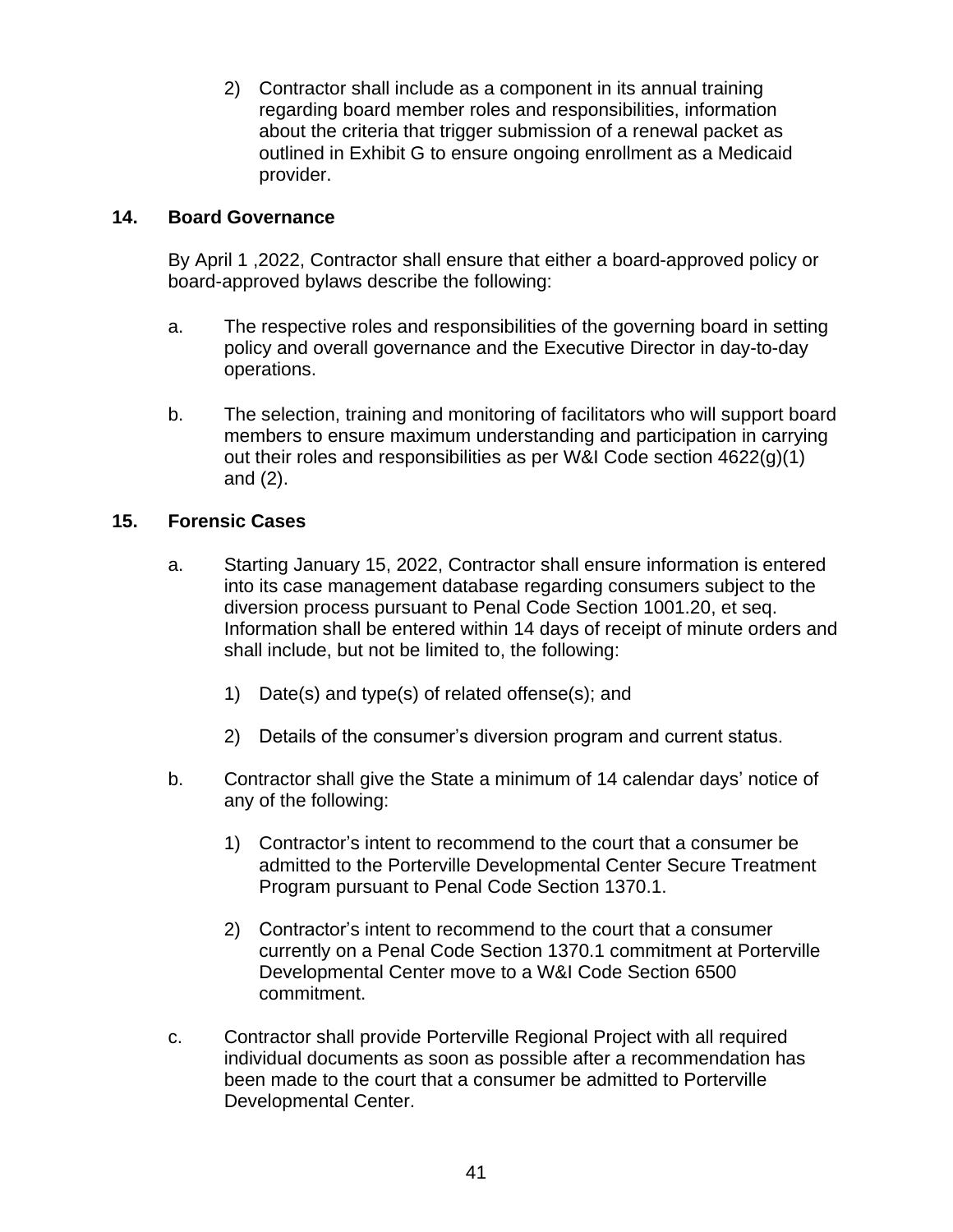2) Contractor shall include as a component in its annual training regarding board member roles and responsibilities, information about the criteria that trigger submission of a renewal packet as outlined in Exhibit G to ensure ongoing enrollment as a Medicaid provider.

## **14. Board Governance**

By April 1 ,2022, Contractor shall ensure that either a board-approved policy or board-approved bylaws describe the following:

- a. The respective roles and responsibilities of the governing board in setting policy and overall governance and the Executive Director in day-to-day operations.
- b. The selection, training and monitoring of facilitators who will support board members to ensure maximum understanding and participation in carrying out their roles and responsibilities as per W&I Code section 4622(g)(1) and (2).

## **15. Forensic Cases**

- a. Starting January 15, 2022, Contractor shall ensure information is entered into its case management database regarding consumers subject to the diversion process pursuant to Penal Code Section 1001.20, et seq. Information shall be entered within 14 days of receipt of minute orders and shall include, but not be limited to, the following:
	- 1) Date(s) and type(s) of related offense(s); and
	- 2) Details of the consumer's diversion program and current status.
- b. Contractor shall give the State a minimum of 14 calendar days' notice of any of the following:
	- 1) Contractor's intent to recommend to the court that a consumer be admitted to the Porterville Developmental Center Secure Treatment Program pursuant to Penal Code Section 1370.1.
	- 2) Contractor's intent to recommend to the court that a consumer currently on a Penal Code Section 1370.1 commitment at Porterville Developmental Center move to a W&I Code Section 6500 commitment.
- c. Contractor shall provide Porterville Regional Project with all required individual documents as soon as possible after a recommendation has been made to the court that a consumer be admitted to Porterville Developmental Center.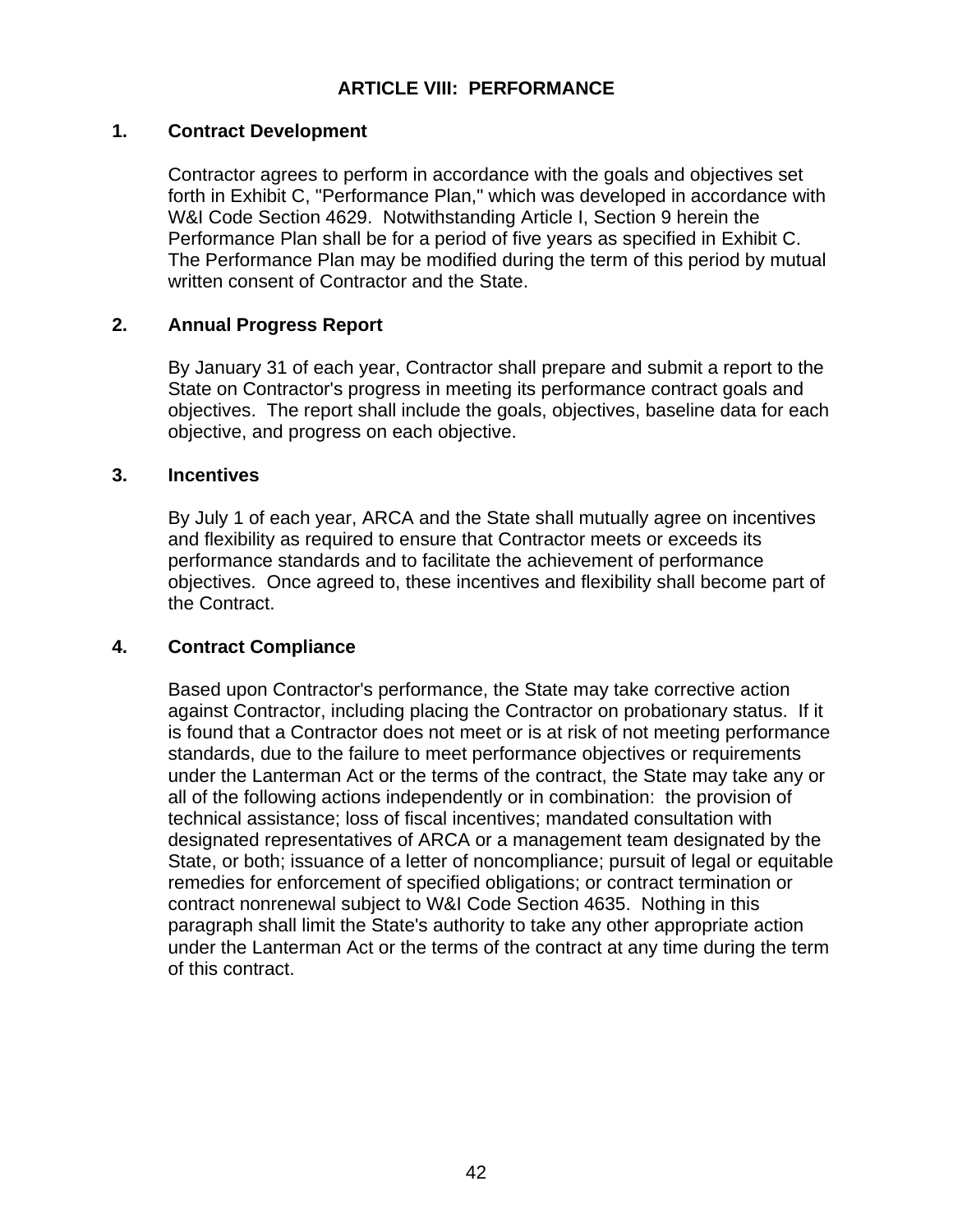# **ARTICLE VIII: PERFORMANCE**

### **1. Contract Development**

Contractor agrees to perform in accordance with the goals and objectives set forth in Exhibit C, "Performance Plan," which was developed in accordance with W&I Code Section 4629. Notwithstanding Article I, Section 9 herein the Performance Plan shall be for a period of five years as specified in Exhibit C. The Performance Plan may be modified during the term of this period by mutual written consent of Contractor and the State.

## **2. Annual Progress Report**

By January 31 of each year, Contractor shall prepare and submit a report to the State on Contractor's progress in meeting its performance contract goals and objectives. The report shall include the goals, objectives, baseline data for each objective, and progress on each objective.

#### **3. Incentives**

By July 1 of each year, ARCA and the State shall mutually agree on incentives and flexibility as required to ensure that Contractor meets or exceeds its performance standards and to facilitate the achievement of performance objectives. Once agreed to, these incentives and flexibility shall become part of the Contract.

## **4. Contract Compliance**

Based upon Contractor's performance, the State may take corrective action against Contractor, including placing the Contractor on probationary status. If it is found that a Contractor does not meet or is at risk of not meeting performance standards, due to the failure to meet performance objectives or requirements under the Lanterman Act or the terms of the contract, the State may take any or all of the following actions independently or in combination: the provision of technical assistance; loss of fiscal incentives; mandated consultation with designated representatives of ARCA or a management team designated by the State, or both; issuance of a letter of noncompliance; pursuit of legal or equitable remedies for enforcement of specified obligations; or contract termination or contract nonrenewal subject to W&I Code Section 4635. Nothing in this paragraph shall limit the State's authority to take any other appropriate action under the Lanterman Act or the terms of the contract at any time during the term of this contract.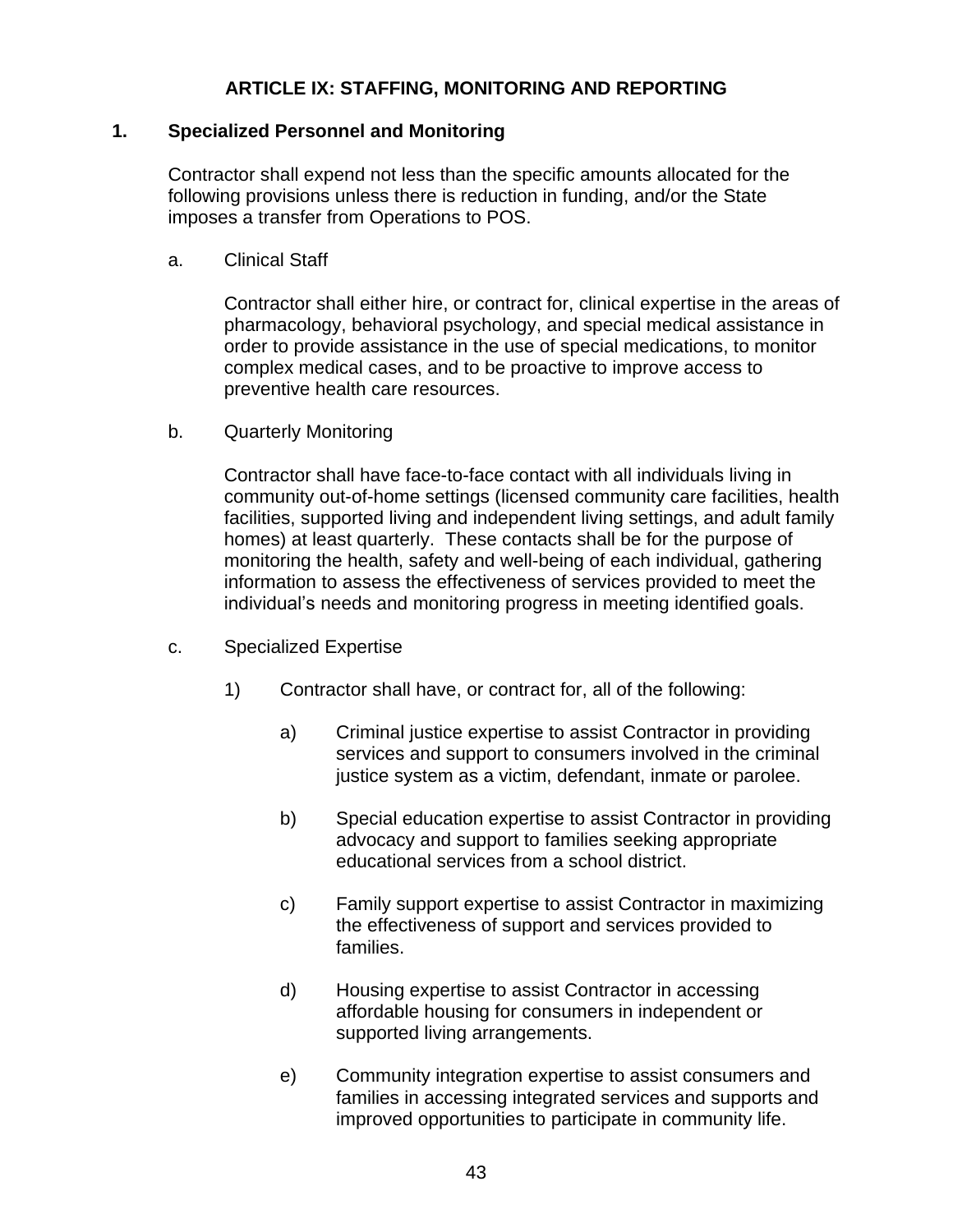## **ARTICLE IX: STAFFING, MONITORING AND REPORTING**

## **1. Specialized Personnel and Monitoring**

Contractor shall expend not less than the specific amounts allocated for the following provisions unless there is reduction in funding, and/or the State imposes a transfer from Operations to POS.

a. Clinical Staff

Contractor shall either hire, or contract for, clinical expertise in the areas of pharmacology, behavioral psychology, and special medical assistance in order to provide assistance in the use of special medications, to monitor complex medical cases, and to be proactive to improve access to preventive health care resources.

b. Quarterly Monitoring

Contractor shall have face-to-face contact with all individuals living in community out-of-home settings (licensed community care facilities, health facilities, supported living and independent living settings, and adult family homes) at least quarterly. These contacts shall be for the purpose of monitoring the health, safety and well-being of each individual, gathering information to assess the effectiveness of services provided to meet the individual's needs and monitoring progress in meeting identified goals.

- c. Specialized Expertise
	- 1) Contractor shall have, or contract for, all of the following:
		- a) Criminal justice expertise to assist Contractor in providing services and support to consumers involved in the criminal justice system as a victim, defendant, inmate or parolee.
		- b) Special education expertise to assist Contractor in providing advocacy and support to families seeking appropriate educational services from a school district.
		- c) Family support expertise to assist Contractor in maximizing the effectiveness of support and services provided to families.
		- d) Housing expertise to assist Contractor in accessing affordable housing for consumers in independent or supported living arrangements.
		- e) Community integration expertise to assist consumers and families in accessing integrated services and supports and improved opportunities to participate in community life.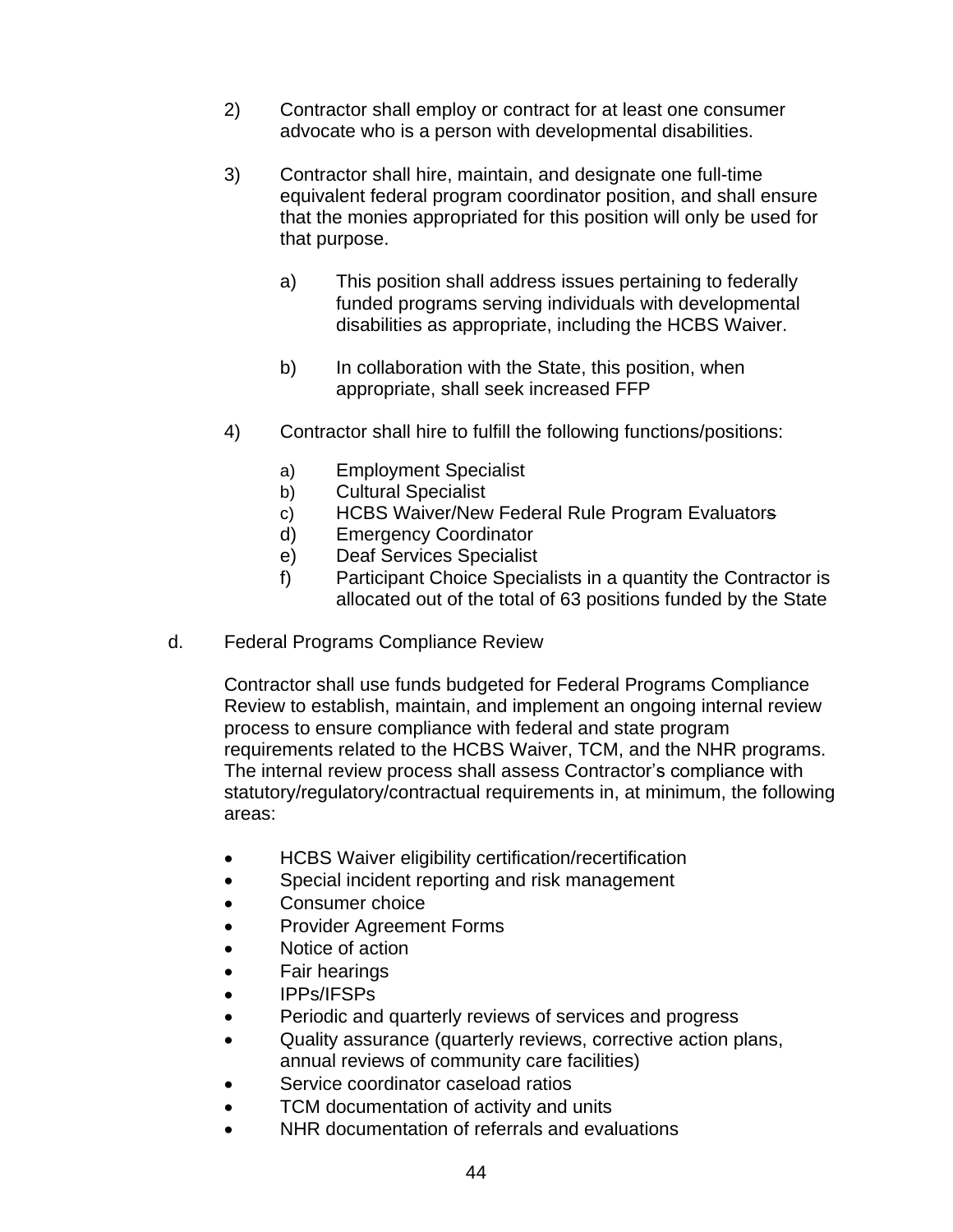- 2) Contractor shall employ or contract for at least one consumer advocate who is a person with developmental disabilities.
- 3) Contractor shall hire, maintain, and designate one full-time equivalent federal program coordinator position, and shall ensure that the monies appropriated for this position will only be used for that purpose.
	- a) This position shall address issues pertaining to federally funded programs serving individuals with developmental disabilities as appropriate, including the HCBS Waiver.
	- b) In collaboration with the State, this position, when appropriate, shall seek increased FFP
- 4) Contractor shall hire to fulfill the following functions/positions:
	- a) Employment Specialist
	- b) Cultural Specialist
	- c) HCBS Waiver/New Federal Rule Program Evaluators
	- d) Emergency Coordinator
	- e) Deaf Services Specialist
	- f) Participant Choice Specialists in a quantity the Contractor is allocated out of the total of 63 positions funded by the State
- d. Federal Programs Compliance Review

Contractor shall use funds budgeted for Federal Programs Compliance Review to establish, maintain, and implement an ongoing internal review process to ensure compliance with federal and state program requirements related to the HCBS Waiver, TCM, and the NHR programs. The internal review process shall assess Contractor's compliance with statutory/regulatory/contractual requirements in, at minimum, the following areas:

- HCBS Waiver eligibility certification/recertification
- Special incident reporting and risk management
- Consumer choice
- Provider Agreement Forms
- Notice of action
- Fair hearings
- IPPs/IFSPs
- Periodic and quarterly reviews of services and progress
- Quality assurance (quarterly reviews, corrective action plans, annual reviews of community care facilities)
- Service coordinator caseload ratios
- TCM documentation of activity and units
- NHR documentation of referrals and evaluations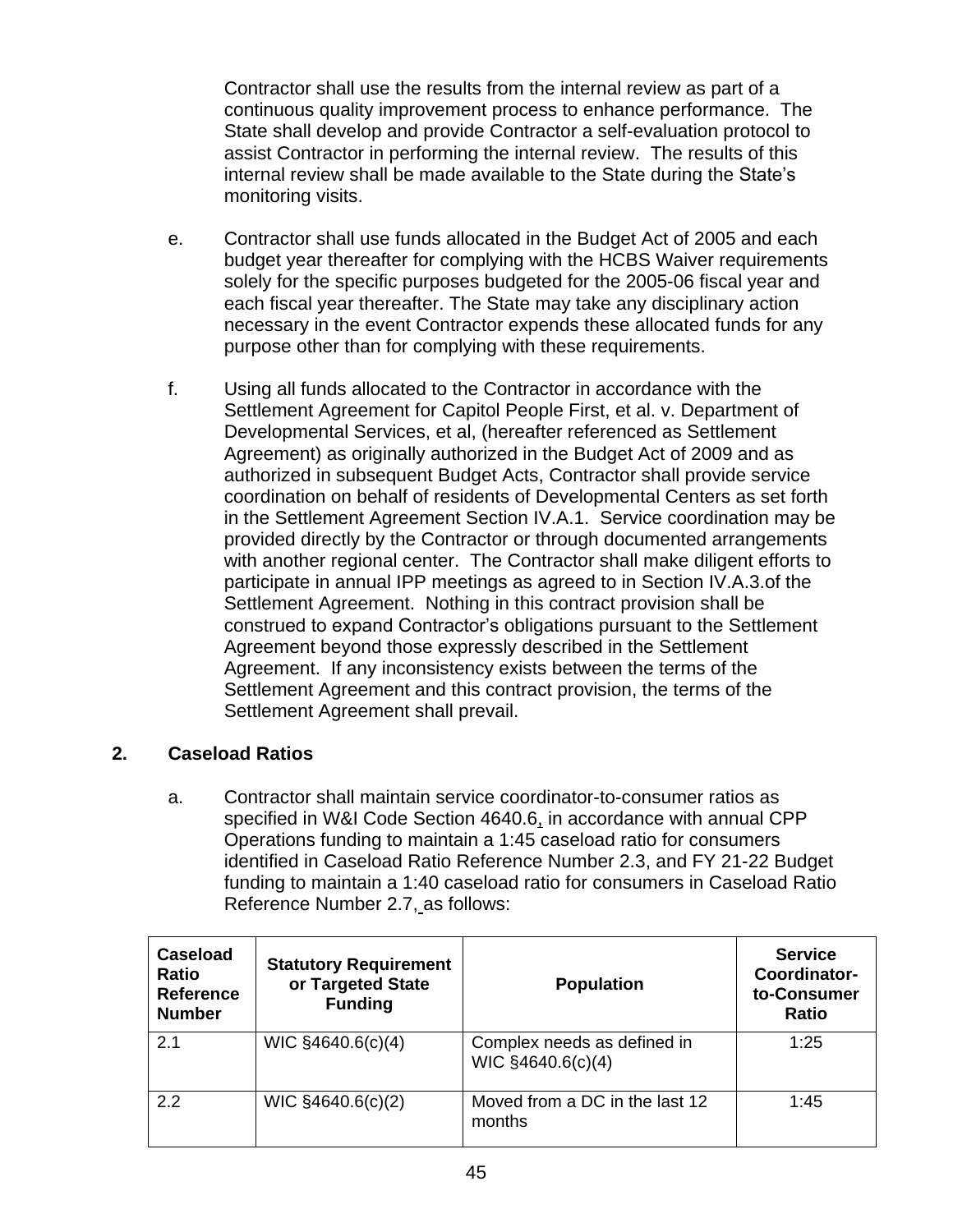Contractor shall use the results from the internal review as part of a continuous quality improvement process to enhance performance. The State shall develop and provide Contractor a self-evaluation protocol to assist Contractor in performing the internal review. The results of this internal review shall be made available to the State during the State's monitoring visits.

- e. Contractor shall use funds allocated in the Budget Act of 2005 and each budget year thereafter for complying with the HCBS Waiver requirements solely for the specific purposes budgeted for the 2005-06 fiscal year and each fiscal year thereafter. The State may take any disciplinary action necessary in the event Contractor expends these allocated funds for any purpose other than for complying with these requirements.
- f. Using all funds allocated to the Contractor in accordance with the Settlement Agreement for Capitol People First, et al. v. Department of Developmental Services, et al, (hereafter referenced as Settlement Agreement) as originally authorized in the Budget Act of 2009 and as authorized in subsequent Budget Acts, Contractor shall provide service coordination on behalf of residents of Developmental Centers as set forth in the Settlement Agreement Section IV.A.1. Service coordination may be provided directly by the Contractor or through documented arrangements with another regional center. The Contractor shall make diligent efforts to participate in annual IPP meetings as agreed to in Section IV.A.3.of the Settlement Agreement. Nothing in this contract provision shall be construed to expand Contractor's obligations pursuant to the Settlement Agreement beyond those expressly described in the Settlement Agreement. If any inconsistency exists between the terms of the Settlement Agreement and this contract provision, the terms of the Settlement Agreement shall prevail.

# **2. Caseload Ratios**

a. Contractor shall maintain service coordinator-to-consumer ratios as specified in W&I Code Section 4640.6, in accordance with annual CPP Operations funding to maintain a 1:45 caseload ratio for consumers identified in Caseload Ratio Reference Number 2.3, and FY 21-22 Budget funding to maintain a 1:40 caseload ratio for consumers in Caseload Ratio Reference Number 2.7, as follows:

| Caseload<br><b>Ratio</b><br><b>Reference</b><br><b>Number</b> | <b>Statutory Requirement</b><br>or Targeted State<br><b>Funding</b> | <b>Population</b>                                | <b>Service</b><br>Coordinator-<br>to-Consumer<br><b>Ratio</b> |
|---------------------------------------------------------------|---------------------------------------------------------------------|--------------------------------------------------|---------------------------------------------------------------|
| 2.1                                                           | WIC $§4640.6(c)(4)$                                                 | Complex needs as defined in<br>WIC §4640.6(c)(4) | 1:25                                                          |
| 2.2                                                           | WIC §4640.6(c)(2)                                                   | Moved from a DC in the last 12<br>months         | 1:45                                                          |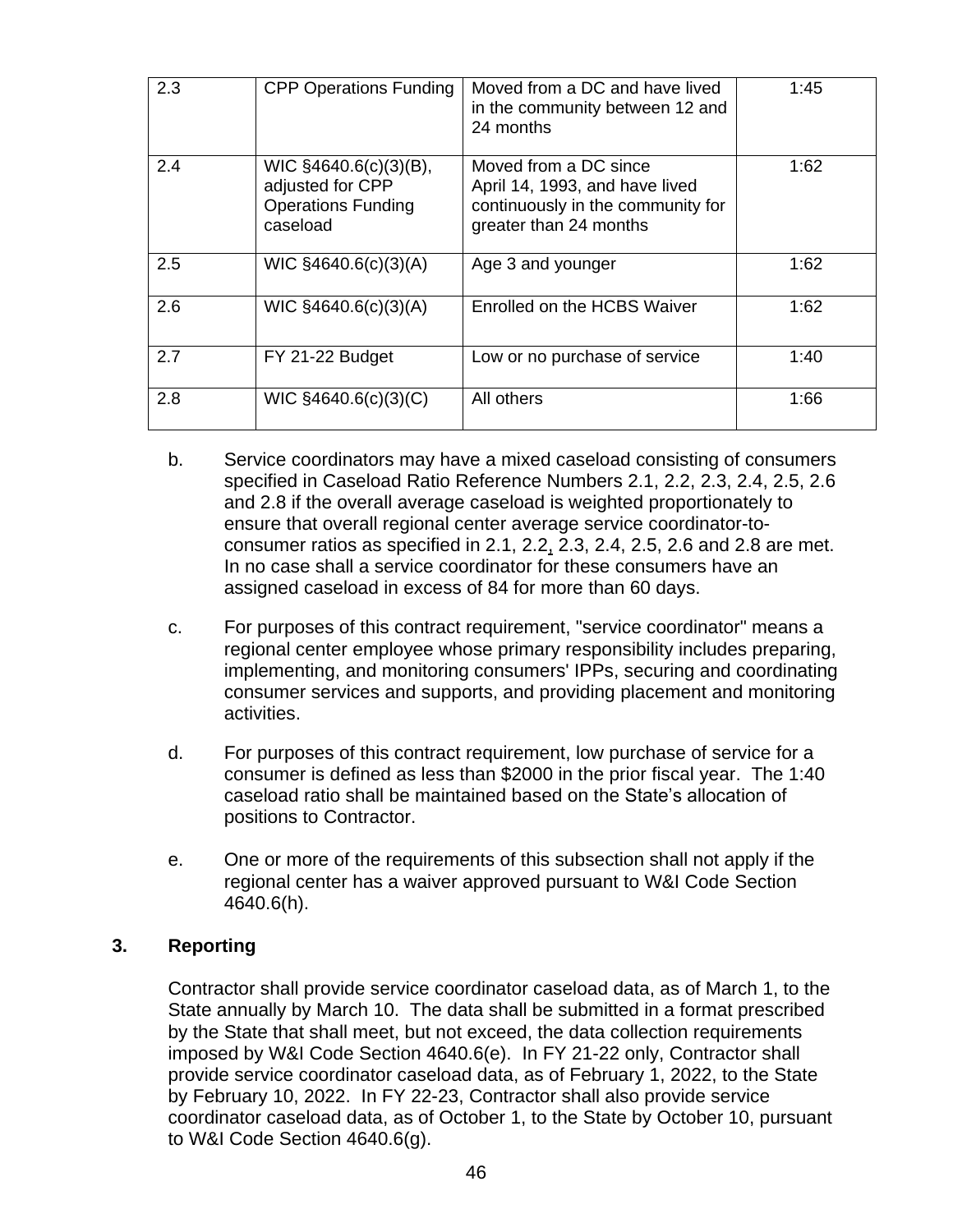| 2.3 | <b>CPP Operations Funding</b>                                                      | Moved from a DC and have lived<br>in the community between 12 and<br>24 months                                         | 1:45 |
|-----|------------------------------------------------------------------------------------|------------------------------------------------------------------------------------------------------------------------|------|
| 2.4 | WIC §4640.6(c)(3)(B),<br>adjusted for CPP<br><b>Operations Funding</b><br>caseload | Moved from a DC since<br>April 14, 1993, and have lived<br>continuously in the community for<br>greater than 24 months | 1:62 |
| 2.5 | WIC §4640.6(c)(3)(A)                                                               | Age 3 and younger                                                                                                      | 1:62 |
| 2.6 | WIC §4640.6(c)(3)(A)                                                               | Enrolled on the HCBS Waiver                                                                                            | 1:62 |
| 2.7 | FY 21-22 Budget                                                                    | Low or no purchase of service                                                                                          | 1:40 |
| 2.8 | WIC §4640.6(c)(3)(C)                                                               | All others                                                                                                             | 1:66 |

- b. Service coordinators may have a mixed caseload consisting of consumers specified in Caseload Ratio Reference Numbers 2.1, 2.2, 2.3, 2.4, 2.5, 2.6 and 2.8 if the overall average caseload is weighted proportionately to ensure that overall regional center average service coordinator-toconsumer ratios as specified in 2.1, 2.2, 2.3, 2.4, 2.5, 2.6 and 2.8 are met. In no case shall a service coordinator for these consumers have an assigned caseload in excess of 84 for more than 60 days.
- c. For purposes of this contract requirement, "service coordinator" means a regional center employee whose primary responsibility includes preparing, implementing, and monitoring consumers' IPPs, securing and coordinating consumer services and supports, and providing placement and monitoring activities.
- d. For purposes of this contract requirement, low purchase of service for a consumer is defined as less than \$2000 in the prior fiscal year. The 1:40 caseload ratio shall be maintained based on the State's allocation of positions to Contractor.
- e. One or more of the requirements of this subsection shall not apply if the regional center has a waiver approved pursuant to W&I Code Section 4640.6(h).

# **3. Reporting**

Contractor shall provide service coordinator caseload data, as of March 1, to the State annually by March 10. The data shall be submitted in a format prescribed by the State that shall meet, but not exceed, the data collection requirements imposed by W&I Code Section 4640.6(e). In FY 21-22 only, Contractor shall provide service coordinator caseload data, as of February 1, 2022, to the State by February 10, 2022. In FY 22-23, Contractor shall also provide service coordinator caseload data, as of October 1, to the State by October 10, pursuant to W&I Code Section 4640.6(g).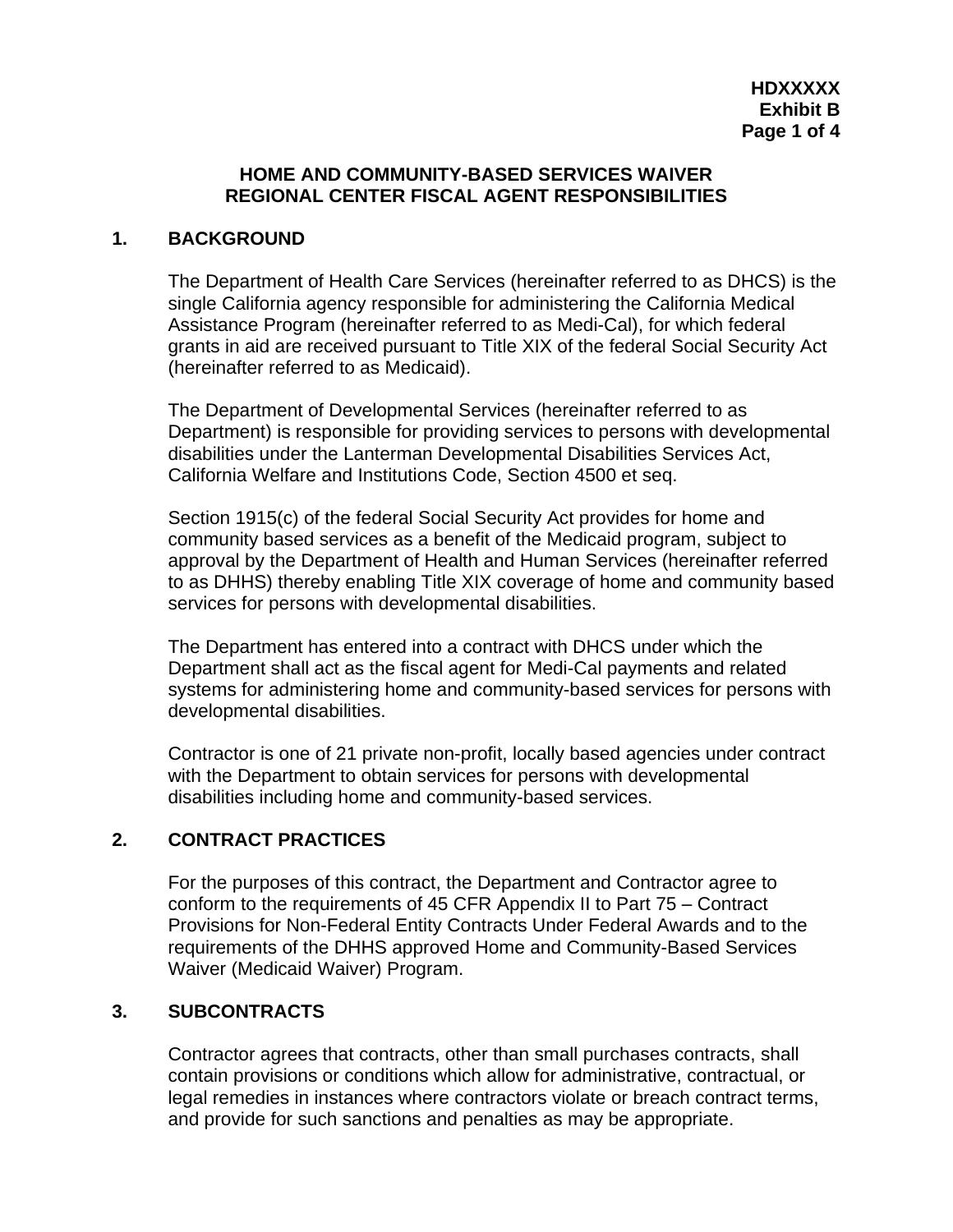### **HOME AND COMMUNITY-BASED SERVICES WAIVER REGIONAL CENTER FISCAL AGENT RESPONSIBILITIES**

## **1. BACKGROUND**

The Department of Health Care Services (hereinafter referred to as DHCS) is the single California agency responsible for administering the California Medical Assistance Program (hereinafter referred to as Medi-Cal), for which federal grants in aid are received pursuant to Title XIX of the federal Social Security Act (hereinafter referred to as Medicaid).

The Department of Developmental Services (hereinafter referred to as Department) is responsible for providing services to persons with developmental disabilities under the Lanterman Developmental Disabilities Services Act, California Welfare and Institutions Code, Section 4500 et seq.

Section 1915(c) of the federal Social Security Act provides for home and community based services as a benefit of the Medicaid program, subject to approval by the Department of Health and Human Services (hereinafter referred to as DHHS) thereby enabling Title XIX coverage of home and community based services for persons with developmental disabilities.

The Department has entered into a contract with DHCS under which the Department shall act as the fiscal agent for Medi-Cal payments and related systems for administering home and community-based services for persons with developmental disabilities.

Contractor is one of 21 private non-profit, locally based agencies under contract with the Department to obtain services for persons with developmental disabilities including home and community-based services.

# **2. CONTRACT PRACTICES**

For the purposes of this contract, the Department and Contractor agree to conform to the requirements of 45 CFR Appendix II to Part 75 – Contract Provisions for Non-Federal Entity Contracts Under Federal Awards and to the requirements of the DHHS approved Home and Community-Based Services Waiver (Medicaid Waiver) Program.

## **3. SUBCONTRACTS**

Contractor agrees that contracts, other than small purchases contracts, shall contain provisions or conditions which allow for administrative, contractual, or legal remedies in instances where contractors violate or breach contract terms, and provide for such sanctions and penalties as may be appropriate.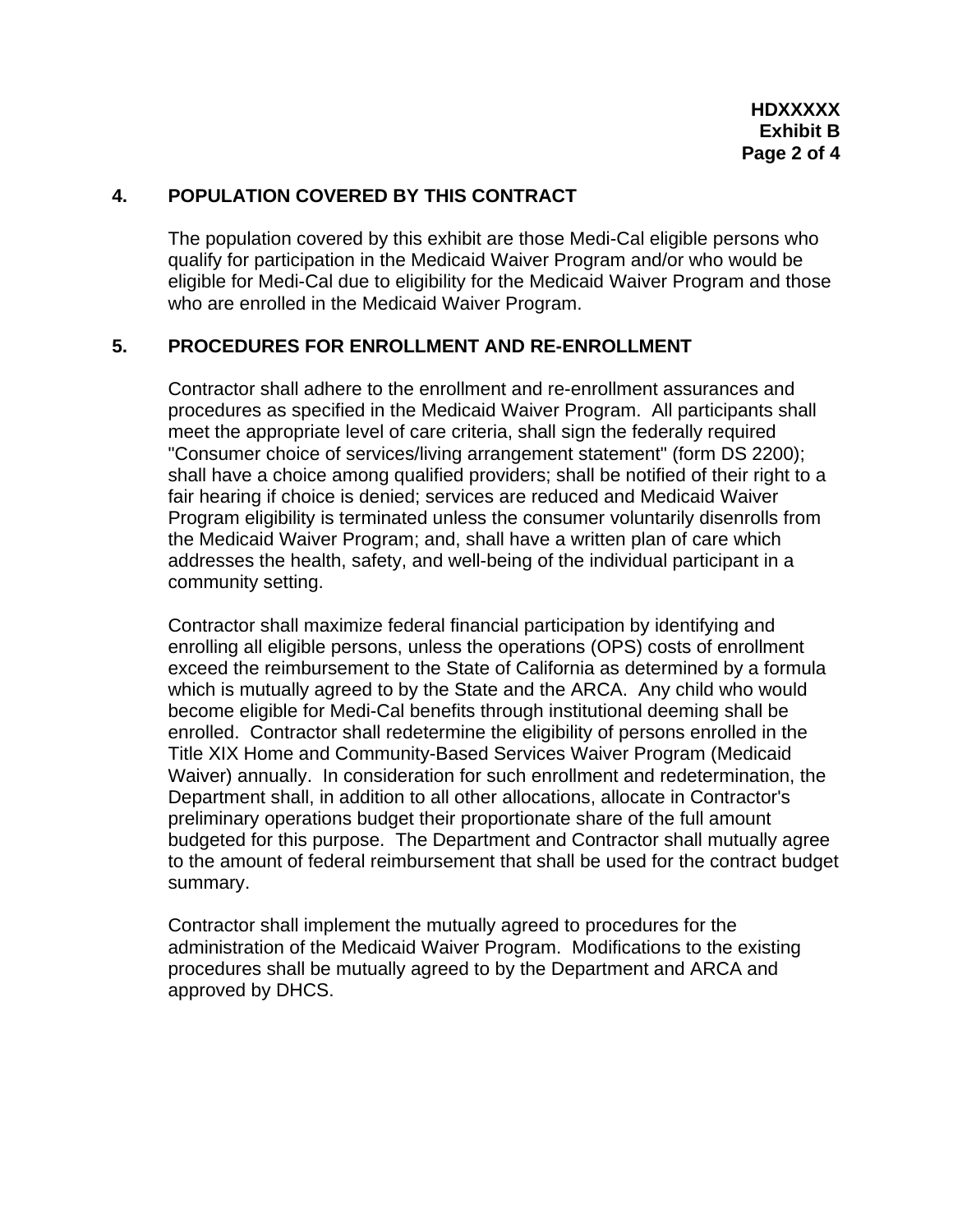## **4. POPULATION COVERED BY THIS CONTRACT**

The population covered by this exhibit are those Medi-Cal eligible persons who qualify for participation in the Medicaid Waiver Program and/or who would be eligible for Medi-Cal due to eligibility for the Medicaid Waiver Program and those who are enrolled in the Medicaid Waiver Program.

## **5. PROCEDURES FOR ENROLLMENT AND RE-ENROLLMENT**

Contractor shall adhere to the enrollment and re-enrollment assurances and procedures as specified in the Medicaid Waiver Program. All participants shall meet the appropriate level of care criteria, shall sign the federally required "Consumer choice of services/living arrangement statement" (form DS 2200); shall have a choice among qualified providers; shall be notified of their right to a fair hearing if choice is denied; services are reduced and Medicaid Waiver Program eligibility is terminated unless the consumer voluntarily disenrolls from the Medicaid Waiver Program; and, shall have a written plan of care which addresses the health, safety, and well-being of the individual participant in a community setting.

Contractor shall maximize federal financial participation by identifying and enrolling all eligible persons, unless the operations (OPS) costs of enrollment exceed the reimbursement to the State of California as determined by a formula which is mutually agreed to by the State and the ARCA. Any child who would become eligible for Medi-Cal benefits through institutional deeming shall be enrolled. Contractor shall redetermine the eligibility of persons enrolled in the Title XIX Home and Community-Based Services Waiver Program (Medicaid Waiver) annually. In consideration for such enrollment and redetermination, the Department shall, in addition to all other allocations, allocate in Contractor's preliminary operations budget their proportionate share of the full amount budgeted for this purpose. The Department and Contractor shall mutually agree to the amount of federal reimbursement that shall be used for the contract budget summary.

Contractor shall implement the mutually agreed to procedures for the administration of the Medicaid Waiver Program. Modifications to the existing procedures shall be mutually agreed to by the Department and ARCA and approved by DHCS.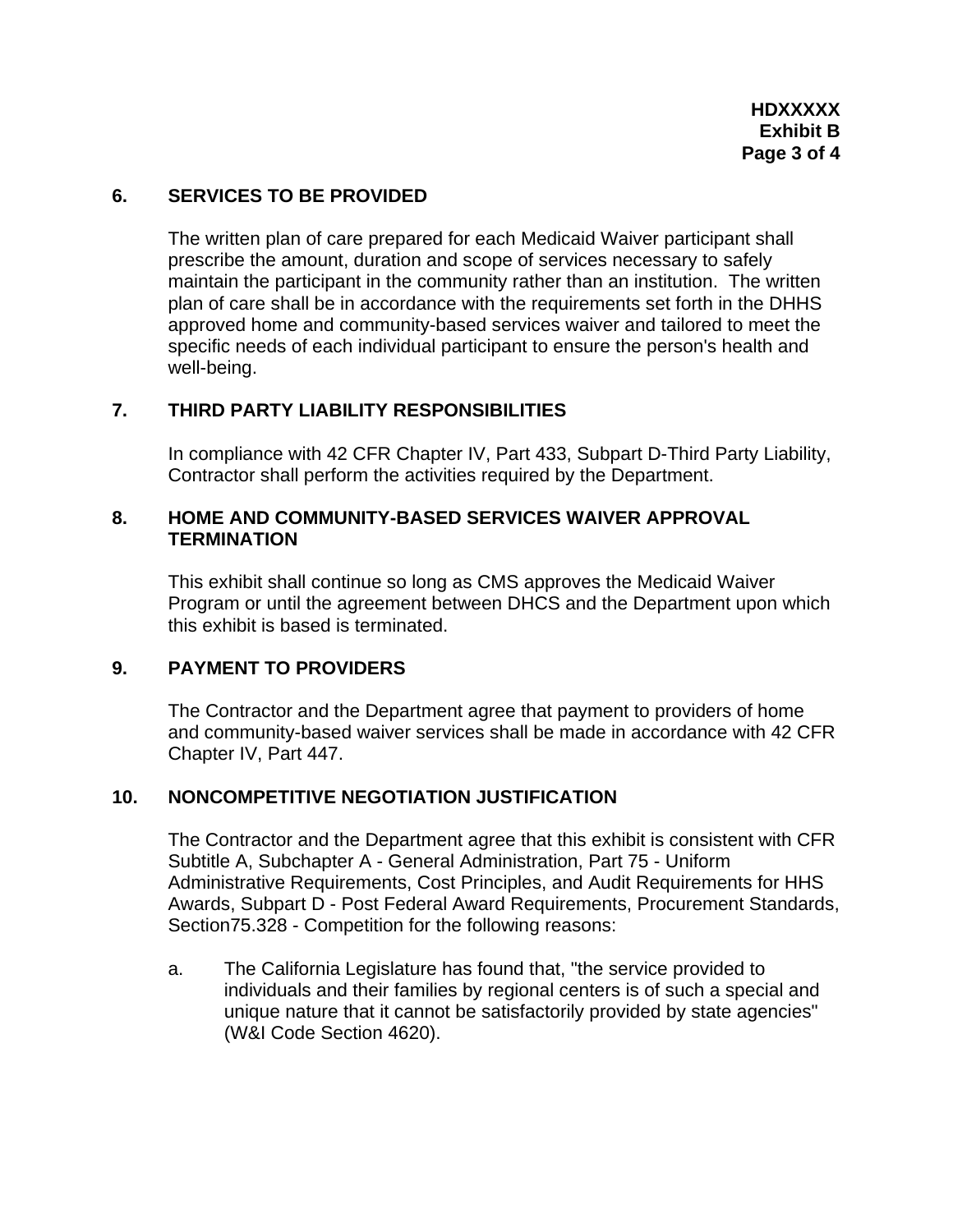## **6. SERVICES TO BE PROVIDED**

The written plan of care prepared for each Medicaid Waiver participant shall prescribe the amount, duration and scope of services necessary to safely maintain the participant in the community rather than an institution. The written plan of care shall be in accordance with the requirements set forth in the DHHS approved home and community-based services waiver and tailored to meet the specific needs of each individual participant to ensure the person's health and well-being.

## **7. THIRD PARTY LIABILITY RESPONSIBILITIES**

In compliance with 42 CFR Chapter IV, Part 433, Subpart D-Third Party Liability, Contractor shall perform the activities required by the Department.

## **8. HOME AND COMMUNITY-BASED SERVICES WAIVER APPROVAL TERMINATION**

This exhibit shall continue so long as CMS approves the Medicaid Waiver Program or until the agreement between DHCS and the Department upon which this exhibit is based is terminated.

## **9. PAYMENT TO PROVIDERS**

The Contractor and the Department agree that payment to providers of home and community-based waiver services shall be made in accordance with 42 CFR Chapter IV, Part 447.

## **10. NONCOMPETITIVE NEGOTIATION JUSTIFICATION**

The Contractor and the Department agree that this exhibit is consistent with CFR Subtitle A, Subchapter A - General Administration, Part 75 - Uniform Administrative Requirements, Cost Principles, and Audit Requirements for HHS Awards, Subpart D - Post Federal Award Requirements, Procurement Standards, Section75.328 - Competition for the following reasons:

a. The California Legislature has found that, "the service provided to individuals and their families by regional centers is of such a special and unique nature that it cannot be satisfactorily provided by state agencies" (W&I Code Section 4620).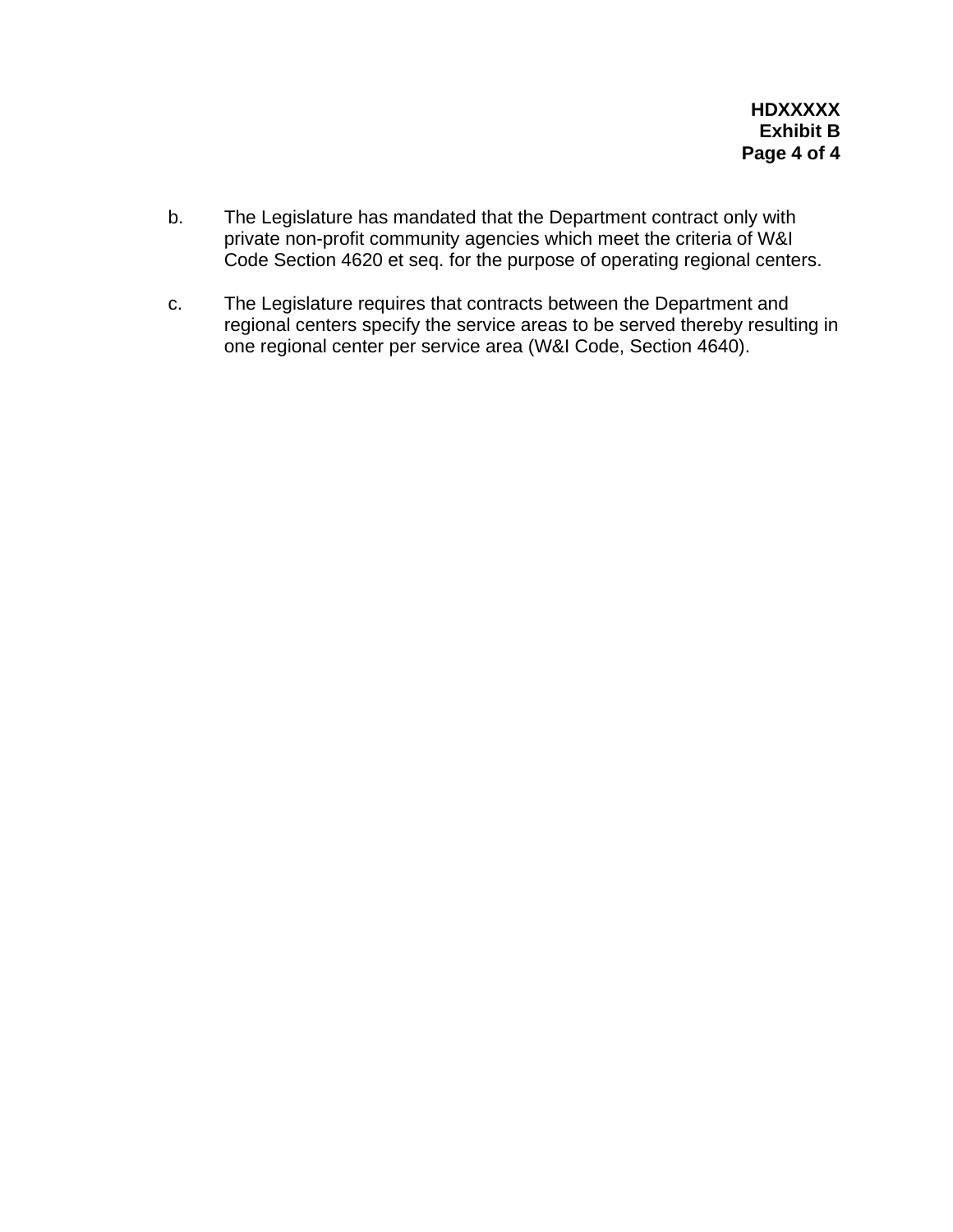- b. The Legislature has mandated that the Department contract only with private non-profit community agencies which meet the criteria of W&I Code Section 4620 et seq. for the purpose of operating regional centers.
- c. The Legislature requires that contracts between the Department and regional centers specify the service areas to be served thereby resulting in one regional center per service area (W&I Code, Section 4640).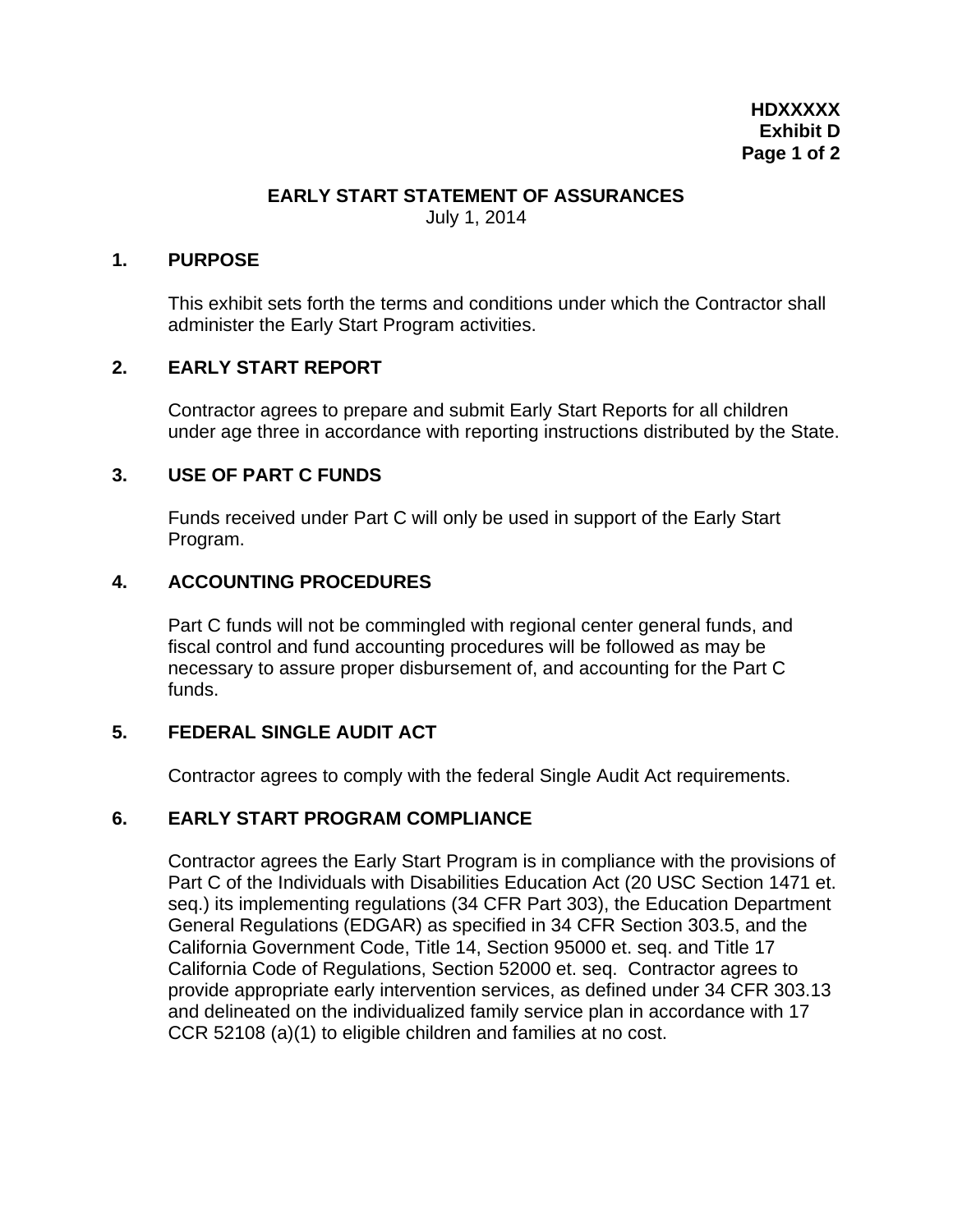### **EARLY START STATEMENT OF ASSURANCES**

July 1, 2014

#### **1. PURPOSE**

This exhibit sets forth the terms and conditions under which the Contractor shall administer the Early Start Program activities.

## **2. EARLY START REPORT**

Contractor agrees to prepare and submit Early Start Reports for all children under age three in accordance with reporting instructions distributed by the State.

## **3. USE OF PART C FUNDS**

Funds received under Part C will only be used in support of the Early Start Program.

## **4. ACCOUNTING PROCEDURES**

Part C funds will not be commingled with regional center general funds, and fiscal control and fund accounting procedures will be followed as may be necessary to assure proper disbursement of, and accounting for the Part C funds.

## **5. FEDERAL SINGLE AUDIT ACT**

Contractor agrees to comply with the federal Single Audit Act requirements.

## **6. EARLY START PROGRAM COMPLIANCE**

Contractor agrees the Early Start Program is in compliance with the provisions of Part C of the Individuals with Disabilities Education Act (20 USC Section 1471 et. seq.) its implementing regulations (34 CFR Part 303), the Education Department General Regulations (EDGAR) as specified in 34 CFR Section 303.5, and the California Government Code, Title 14, Section 95000 et. seq. and Title 17 California Code of Regulations, Section 52000 et. seq. Contractor agrees to provide appropriate early intervention services, as defined under 34 CFR 303.13 and delineated on the individualized family service plan in accordance with 17 CCR 52108 (a)(1) to eligible children and families at no cost.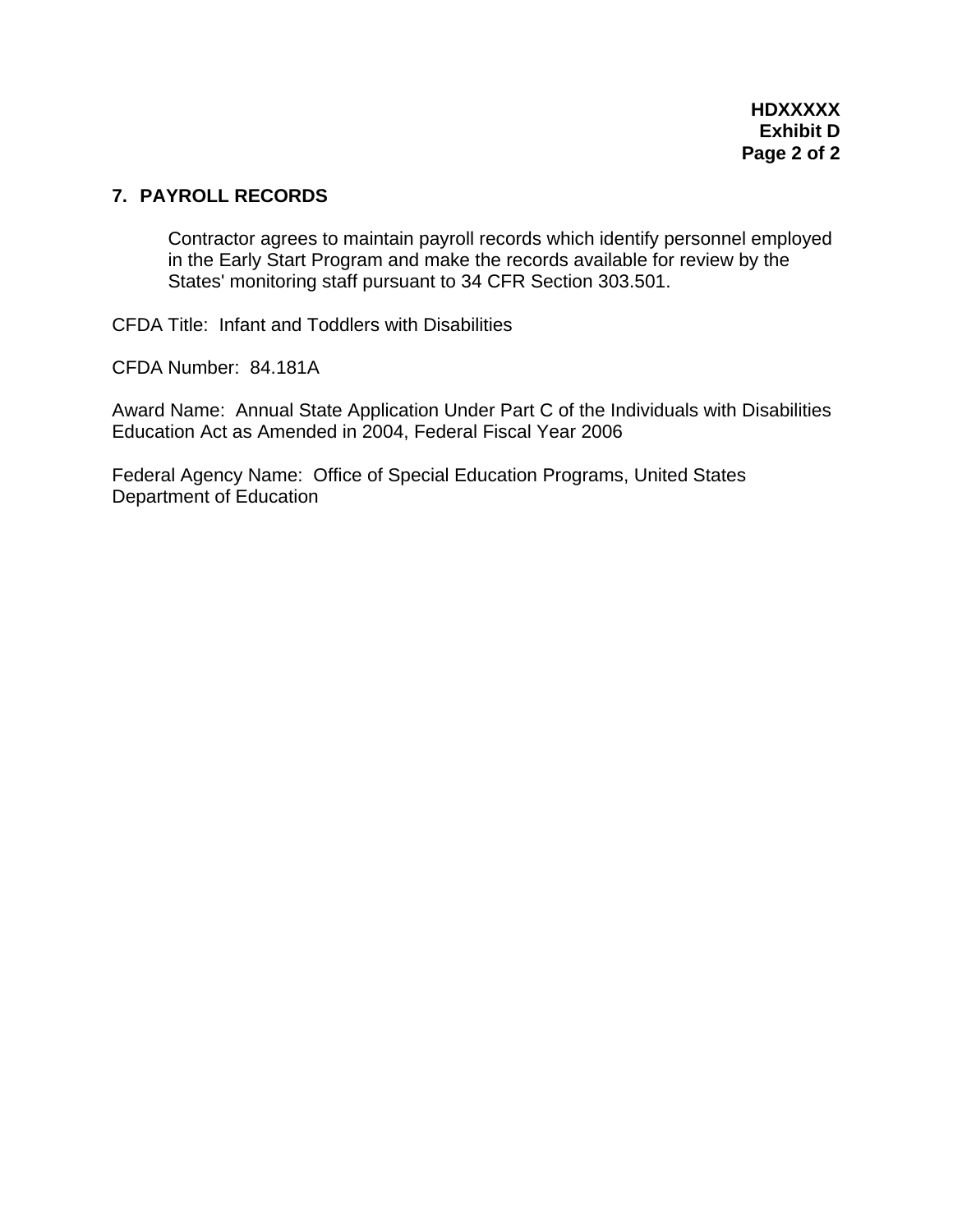## **7. PAYROLL RECORDS**

Contractor agrees to maintain payroll records which identify personnel employed in the Early Start Program and make the records available for review by the States' monitoring staff pursuant to 34 CFR Section 303.501.

CFDA Title: Infant and Toddlers with Disabilities

CFDA Number: 84.181A

Award Name: Annual State Application Under Part C of the Individuals with Disabilities Education Act as Amended in 2004, Federal Fiscal Year 2006

Federal Agency Name: Office of Special Education Programs, United States Department of Education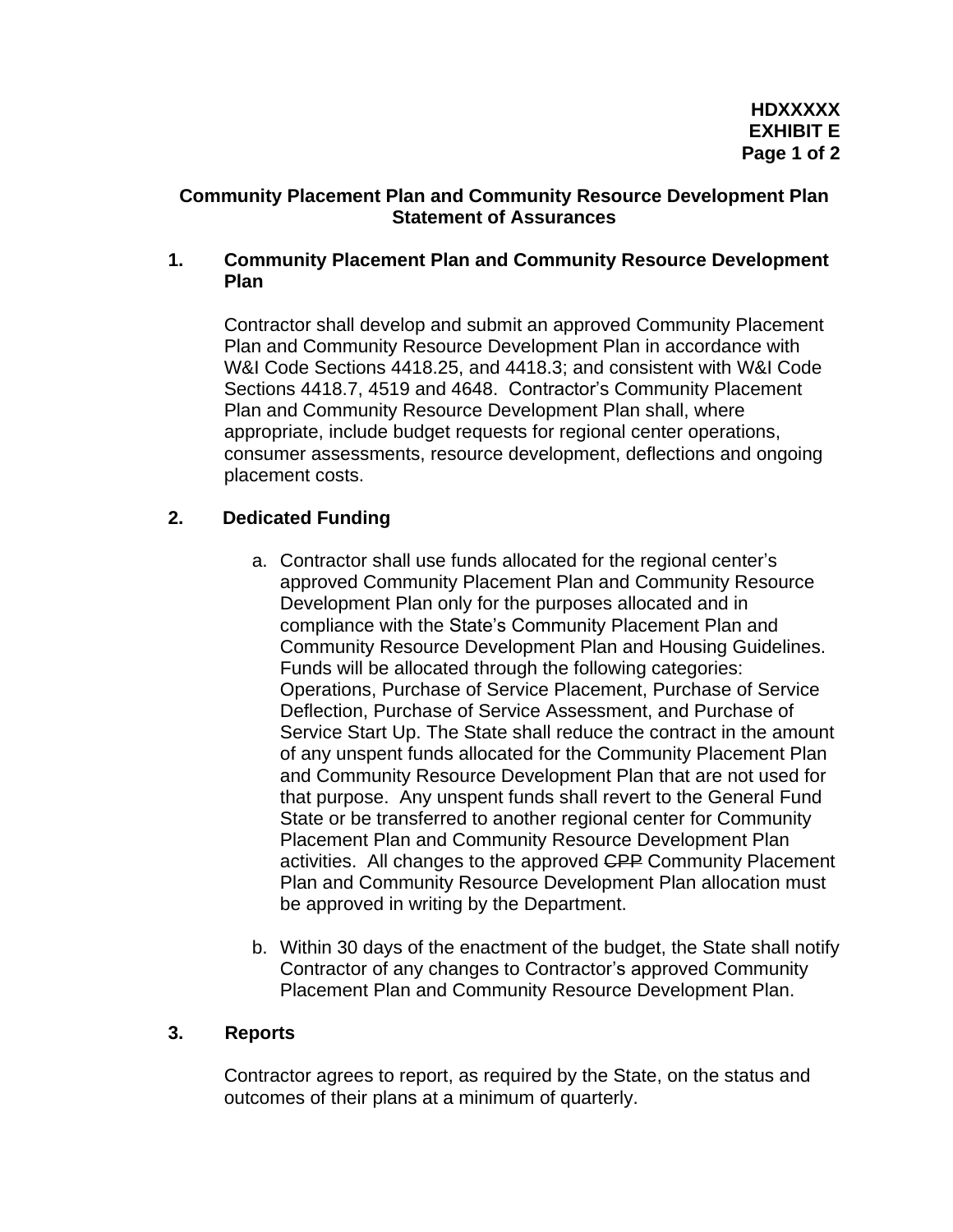## **Community Placement Plan and Community Resource Development Plan Statement of Assurances**

## **1. Community Placement Plan and Community Resource Development Plan**

Contractor shall develop and submit an approved Community Placement Plan and Community Resource Development Plan in accordance with W&I Code Sections 4418.25, and 4418.3; and consistent with W&I Code Sections 4418.7, 4519 and 4648. Contractor's Community Placement Plan and Community Resource Development Plan shall, where appropriate, include budget requests for regional center operations, consumer assessments, resource development, deflections and ongoing placement costs.

# **2. Dedicated Funding**

- a. Contractor shall use funds allocated for the regional center's approved Community Placement Plan and Community Resource Development Plan only for the purposes allocated and in compliance with the State's Community Placement Plan and Community Resource Development Plan and Housing Guidelines. Funds will be allocated through the following categories: Operations, Purchase of Service Placement, Purchase of Service Deflection, Purchase of Service Assessment, and Purchase of Service Start Up. The State shall reduce the contract in the amount of any unspent funds allocated for the Community Placement Plan and Community Resource Development Plan that are not used for that purpose. Any unspent funds shall revert to the General Fund State or be transferred to another regional center for Community Placement Plan and Community Resource Development Plan activities. All changes to the approved CPP Community Placement Plan and Community Resource Development Plan allocation must be approved in writing by the Department.
- b. Within 30 days of the enactment of the budget, the State shall notify Contractor of any changes to Contractor's approved Community Placement Plan and Community Resource Development Plan.

## **3. Reports**

Contractor agrees to report, as required by the State, on the status and outcomes of their plans at a minimum of quarterly.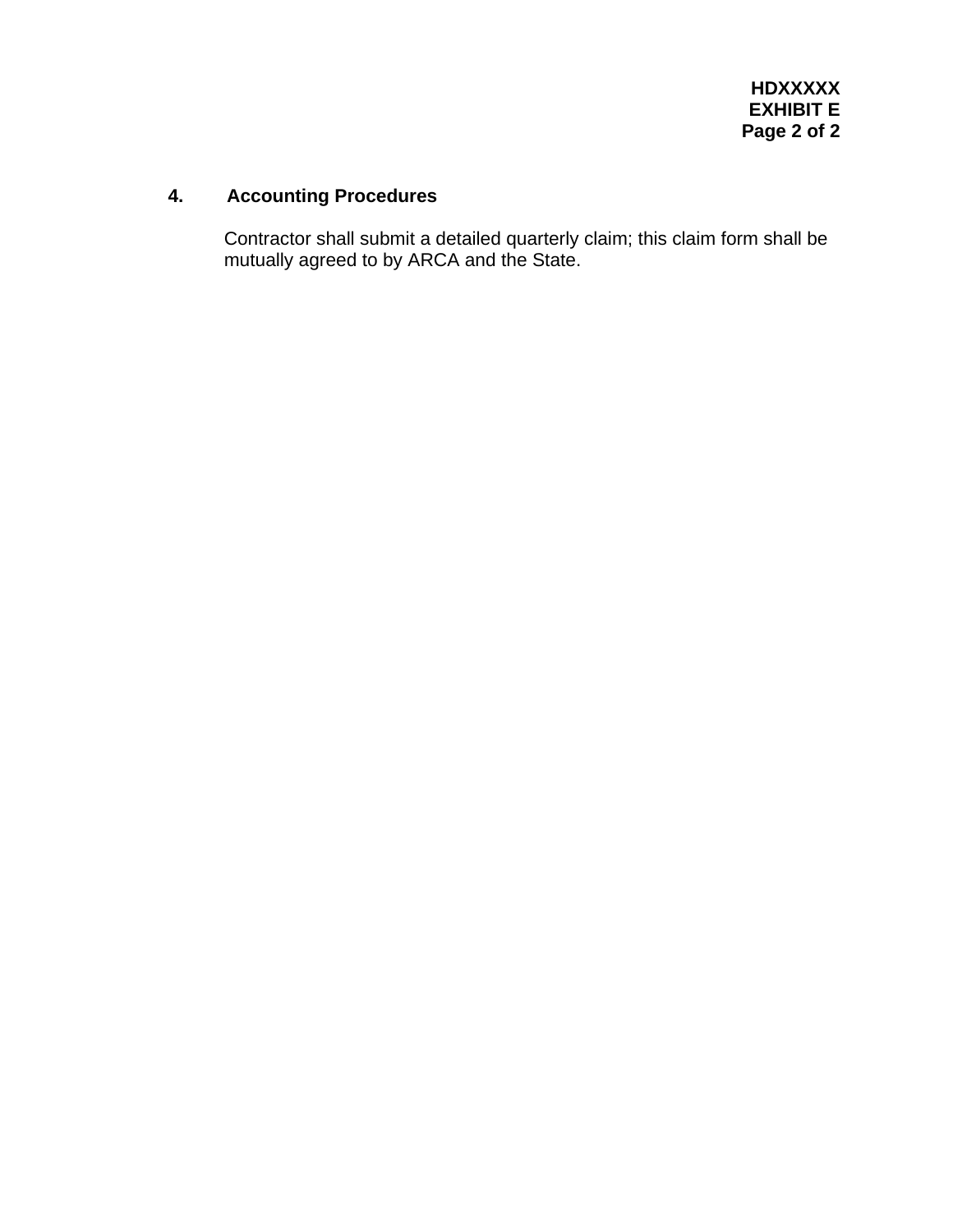# **4. Accounting Procedures**

Contractor shall submit a detailed quarterly claim; this claim form shall be mutually agreed to by ARCA and the State.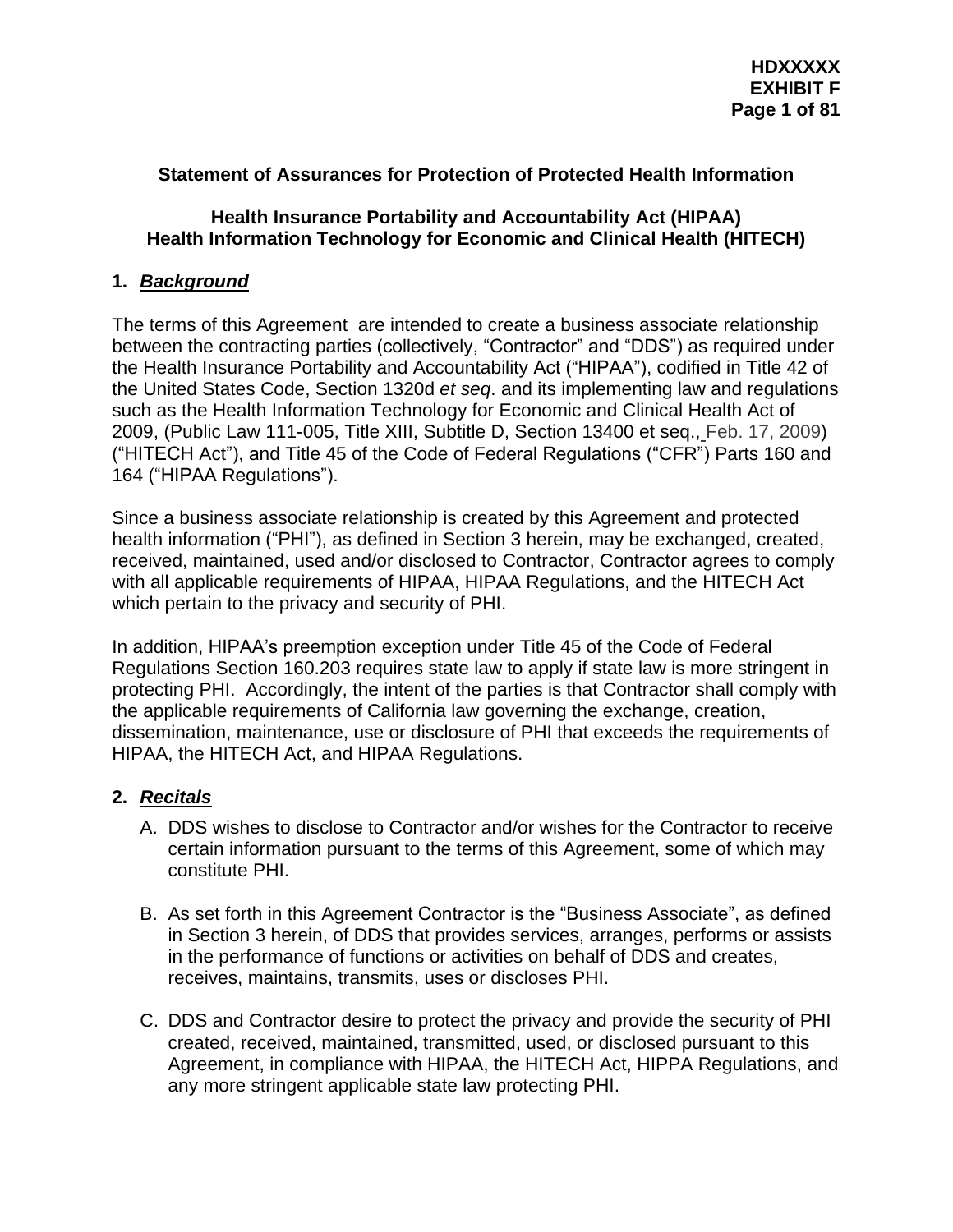# **Statement of Assurances for Protection of Protected Health Information**

### **Health Insurance Portability and Accountability Act (HIPAA) Health Information Technology for Economic and Clinical Health (HITECH)**

## **1.** *Background*

The terms of this Agreement are intended to create a business associate relationship between the contracting parties (collectively, "Contractor" and "DDS") as required under the Health Insurance Portability and Accountability Act ("HIPAA"), codified in Title 42 of the United States Code, Section 1320d *et seq*. and its implementing law and regulations such as the Health Information Technology for Economic and Clinical Health Act of 2009, (Public Law 111-005, Title XIII, Subtitle D, Section 13400 et seq., Feb. 17, 2009) ("HITECH Act"), and Title 45 of the Code of Federal Regulations ("CFR") Parts 160 and 164 ("HIPAA Regulations").

Since a business associate relationship is created by this Agreement and protected health information ("PHI"), as defined in Section 3 herein, may be exchanged, created, received, maintained, used and/or disclosed to Contractor, Contractor agrees to comply with all applicable requirements of HIPAA, HIPAA Regulations, and the HITECH Act which pertain to the privacy and security of PHI.

In addition, HIPAA's preemption exception under Title 45 of the Code of Federal Regulations Section 160.203 requires state law to apply if state law is more stringent in protecting PHI. Accordingly, the intent of the parties is that Contractor shall comply with the applicable requirements of California law governing the exchange, creation, dissemination, maintenance, use or disclosure of PHI that exceeds the requirements of HIPAA, the HITECH Act, and HIPAA Regulations.

# **2.** *Recitals*

- A. DDS wishes to disclose to Contractor and/or wishes for the Contractor to receive certain information pursuant to the terms of this Agreement, some of which may constitute PHI.
- B. As set forth in this Agreement Contractor is the "Business Associate", as defined in Section 3 herein, of DDS that provides services, arranges, performs or assists in the performance of functions or activities on behalf of DDS and creates, receives, maintains, transmits, uses or discloses PHI.
- C. DDS and Contractor desire to protect the privacy and provide the security of PHI created, received, maintained, transmitted, used, or disclosed pursuant to this Agreement, in compliance with HIPAA, the HITECH Act, HIPPA Regulations, and any more stringent applicable state law protecting PHI.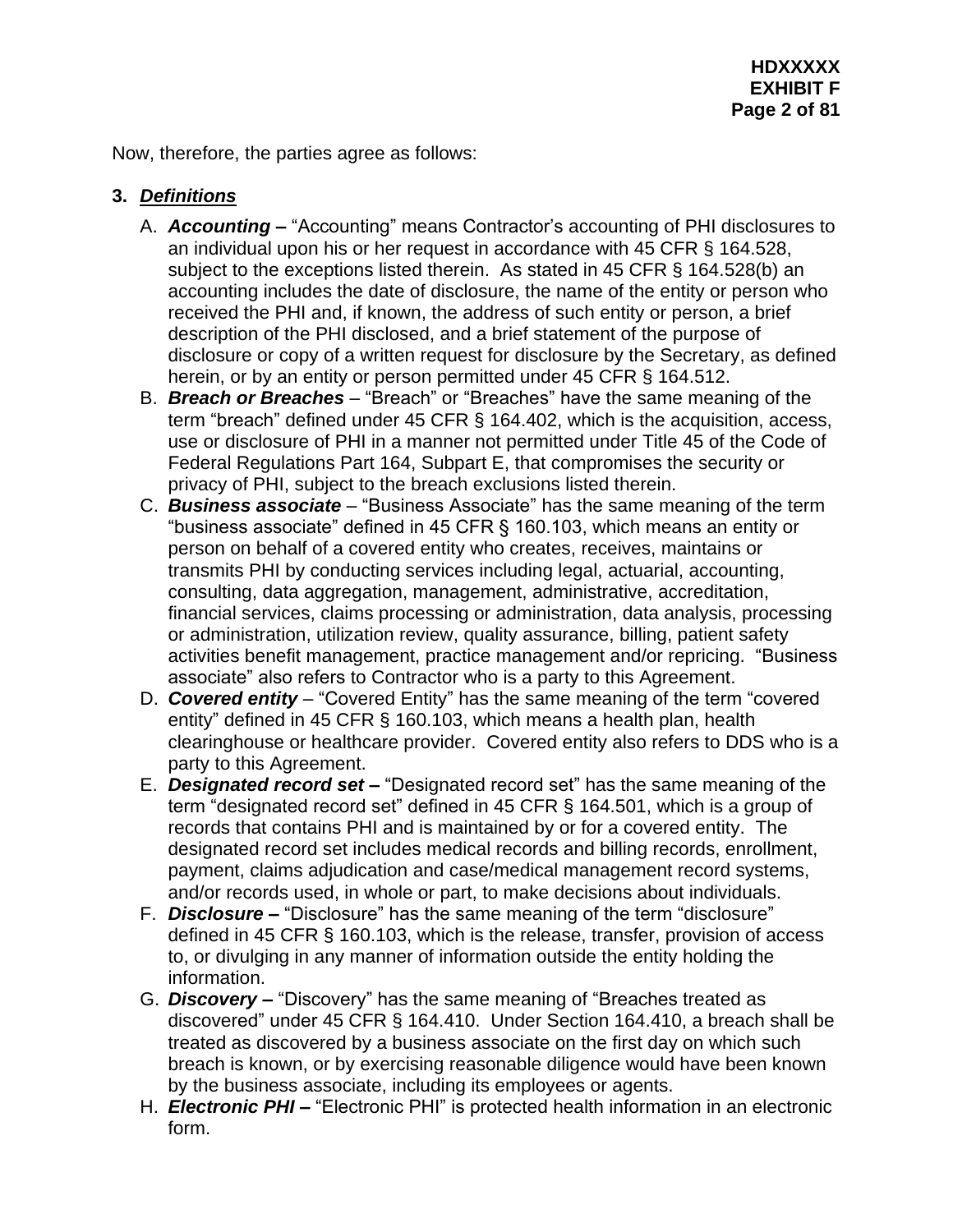Now, therefore, the parties agree as follows:

# **3.** *Definitions*

- A. *Accounting –* "Accounting" means Contractor's accounting of PHI disclosures to an individual upon his or her request in accordance with 45 CFR § 164.528, subject to the exceptions listed therein. As stated in 45 CFR § 164.528(b) an accounting includes the date of disclosure, the name of the entity or person who received the PHI and, if known, the address of such entity or person, a brief description of the PHI disclosed, and a brief statement of the purpose of disclosure or copy of a written request for disclosure by the Secretary, as defined herein, or by an entity or person permitted under 45 CFR § 164.512.
- B. *Breach or Breaches –* "Breach" or "Breaches" have the same meaning of the term "breach" defined under 45 CFR § 164.402, which is the acquisition, access, use or disclosure of PHI in a manner not permitted under Title 45 of the Code of Federal Regulations Part 164, Subpart E, that compromises the security or privacy of PHI, subject to the breach exclusions listed therein.
- C. *Business associate* "Business Associate" has the same meaning of the term "business associate" defined in 45 CFR § 160.103, which means an entity or person on behalf of a covered entity who creates, receives, maintains or transmits PHI by conducting services including legal, actuarial, accounting, consulting, data aggregation, management, administrative, accreditation, financial services, claims processing or administration, data analysis, processing or administration, utilization review, quality assurance, billing, patient safety activities benefit management, practice management and/or repricing. "Business associate" also refers to Contractor who is a party to this Agreement.
- D. *Covered entity* "Covered Entity" has the same meaning of the term "covered entity" defined in 45 CFR § 160.103, which means a health plan, health clearinghouse or healthcare provider. Covered entity also refers to DDS who is a party to this Agreement.
- E. *Designated record set –* "Designated record set" has the same meaning of the term "designated record set" defined in 45 CFR § 164.501, which is a group of records that contains PHI and is maintained by or for a covered entity. The designated record set includes medical records and billing records, enrollment, payment, claims adjudication and case/medical management record systems, and/or records used, in whole or part, to make decisions about individuals.
- F. *Disclosure –* "Disclosure" has the same meaning of the term "disclosure" defined in 45 CFR § 160.103, which is the release, transfer, provision of access to, or divulging in any manner of information outside the entity holding the information.
- G. *Discovery –* "Discovery" has the same meaning of "Breaches treated as discovered" under 45 CFR § 164.410. Under Section 164.410, a breach shall be treated as discovered by a business associate on the first day on which such breach is known, or by exercising reasonable diligence would have been known by the business associate, including its employees or agents.
- H. *Electronic PHI –* "Electronic PHI" is protected health information in an electronic form.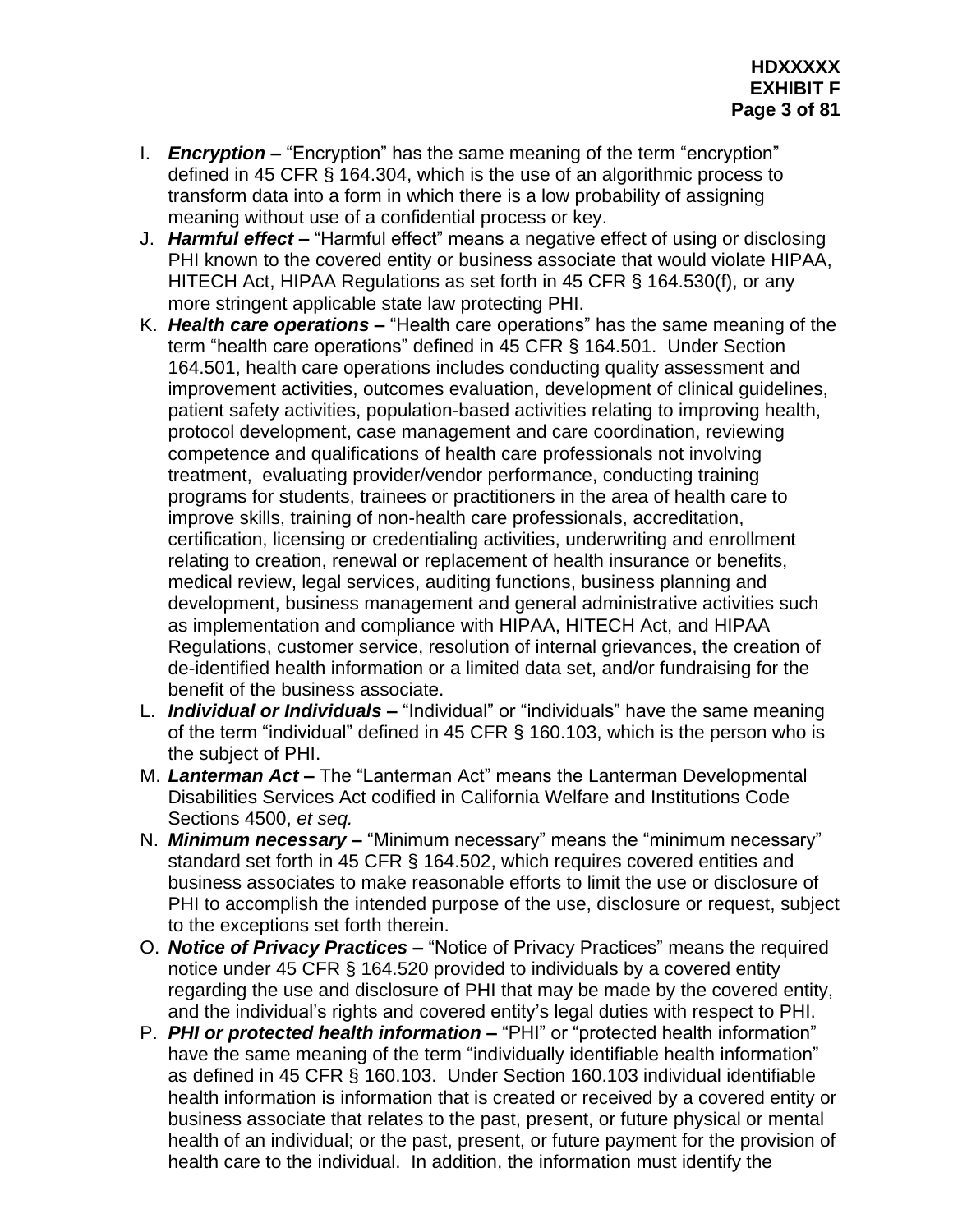- I. *Encryption –* "Encryption" has the same meaning of the term "encryption" defined in 45 CFR § 164.304, which is the use of an algorithmic process to transform data into a form in which there is a low probability of assigning meaning without use of a confidential process or key.
- J. *Harmful effect –* "Harmful effect" means a negative effect of using or disclosing PHI known to the covered entity or business associate that would violate HIPAA, HITECH Act, HIPAA Regulations as set forth in 45 CFR § 164.530(f), or any more stringent applicable state law protecting PHI.
- K. *Health care operations –* "Health care operations" has the same meaning of the term "health care operations" defined in 45 CFR § 164.501. Under Section 164.501, health care operations includes conducting quality assessment and improvement activities, outcomes evaluation, development of clinical guidelines, patient safety activities, population-based activities relating to improving health, protocol development, case management and care coordination, reviewing competence and qualifications of health care professionals not involving treatment, evaluating provider/vendor performance, conducting training programs for students, trainees or practitioners in the area of health care to improve skills, training of non-health care professionals, accreditation, certification, licensing or credentialing activities, underwriting and enrollment relating to creation, renewal or replacement of health insurance or benefits, medical review, legal services, auditing functions, business planning and development, business management and general administrative activities such as implementation and compliance with HIPAA, HITECH Act, and HIPAA Regulations, customer service, resolution of internal grievances, the creation of de-identified health information or a limited data set, and/or fundraising for the benefit of the business associate.
- L. *Individual or Individuals –* "Individual" or "individuals" have the same meaning of the term "individual" defined in 45 CFR § 160.103, which is the person who is the subject of PHI.
- M. *Lanterman Act –* The "Lanterman Act" means the Lanterman Developmental Disabilities Services Act codified in California Welfare and Institutions Code Sections 4500, *et seq.*
- N. *Minimum necessary –* "Minimum necessary" means the "minimum necessary" standard set forth in 45 CFR § 164.502, which requires covered entities and business associates to make reasonable efforts to limit the use or disclosure of PHI to accomplish the intended purpose of the use, disclosure or request, subject to the exceptions set forth therein.
- O. *Notice of Privacy Practices –* "Notice of Privacy Practices" means the required notice under 45 CFR § 164.520 provided to individuals by a covered entity regarding the use and disclosure of PHI that may be made by the covered entity, and the individual's rights and covered entity's legal duties with respect to PHI.
- P. *PHI or protected health information –* "PHI" or "protected health information" have the same meaning of the term "individually identifiable health information" as defined in 45 CFR § 160.103. Under Section 160.103 individual identifiable health information is information that is created or received by a covered entity or business associate that relates to the past, present, or future physical or mental health of an individual; or the past, present, or future payment for the provision of health care to the individual. In addition, the information must identify the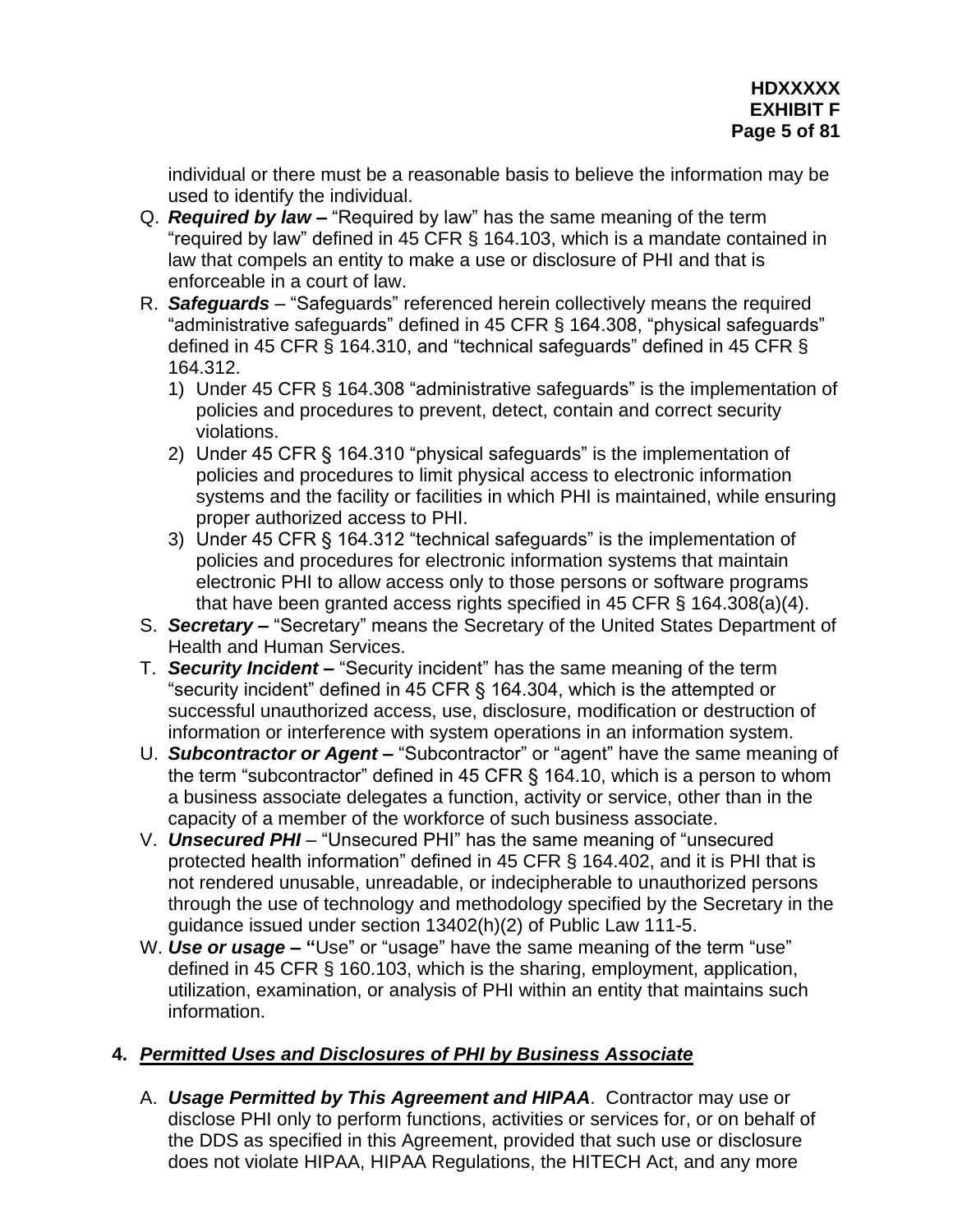individual or there must be a reasonable basis to believe the information may be used to identify the individual.

- Q. *Required by law –* "Required by law" has the same meaning of the term "required by law" defined in 45 CFR § 164.103, which is a mandate contained in law that compels an entity to make a use or disclosure of PHI and that is enforceable in a court of law.
- R. *Safeguards –* "Safeguards" referenced herein collectively means the required "administrative safeguards" defined in 45 CFR § 164.308, "physical safeguards" defined in 45 CFR § 164.310, and "technical safeguards" defined in 45 CFR § 164.312.
	- 1) Under 45 CFR § 164.308 "administrative safeguards" is the implementation of policies and procedures to prevent, detect, contain and correct security violations.
	- 2) Under 45 CFR § 164.310 "physical safeguards" is the implementation of policies and procedures to limit physical access to electronic information systems and the facility or facilities in which PHI is maintained, while ensuring proper authorized access to PHI.
	- 3) Under 45 CFR § 164.312 "technical safeguards" is the implementation of policies and procedures for electronic information systems that maintain electronic PHI to allow access only to those persons or software programs that have been granted access rights specified in 45 CFR § 164.308(a)(4).
- S. *Secretary –* "Secretary" means the Secretary of the United States Department of Health and Human Services.
- T. *Security Incident –* "Security incident" has the same meaning of the term "security incident" defined in 45 CFR § 164.304, which is the attempted or successful unauthorized access, use, disclosure, modification or destruction of information or interference with system operations in an information system.
- U. *Subcontractor or Agent –* "Subcontractor" or "agent" have the same meaning of the term "subcontractor" defined in 45 CFR § 164.10, which is a person to whom a business associate delegates a function, activity or service, other than in the capacity of a member of the workforce of such business associate.
- V. *Unsecured PHI –* "Unsecured PHI" has the same meaning of "unsecured protected health information" defined in 45 CFR § 164.402, and it is PHI that is not rendered unusable, unreadable, or indecipherable to unauthorized persons through the use of technology and methodology specified by the Secretary in the guidance issued under section 13402(h)(2) of Public Law 111-5.
- W. *Use or usage –* **"**Use" or "usage" have the same meaning of the term "use" defined in 45 CFR § 160.103, which is the sharing, employment, application, utilization, examination, or analysis of PHI within an entity that maintains such information.

# **4.** *Permitted Uses and Disclosures of PHI by Business Associate*

A. *Usage Permitted by This Agreement and HIPAA*. Contractor may use or disclose PHI only to perform functions, activities or services for, or on behalf of the DDS as specified in this Agreement, provided that such use or disclosure does not violate HIPAA, HIPAA Regulations, the HITECH Act, and any more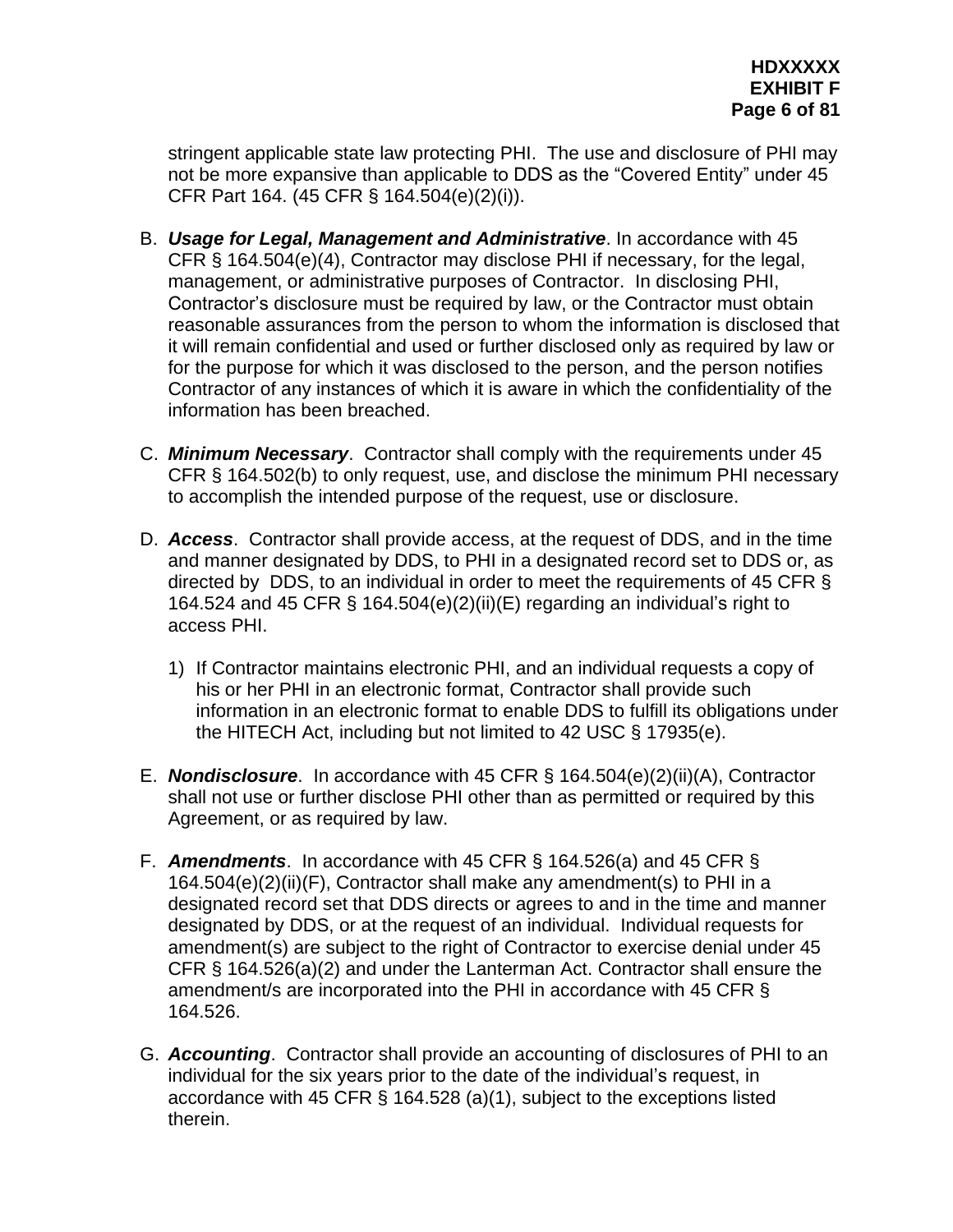stringent applicable state law protecting PHI. The use and disclosure of PHI may not be more expansive than applicable to DDS as the "Covered Entity" under 45 CFR Part 164. (45 CFR § 164.504(e)(2)(i)).

- B. *Usage for Legal, Management and Administrative*. In accordance with 45 CFR § 164.504(e)(4), Contractor may disclose PHI if necessary, for the legal, management, or administrative purposes of Contractor. In disclosing PHI, Contractor's disclosure must be required by law, or the Contractor must obtain reasonable assurances from the person to whom the information is disclosed that it will remain confidential and used or further disclosed only as required by law or for the purpose for which it was disclosed to the person, and the person notifies Contractor of any instances of which it is aware in which the confidentiality of the information has been breached.
- C. *Minimum Necessary*. Contractor shall comply with the requirements under 45 CFR § 164.502(b) to only request, use, and disclose the minimum PHI necessary to accomplish the intended purpose of the request, use or disclosure.
- D. *Access*. Contractor shall provide access, at the request of DDS, and in the time and manner designated by DDS, to PHI in a designated record set to DDS or, as directed by DDS, to an individual in order to meet the requirements of 45 CFR § 164.524 and 45 CFR § 164.504(e)(2)(ii)(E) regarding an individual's right to access PHI.
	- 1) If Contractor maintains electronic PHI, and an individual requests a copy of his or her PHI in an electronic format, Contractor shall provide such information in an electronic format to enable DDS to fulfill its obligations under the HITECH Act, including but not limited to 42 USC § 17935(e).
- E. *Nondisclosure*. In accordance with 45 CFR § 164.504(e)(2)(ii)(A), Contractor shall not use or further disclose PHI other than as permitted or required by this Agreement, or as required by law.
- F. *Amendments*. In accordance with 45 CFR § 164.526(a) and 45 CFR § 164.504(e)(2)(ii)(F), Contractor shall make any amendment(s) to PHI in a designated record set that DDS directs or agrees to and in the time and manner designated by DDS, or at the request of an individual. Individual requests for amendment(s) are subject to the right of Contractor to exercise denial under 45 CFR § 164.526(a)(2) and under the Lanterman Act. Contractor shall ensure the amendment/s are incorporated into the PHI in accordance with 45 CFR § 164.526.
- G. *Accounting*. Contractor shall provide an accounting of disclosures of PHI to an individual for the six years prior to the date of the individual's request, in accordance with 45 CFR § 164.528 (a)(1), subject to the exceptions listed therein.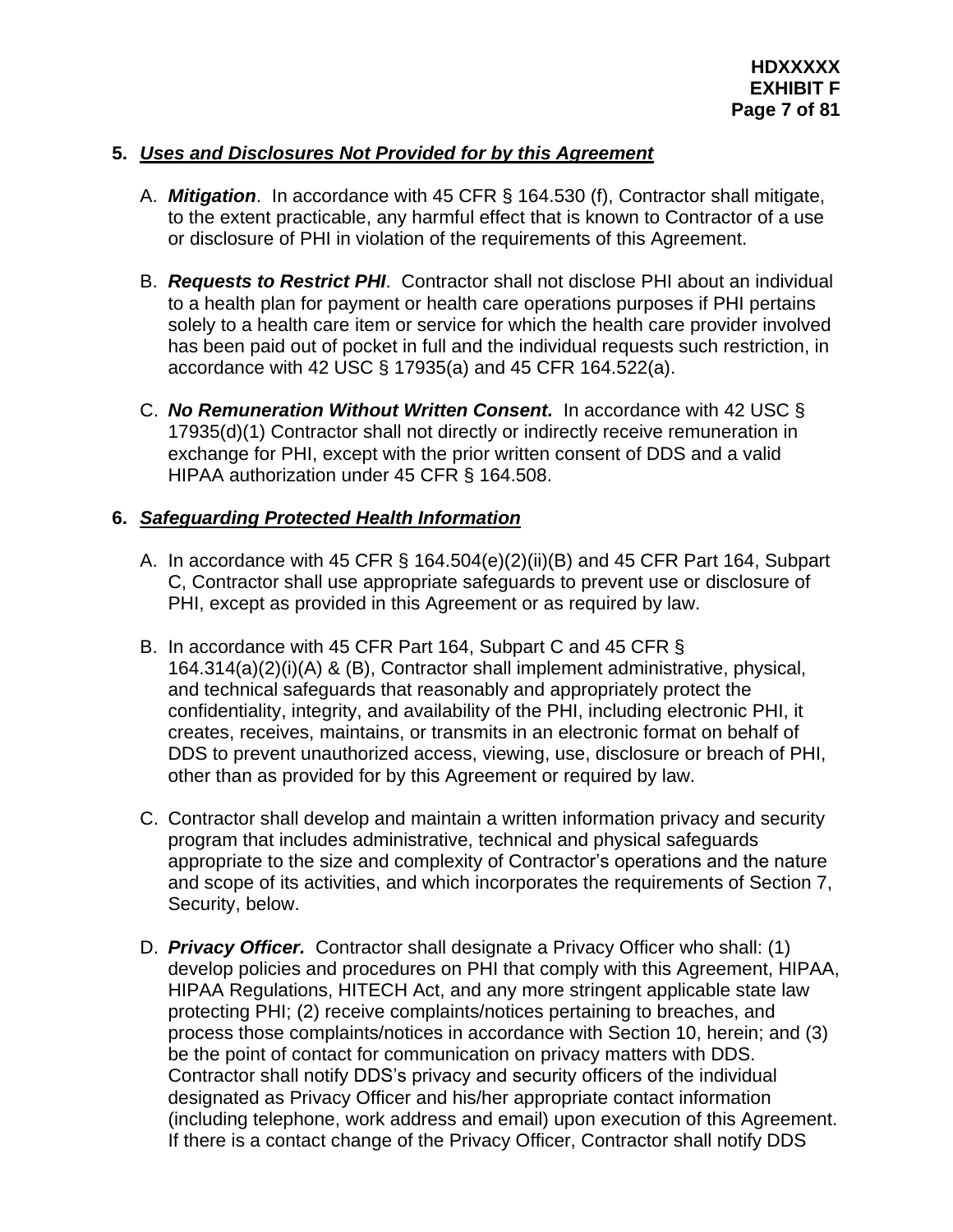# **5.** *Uses and Disclosures Not Provided for by this Agreement*

- A. *Mitigation*. In accordance with 45 CFR § 164.530 (f), Contractor shall mitigate, to the extent practicable, any harmful effect that is known to Contractor of a use or disclosure of PHI in violation of the requirements of this Agreement.
- B. *Requests to Restrict PHI*. Contractor shall not disclose PHI about an individual to a health plan for payment or health care operations purposes if PHI pertains solely to a health care item or service for which the health care provider involved has been paid out of pocket in full and the individual requests such restriction, in accordance with 42 USC § 17935(a) and 45 CFR 164.522(a).
- C. *No Remuneration Without Written Consent.* In accordance with 42 USC § 17935(d)(1) Contractor shall not directly or indirectly receive remuneration in exchange for PHI, except with the prior written consent of DDS and a valid HIPAA authorization under 45 CFR § 164.508.

## **6.** *Safeguarding Protected Health Information*

- A. In accordance with 45 CFR § 164.504(e)(2)(ii)(B) and 45 CFR Part 164, Subpart C, Contractor shall use appropriate safeguards to prevent use or disclosure of PHI, except as provided in this Agreement or as required by law.
- B. In accordance with 45 CFR Part 164, Subpart C and 45 CFR § 164.314(a)(2)(i)(A) & (B), Contractor shall implement administrative, physical, and technical safeguards that reasonably and appropriately protect the confidentiality, integrity, and availability of the PHI, including electronic PHI, it creates, receives, maintains, or transmits in an electronic format on behalf of DDS to prevent unauthorized access, viewing, use, disclosure or breach of PHI, other than as provided for by this Agreement or required by law.
- C. Contractor shall develop and maintain a written information privacy and security program that includes administrative, technical and physical safeguards appropriate to the size and complexity of Contractor's operations and the nature and scope of its activities, and which incorporates the requirements of Section 7, Security, below.
- D. *Privacy Officer.* Contractor shall designate a Privacy Officer who shall: (1) develop policies and procedures on PHI that comply with this Agreement, HIPAA, HIPAA Regulations, HITECH Act, and any more stringent applicable state law protecting PHI; (2) receive complaints/notices pertaining to breaches, and process those complaints/notices in accordance with Section 10, herein; and (3) be the point of contact for communication on privacy matters with DDS. Contractor shall notify DDS's privacy and security officers of the individual designated as Privacy Officer and his/her appropriate contact information (including telephone, work address and email) upon execution of this Agreement. If there is a contact change of the Privacy Officer, Contractor shall notify DDS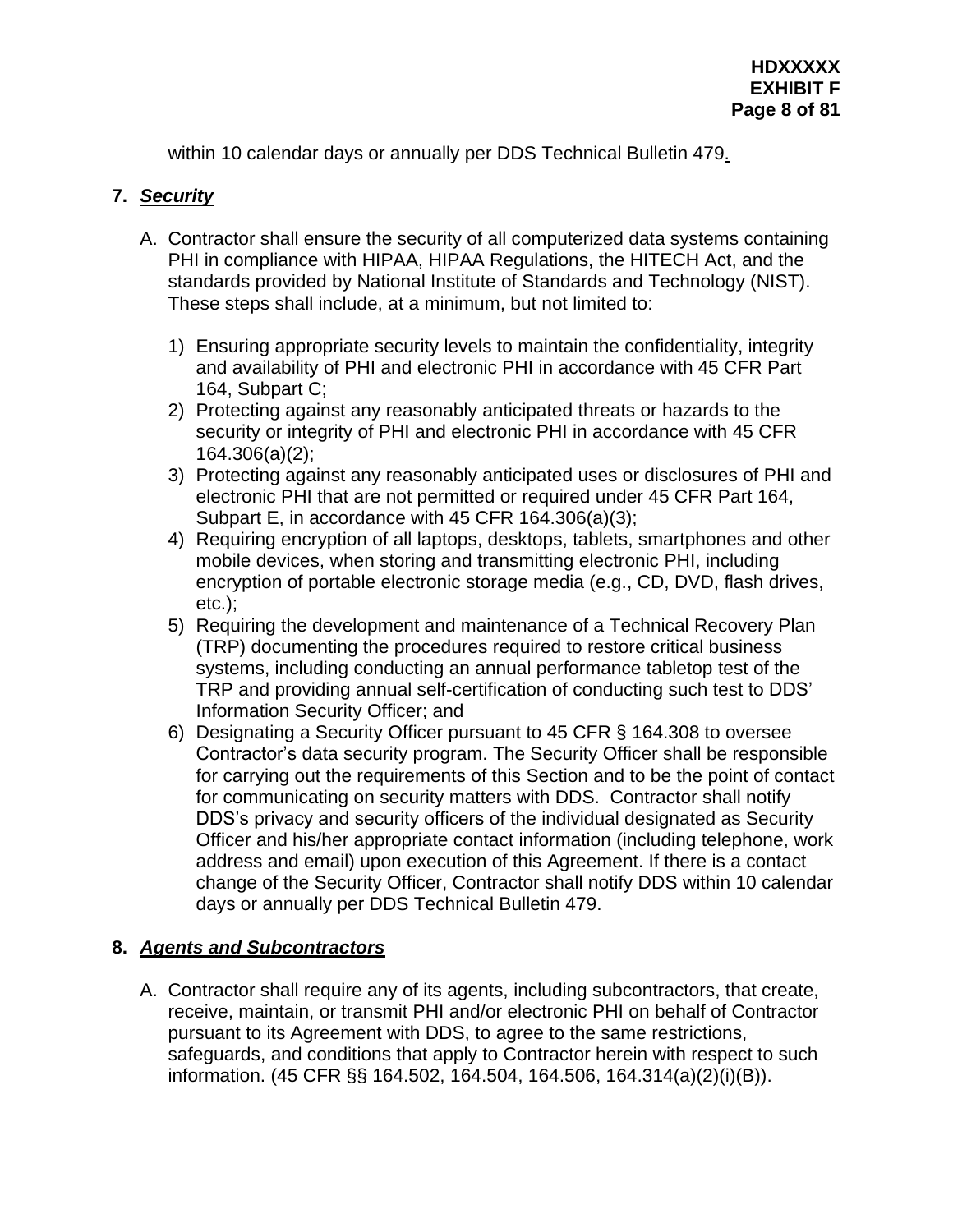within 10 calendar days or annually per DDS Technical Bulletin 479.

# **7.** *Security*

- A. Contractor shall ensure the security of all computerized data systems containing PHI in compliance with HIPAA, HIPAA Regulations, the HITECH Act, and the standards provided by National Institute of Standards and Technology (NIST). These steps shall include, at a minimum, but not limited to:
	- 1) Ensuring appropriate security levels to maintain the confidentiality, integrity and availability of PHI and electronic PHI in accordance with 45 CFR Part 164, Subpart C;
	- 2) Protecting against any reasonably anticipated threats or hazards to the security or integrity of PHI and electronic PHI in accordance with 45 CFR 164.306(a)(2);
	- 3) Protecting against any reasonably anticipated uses or disclosures of PHI and electronic PHI that are not permitted or required under 45 CFR Part 164, Subpart E, in accordance with 45 CFR 164.306(a)(3);
	- 4) Requiring encryption of all laptops, desktops, tablets, smartphones and other mobile devices, when storing and transmitting electronic PHI, including encryption of portable electronic storage media (e.g., CD, DVD, flash drives, etc.);
	- 5) Requiring the development and maintenance of a Technical Recovery Plan (TRP) documenting the procedures required to restore critical business systems, including conducting an annual performance tabletop test of the TRP and providing annual self-certification of conducting such test to DDS' Information Security Officer; and
	- 6) Designating a Security Officer pursuant to 45 CFR § 164.308 to oversee Contractor's data security program. The Security Officer shall be responsible for carrying out the requirements of this Section and to be the point of contact for communicating on security matters with DDS. Contractor shall notify DDS's privacy and security officers of the individual designated as Security Officer and his/her appropriate contact information (including telephone, work address and email) upon execution of this Agreement. If there is a contact change of the Security Officer, Contractor shall notify DDS within 10 calendar days or annually per DDS Technical Bulletin 479.

## **8.** *Agents and Subcontractors*

A. Contractor shall require any of its agents, including subcontractors, that create, receive, maintain, or transmit PHI and/or electronic PHI on behalf of Contractor pursuant to its Agreement with DDS, to agree to the same restrictions, safeguards, and conditions that apply to Contractor herein with respect to such information. (45 CFR §§ 164.502, 164.504, 164.506, 164.314(a)(2)(i)(B)).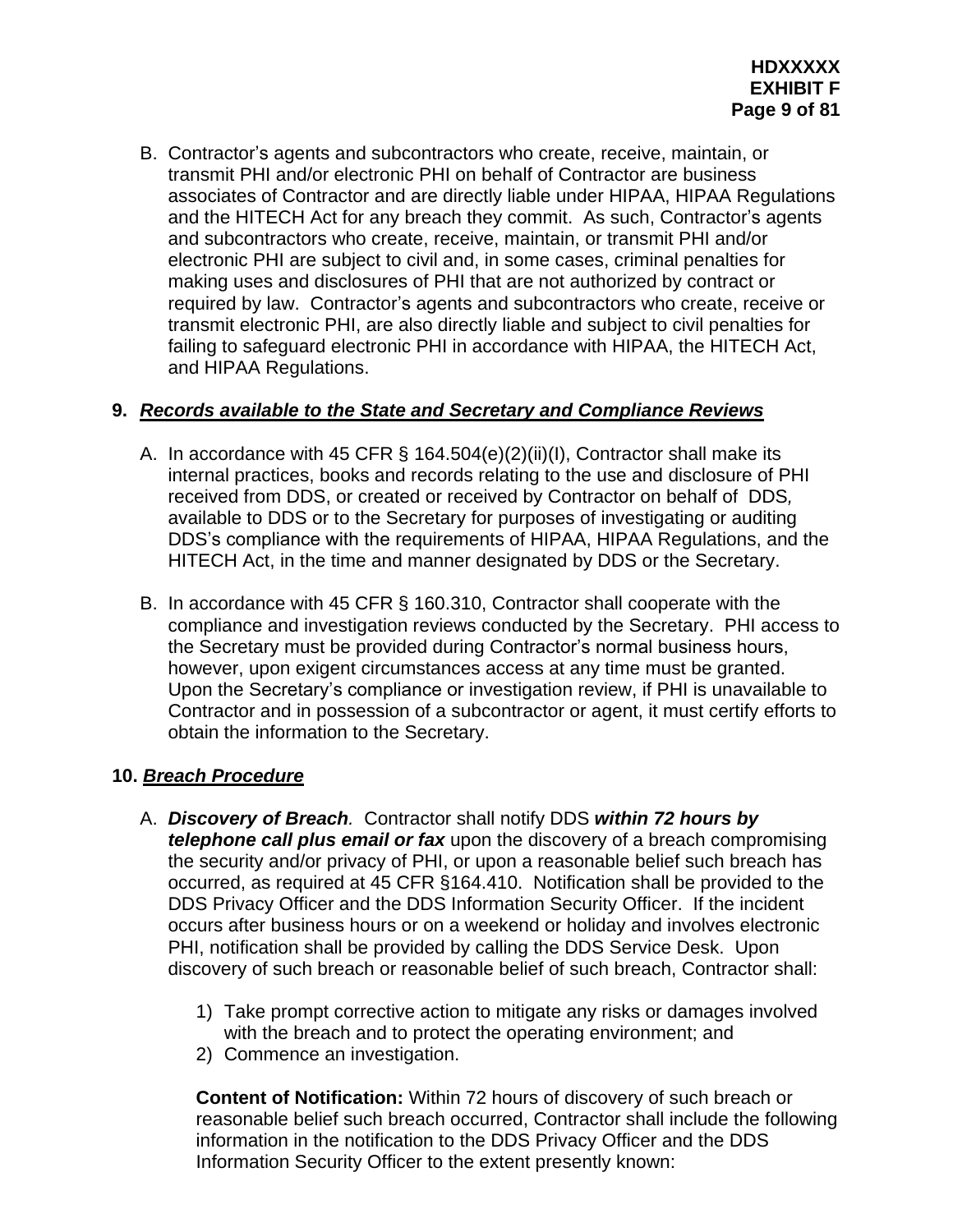B. Contractor's agents and subcontractors who create, receive, maintain, or transmit PHI and/or electronic PHI on behalf of Contractor are business associates of Contractor and are directly liable under HIPAA, HIPAA Regulations and the HITECH Act for any breach they commit. As such, Contractor's agents and subcontractors who create, receive, maintain, or transmit PHI and/or electronic PHI are subject to civil and, in some cases, criminal penalties for making uses and disclosures of PHI that are not authorized by contract or required by law. Contractor's agents and subcontractors who create, receive or transmit electronic PHI, are also directly liable and subject to civil penalties for failing to safeguard electronic PHI in accordance with HIPAA, the HITECH Act, and HIPAA Regulations.

## **9.** *Records available to the State and Secretary and Compliance Reviews*

- A. In accordance with 45 CFR § 164.504(e)(2)(ii)(I), Contractor shall make its internal practices, books and records relating to the use and disclosure of PHI received from DDS, or created or received by Contractor on behalf of DDS*,*  available to DDS or to the Secretary for purposes of investigating or auditing DDS's compliance with the requirements of HIPAA, HIPAA Regulations, and the HITECH Act, in the time and manner designated by DDS or the Secretary.
- B. In accordance with 45 CFR § 160.310, Contractor shall cooperate with the compliance and investigation reviews conducted by the Secretary. PHI access to the Secretary must be provided during Contractor's normal business hours, however, upon exigent circumstances access at any time must be granted. Upon the Secretary's compliance or investigation review, if PHI is unavailable to Contractor and in possession of a subcontractor or agent, it must certify efforts to obtain the information to the Secretary.

# **10.** *Breach Procedure*

- A. *Discovery of Breach.* Contractor shall notify DDS *within 72 hours by telephone call plus email or fax* upon the discovery of a breach compromising the security and/or privacy of PHI, or upon a reasonable belief such breach has occurred, as required at 45 CFR §164.410. Notification shall be provided to the DDS Privacy Officer and the DDS Information Security Officer. If the incident occurs after business hours or on a weekend or holiday and involves electronic PHI, notification shall be provided by calling the DDS Service Desk. Upon discovery of such breach or reasonable belief of such breach, Contractor shall:
	- 1) Take prompt corrective action to mitigate any risks or damages involved with the breach and to protect the operating environment; and
	- 2) Commence an investigation.

**Content of Notification:** Within 72 hours of discovery of such breach or reasonable belief such breach occurred, Contractor shall include the following information in the notification to the DDS Privacy Officer and the DDS Information Security Officer to the extent presently known: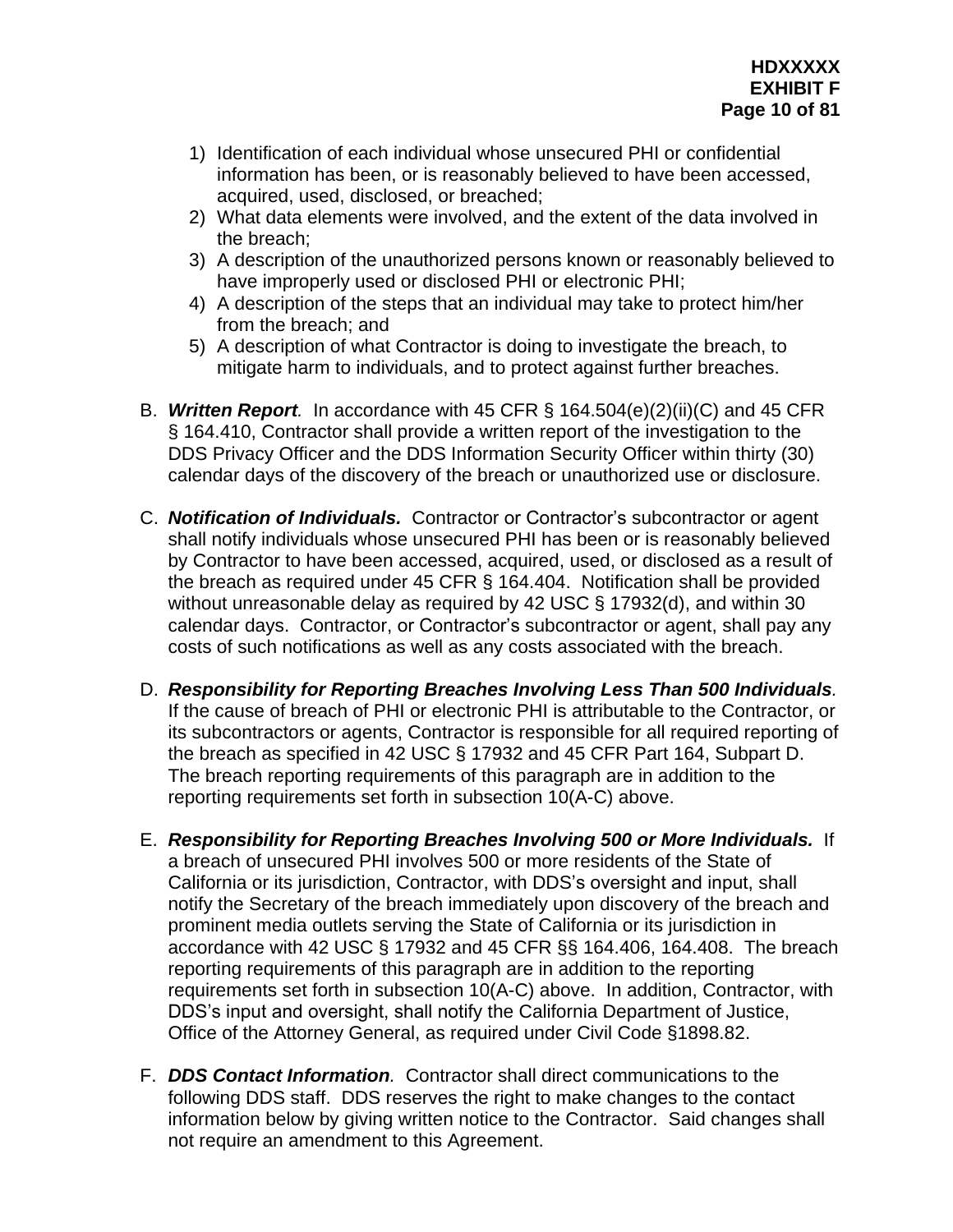- 1) Identification of each individual whose unsecured PHI or confidential information has been, or is reasonably believed to have been accessed, acquired, used, disclosed, or breached;
- 2) What data elements were involved, and the extent of the data involved in the breach;
- 3) A description of the unauthorized persons known or reasonably believed to have improperly used or disclosed PHI or electronic PHI;
- 4) A description of the steps that an individual may take to protect him/her from the breach; and
- 5) A description of what Contractor is doing to investigate the breach, to mitigate harm to individuals, and to protect against further breaches.
- B. *Written Report.* In accordance with 45 CFR § 164.504(e)(2)(ii)(C) and 45 CFR § 164.410, Contractor shall provide a written report of the investigation to the DDS Privacy Officer and the DDS Information Security Officer within thirty (30) calendar days of the discovery of the breach or unauthorized use or disclosure.
- C. *Notification of Individuals.* Contractor or Contractor's subcontractor or agent shall notify individuals whose unsecured PHI has been or is reasonably believed by Contractor to have been accessed, acquired, used, or disclosed as a result of the breach as required under 45 CFR § 164.404. Notification shall be provided without unreasonable delay as required by 42 USC § 17932(d), and within 30 calendar days. Contractor, or Contractor's subcontractor or agent, shall pay any costs of such notifications as well as any costs associated with the breach.
- D. *Responsibility for Reporting Breaches Involving Less Than 500 Individuals.* If the cause of breach of PHI or electronic PHI is attributable to the Contractor, or its subcontractors or agents, Contractor is responsible for all required reporting of the breach as specified in 42 USC § 17932 and 45 CFR Part 164, Subpart D. The breach reporting requirements of this paragraph are in addition to the reporting requirements set forth in subsection 10(A-C) above.
- E. *Responsibility for Reporting Breaches Involving 500 or More Individuals.* If a breach of unsecured PHI involves 500 or more residents of the State of California or its jurisdiction, Contractor, with DDS's oversight and input, shall notify the Secretary of the breach immediately upon discovery of the breach and prominent media outlets serving the State of California or its jurisdiction in accordance with 42 USC § 17932 and 45 CFR §§ 164.406, 164.408. The breach reporting requirements of this paragraph are in addition to the reporting requirements set forth in subsection 10(A-C) above. In addition, Contractor, with DDS's input and oversight, shall notify the California Department of Justice, Office of the Attorney General, as required under Civil Code §1898.82.
- F. *DDS Contact Information.* Contractor shall direct communications to the following DDS staff. DDS reserves the right to make changes to the contact information below by giving written notice to the Contractor. Said changes shall not require an amendment to this Agreement.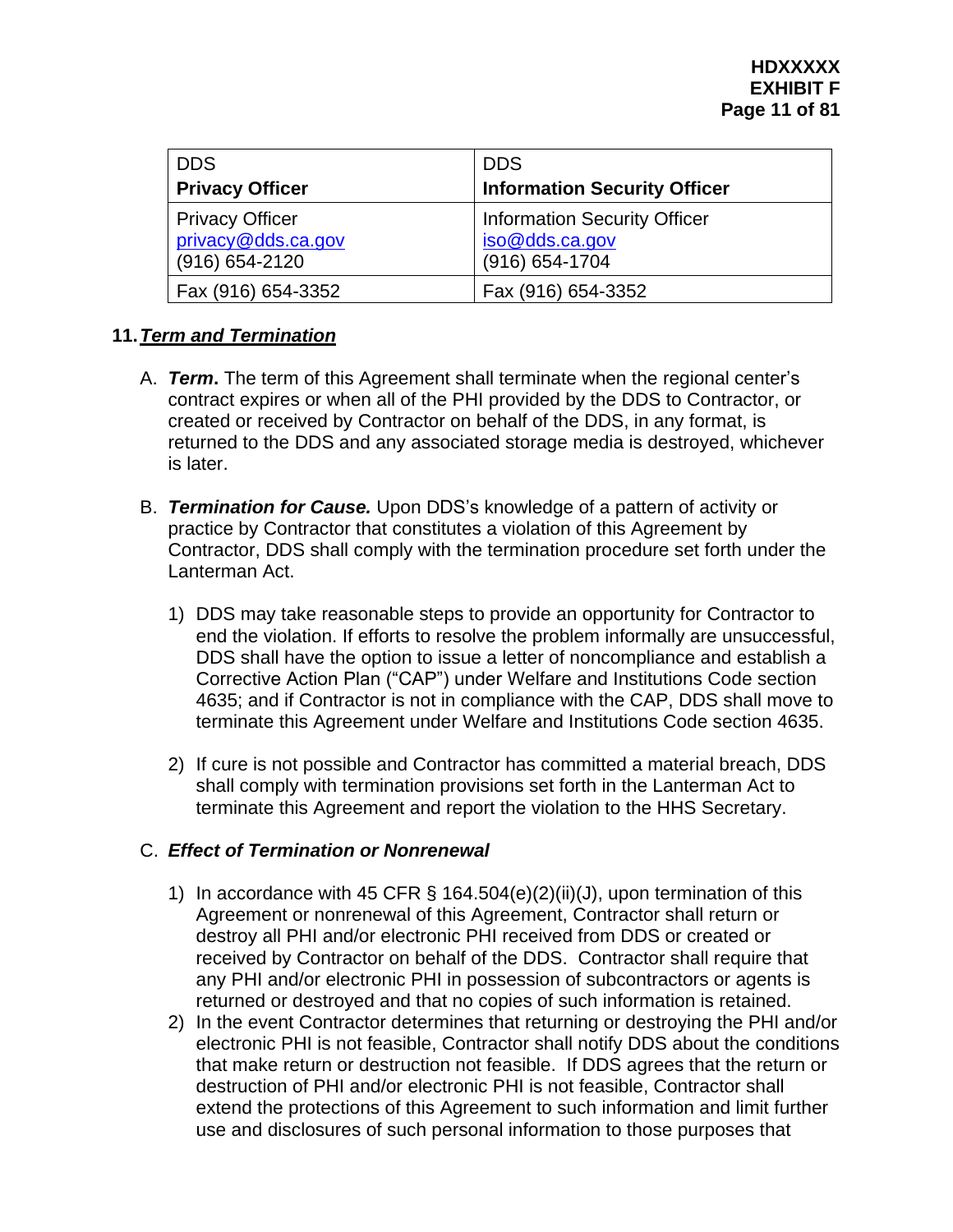| <b>DDS</b>                                                         | <b>DDS</b>                                                              |
|--------------------------------------------------------------------|-------------------------------------------------------------------------|
| <b>Privacy Officer</b>                                             | <b>Information Security Officer</b>                                     |
| <b>Privacy Officer</b><br>privacy@dds.ca.gov<br>$(916) 654 - 2120$ | <b>Information Security Officer</b><br>iso@dds.ca.gov<br>(916) 654-1704 |
| Fax (916) 654-3352                                                 | Fax (916) 654-3352                                                      |

## **11.***Term and Termination*

- A. *Term***.** The term of this Agreement shall terminate when the regional center's contract expires or when all of the PHI provided by the DDS to Contractor, or created or received by Contractor on behalf of the DDS, in any format, is returned to the DDS and any associated storage media is destroyed, whichever is later.
- B. *Termination for Cause.* Upon DDS's knowledge of a pattern of activity or practice by Contractor that constitutes a violation of this Agreement by Contractor, DDS shall comply with the termination procedure set forth under the Lanterman Act.
	- 1) DDS may take reasonable steps to provide an opportunity for Contractor to end the violation. If efforts to resolve the problem informally are unsuccessful, DDS shall have the option to issue a letter of noncompliance and establish a Corrective Action Plan ("CAP") under Welfare and Institutions Code section 4635; and if Contractor is not in compliance with the CAP, DDS shall move to terminate this Agreement under Welfare and Institutions Code section 4635.
	- 2) If cure is not possible and Contractor has committed a material breach, DDS shall comply with termination provisions set forth in the Lanterman Act to terminate this Agreement and report the violation to the HHS Secretary.

# C. *Effect of Termination or Nonrenewal*

- 1) In accordance with 45 CFR  $\S$  164.504(e)(2)(ii)(J), upon termination of this Agreement or nonrenewal of this Agreement, Contractor shall return or destroy all PHI and/or electronic PHI received from DDS or created or received by Contractor on behalf of the DDS. Contractor shall require that any PHI and/or electronic PHI in possession of subcontractors or agents is returned or destroyed and that no copies of such information is retained.
- 2) In the event Contractor determines that returning or destroying the PHI and/or electronic PHI is not feasible, Contractor shall notify DDS about the conditions that make return or destruction not feasible. If DDS agrees that the return or destruction of PHI and/or electronic PHI is not feasible, Contractor shall extend the protections of this Agreement to such information and limit further use and disclosures of such personal information to those purposes that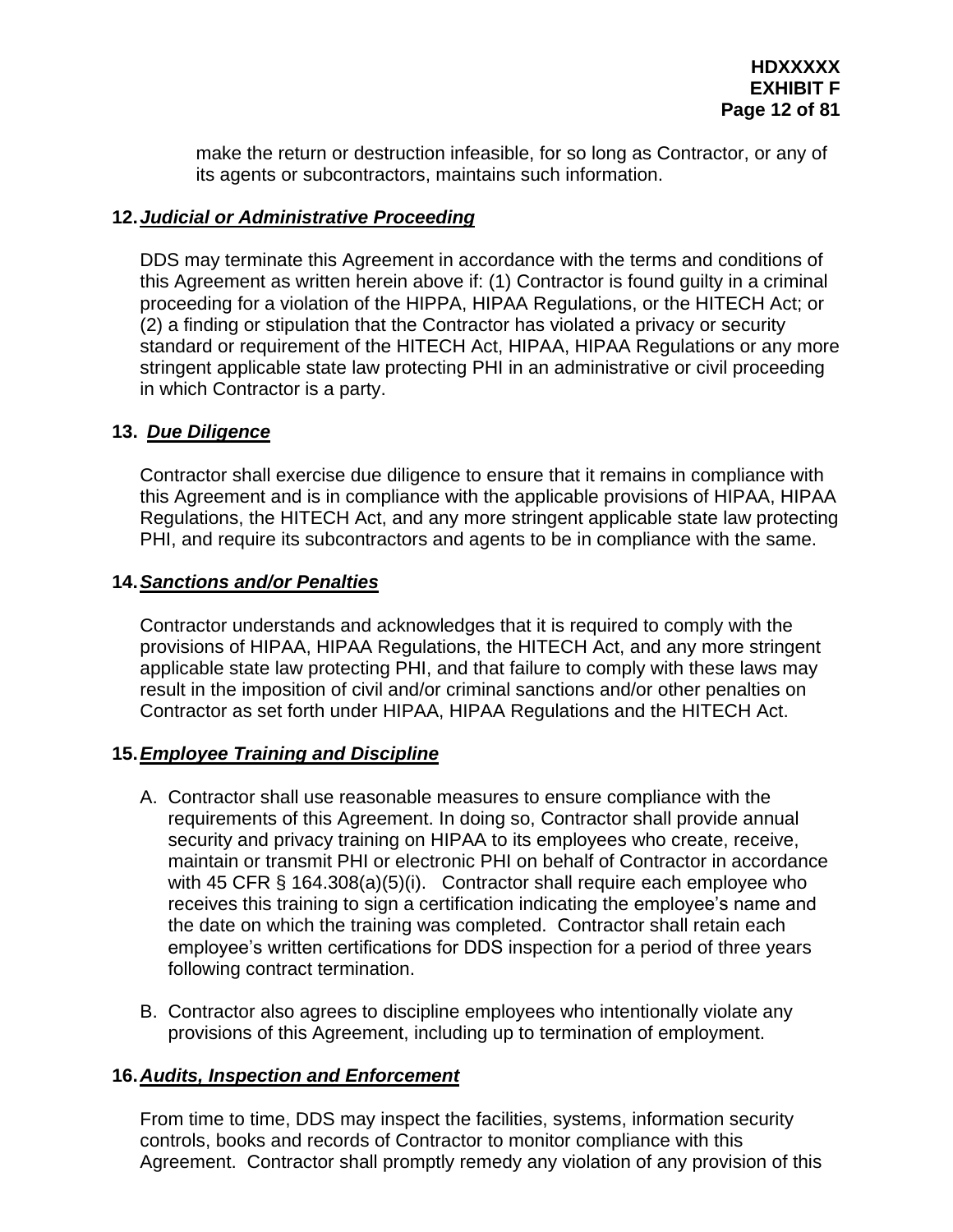make the return or destruction infeasible, for so long as Contractor, or any of its agents or subcontractors, maintains such information.

# **12.***Judicial or Administrative Proceeding*

DDS may terminate this Agreement in accordance with the terms and conditions of this Agreement as written herein above if: (1) Contractor is found guilty in a criminal proceeding for a violation of the HIPPA, HIPAA Regulations, or the HITECH Act; or (2) a finding or stipulation that the Contractor has violated a privacy or security standard or requirement of the HITECH Act, HIPAA, HIPAA Regulations or any more stringent applicable state law protecting PHI in an administrative or civil proceeding in which Contractor is a party.

## **13.** *Due Diligence*

Contractor shall exercise due diligence to ensure that it remains in compliance with this Agreement and is in compliance with the applicable provisions of HIPAA, HIPAA Regulations, the HITECH Act, and any more stringent applicable state law protecting PHI, and require its subcontractors and agents to be in compliance with the same.

## **14.***Sanctions and/or Penalties*

Contractor understands and acknowledges that it is required to comply with the provisions of HIPAA, HIPAA Regulations, the HITECH Act, and any more stringent applicable state law protecting PHI, and that failure to comply with these laws may result in the imposition of civil and/or criminal sanctions and/or other penalties on Contractor as set forth under HIPAA, HIPAA Regulations and the HITECH Act.

# **15.***Employee Training and Discipline*

- A. Contractor shall use reasonable measures to ensure compliance with the requirements of this Agreement. In doing so, Contractor shall provide annual security and privacy training on HIPAA to its employees who create, receive, maintain or transmit PHI or electronic PHI on behalf of Contractor in accordance with 45 CFR § 164.308(a)(5)(i). Contractor shall require each employee who receives this training to sign a certification indicating the employee's name and the date on which the training was completed. Contractor shall retain each employee's written certifications for DDS inspection for a period of three years following contract termination.
- B. Contractor also agrees to discipline employees who intentionally violate any provisions of this Agreement, including up to termination of employment.

## **16.***Audits, Inspection and Enforcement*

From time to time, DDS may inspect the facilities, systems, information security controls, books and records of Contractor to monitor compliance with this Agreement. Contractor shall promptly remedy any violation of any provision of this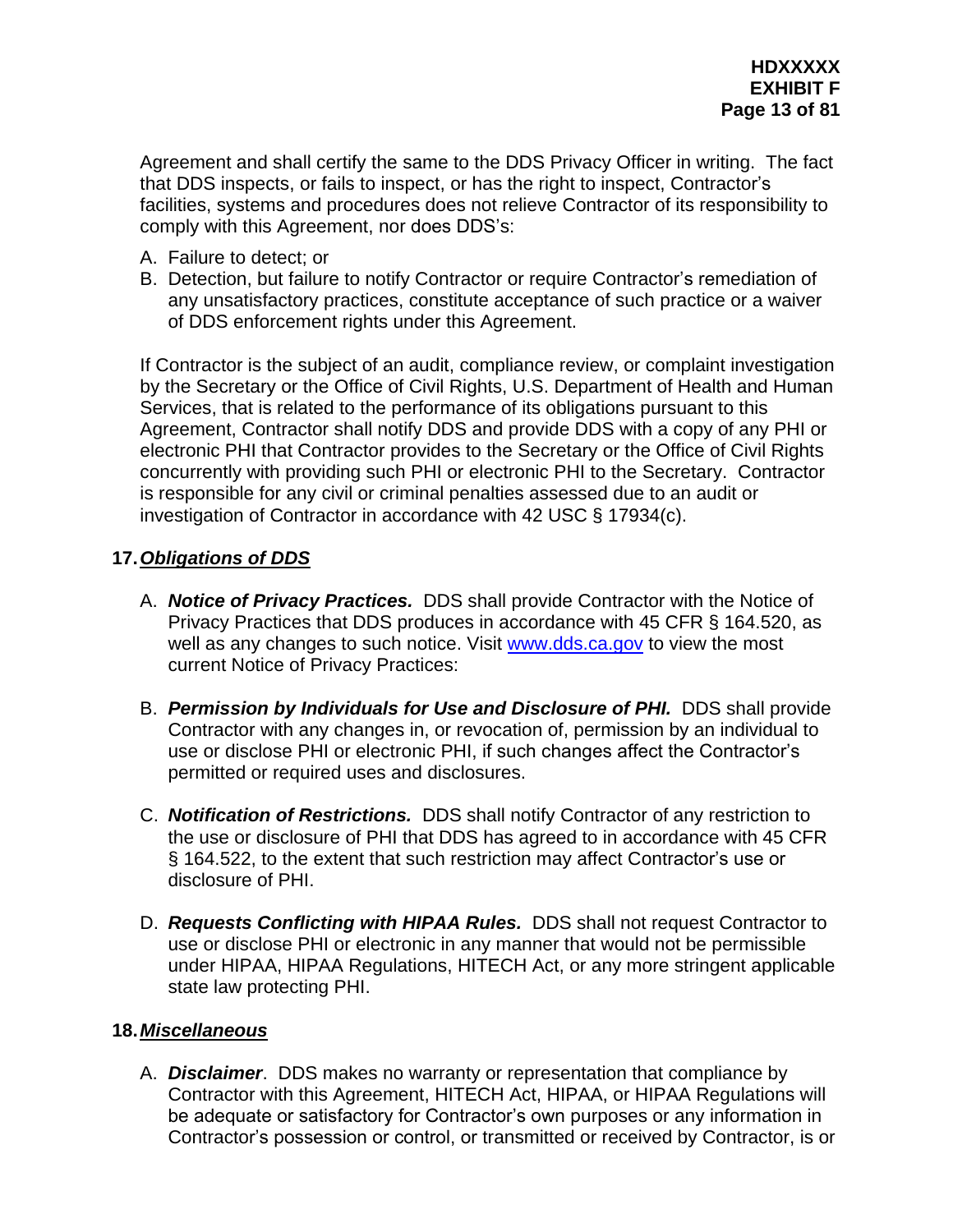Agreement and shall certify the same to the DDS Privacy Officer in writing. The fact that DDS inspects, or fails to inspect, or has the right to inspect, Contractor's facilities, systems and procedures does not relieve Contractor of its responsibility to comply with this Agreement, nor does DDS's:

- A. Failure to detect; or
- B. Detection, but failure to notify Contractor or require Contractor's remediation of any unsatisfactory practices, constitute acceptance of such practice or a waiver of DDS enforcement rights under this Agreement.

If Contractor is the subject of an audit, compliance review, or complaint investigation by the Secretary or the Office of Civil Rights, U.S. Department of Health and Human Services, that is related to the performance of its obligations pursuant to this Agreement, Contractor shall notify DDS and provide DDS with a copy of any PHI or electronic PHI that Contractor provides to the Secretary or the Office of Civil Rights concurrently with providing such PHI or electronic PHI to the Secretary. Contractor is responsible for any civil or criminal penalties assessed due to an audit or investigation of Contractor in accordance with 42 USC § 17934(c).

# **17.***Obligations of DDS*

- A. *Notice of Privacy Practices.* DDS shall provide Contractor with the Notice of Privacy Practices that DDS produces in accordance with 45 CFR § 164.520, as well as any changes to such notice. Visit [www.dds.ca.gov](http://www.dds.ca.gov/) to view the most current Notice of Privacy Practices:
- B. *Permission by Individuals for Use and Disclosure of PHI.* DDS shall provide Contractor with any changes in, or revocation of, permission by an individual to use or disclose PHI or electronic PHI, if such changes affect the Contractor's permitted or required uses and disclosures.
- C. *Notification of Restrictions.* DDS shall notify Contractor of any restriction to the use or disclosure of PHI that DDS has agreed to in accordance with 45 CFR § 164.522, to the extent that such restriction may affect Contractor's use or disclosure of PHI.
- D. *Requests Conflicting with HIPAA Rules.* DDS shall not request Contractor to use or disclose PHI or electronic in any manner that would not be permissible under HIPAA, HIPAA Regulations, HITECH Act, or any more stringent applicable state law protecting PHI.

## **18.***Miscellaneous*

A. *Disclaimer*. DDS makes no warranty or representation that compliance by Contractor with this Agreement, HITECH Act, HIPAA, or HIPAA Regulations will be adequate or satisfactory for Contractor's own purposes or any information in Contractor's possession or control, or transmitted or received by Contractor, is or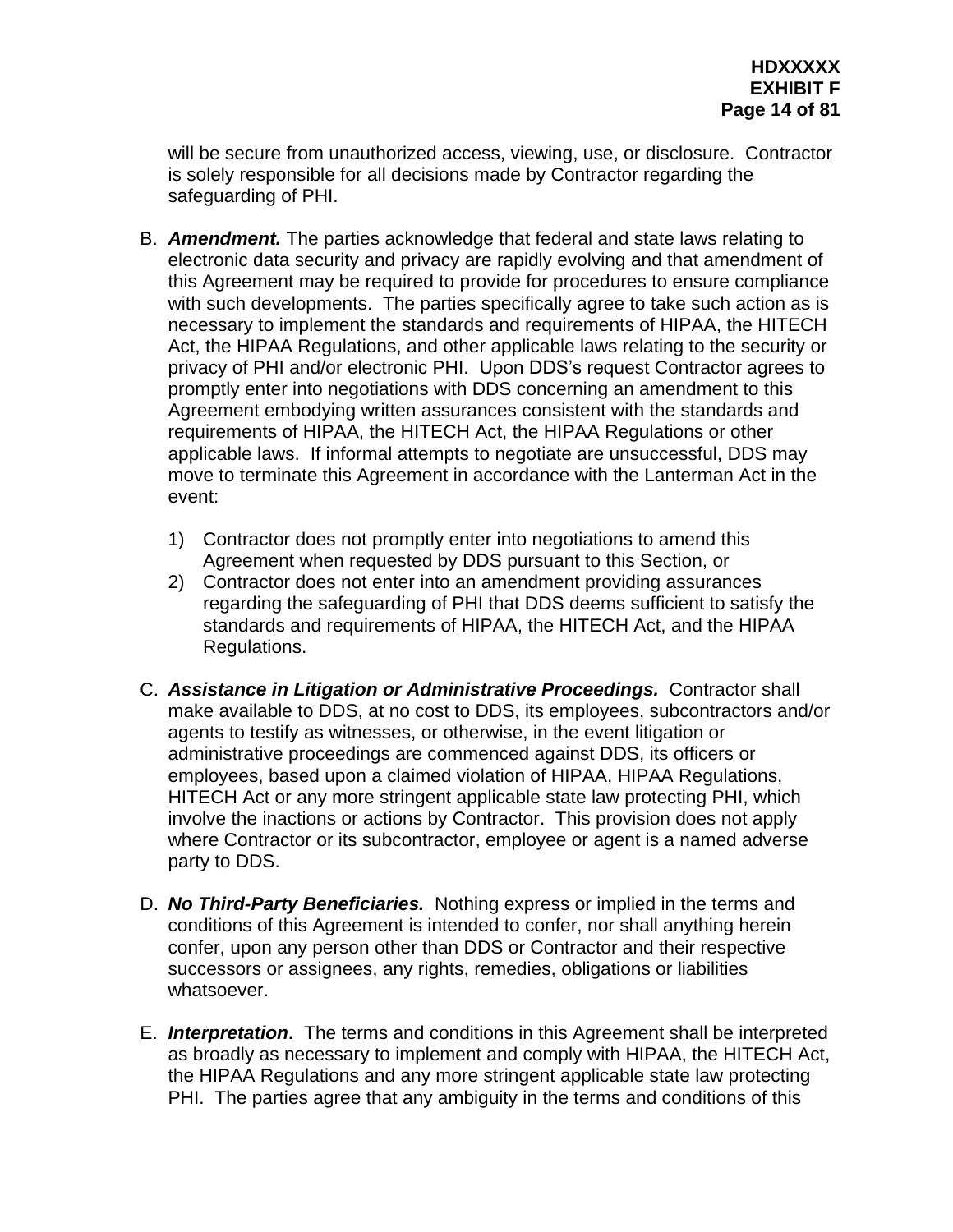will be secure from unauthorized access, viewing, use, or disclosure. Contractor is solely responsible for all decisions made by Contractor regarding the safeguarding of PHI.

- B. *Amendment.* The parties acknowledge that federal and state laws relating to electronic data security and privacy are rapidly evolving and that amendment of this Agreement may be required to provide for procedures to ensure compliance with such developments. The parties specifically agree to take such action as is necessary to implement the standards and requirements of HIPAA, the HITECH Act, the HIPAA Regulations, and other applicable laws relating to the security or privacy of PHI and/or electronic PHI. Upon DDS's request Contractor agrees to promptly enter into negotiations with DDS concerning an amendment to this Agreement embodying written assurances consistent with the standards and requirements of HIPAA, the HITECH Act, the HIPAA Regulations or other applicable laws. If informal attempts to negotiate are unsuccessful, DDS may move to terminate this Agreement in accordance with the Lanterman Act in the event:
	- 1) Contractor does not promptly enter into negotiations to amend this Agreement when requested by DDS pursuant to this Section, or
	- 2) Contractor does not enter into an amendment providing assurances regarding the safeguarding of PHI that DDS deems sufficient to satisfy the standards and requirements of HIPAA, the HITECH Act, and the HIPAA Regulations.
- C. *Assistance in Litigation or Administrative Proceedings.* Contractor shall make available to DDS, at no cost to DDS, its employees, subcontractors and/or agents to testify as witnesses, or otherwise, in the event litigation or administrative proceedings are commenced against DDS, its officers or employees, based upon a claimed violation of HIPAA, HIPAA Regulations, HITECH Act or any more stringent applicable state law protecting PHI, which involve the inactions or actions by Contractor. This provision does not apply where Contractor or its subcontractor, employee or agent is a named adverse party to DDS.
- D. *No Third-Party Beneficiaries.* Nothing express or implied in the terms and conditions of this Agreement is intended to confer, nor shall anything herein confer, upon any person other than DDS or Contractor and their respective successors or assignees, any rights, remedies, obligations or liabilities whatsoever.
- E. *Interpretation***.** The terms and conditions in this Agreement shall be interpreted as broadly as necessary to implement and comply with HIPAA, the HITECH Act, the HIPAA Regulations and any more stringent applicable state law protecting PHI. The parties agree that any ambiguity in the terms and conditions of this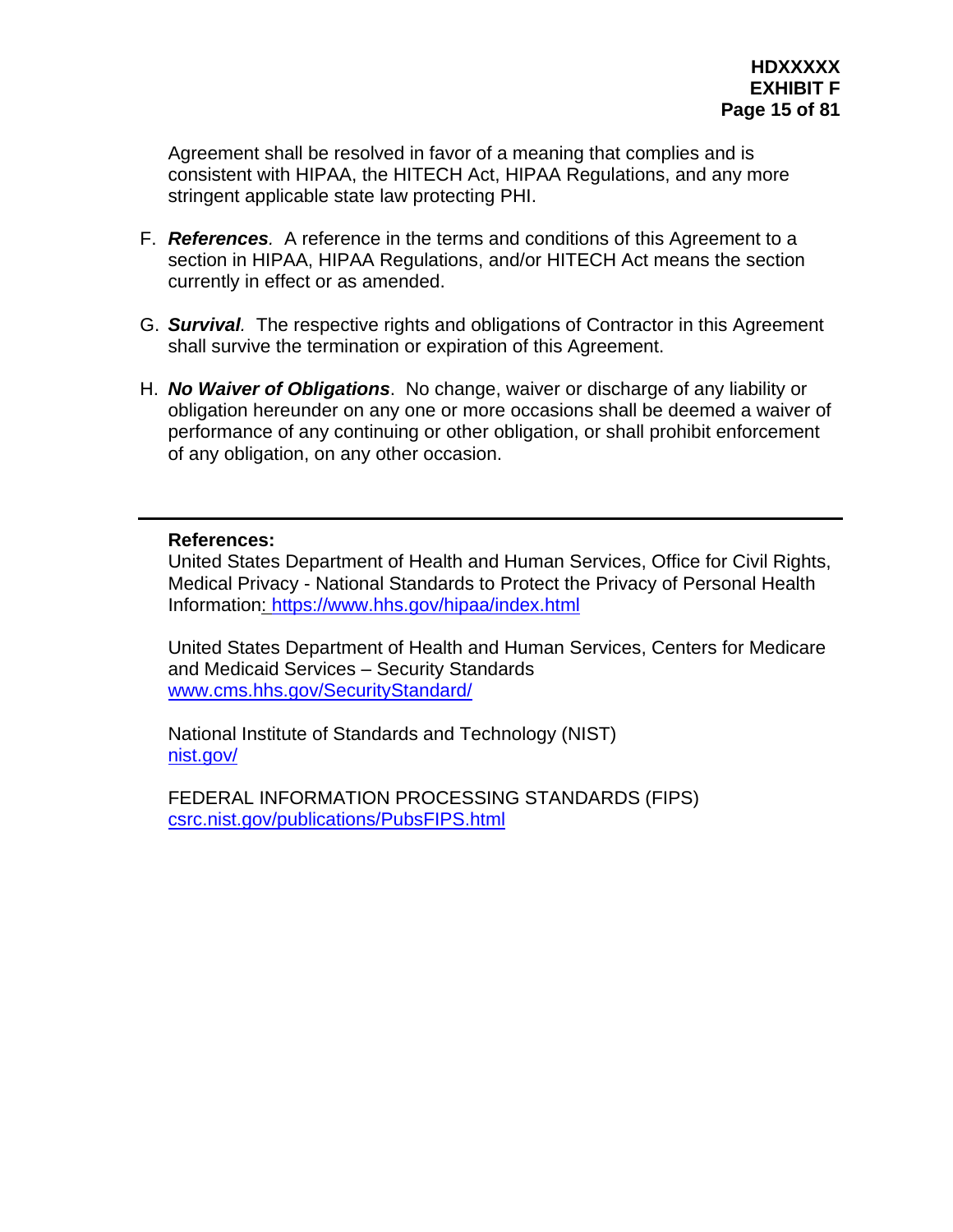Agreement shall be resolved in favor of a meaning that complies and is consistent with HIPAA, the HITECH Act, HIPAA Regulations, and any more stringent applicable state law protecting PHI.

- F. *References.* A reference in the terms and conditions of this Agreement to a section in HIPAA, HIPAA Regulations, and/or HITECH Act means the section currently in effect or as amended.
- G. *Survival.* The respective rights and obligations of Contractor in this Agreement shall survive the termination or expiration of this Agreement.
- H. *No Waiver of Obligations*. No change, waiver or discharge of any liability or obligation hereunder on any one or more occasions shall be deemed a waiver of performance of any continuing or other obligation, or shall prohibit enforcement of any obligation, on any other occasion.

#### **References:**

United States Department of Health and Human Services, Office for Civil Rights, Medical Privacy - National Standards to Protect the Privacy of Personal Health Information: <https://www.hhs.gov/hipaa/index.html>

United States Department of Health and Human Services, Centers for Medicare and Medicaid Services – Security Standards [www.cms.hhs.gov/SecurityStandard/](http://www.cms.hhs.gov/SecurityStandard/)

National Institute of Standards and Technology (NIST) [nist.gov/](http://nist.gov/)

FEDERAL INFORMATION PROCESSING STANDARDS (FIPS) [csrc.nist.gov/publications/PubsFIPS.html](http://csrc.nist.gov/publications/PubsFIPS.html)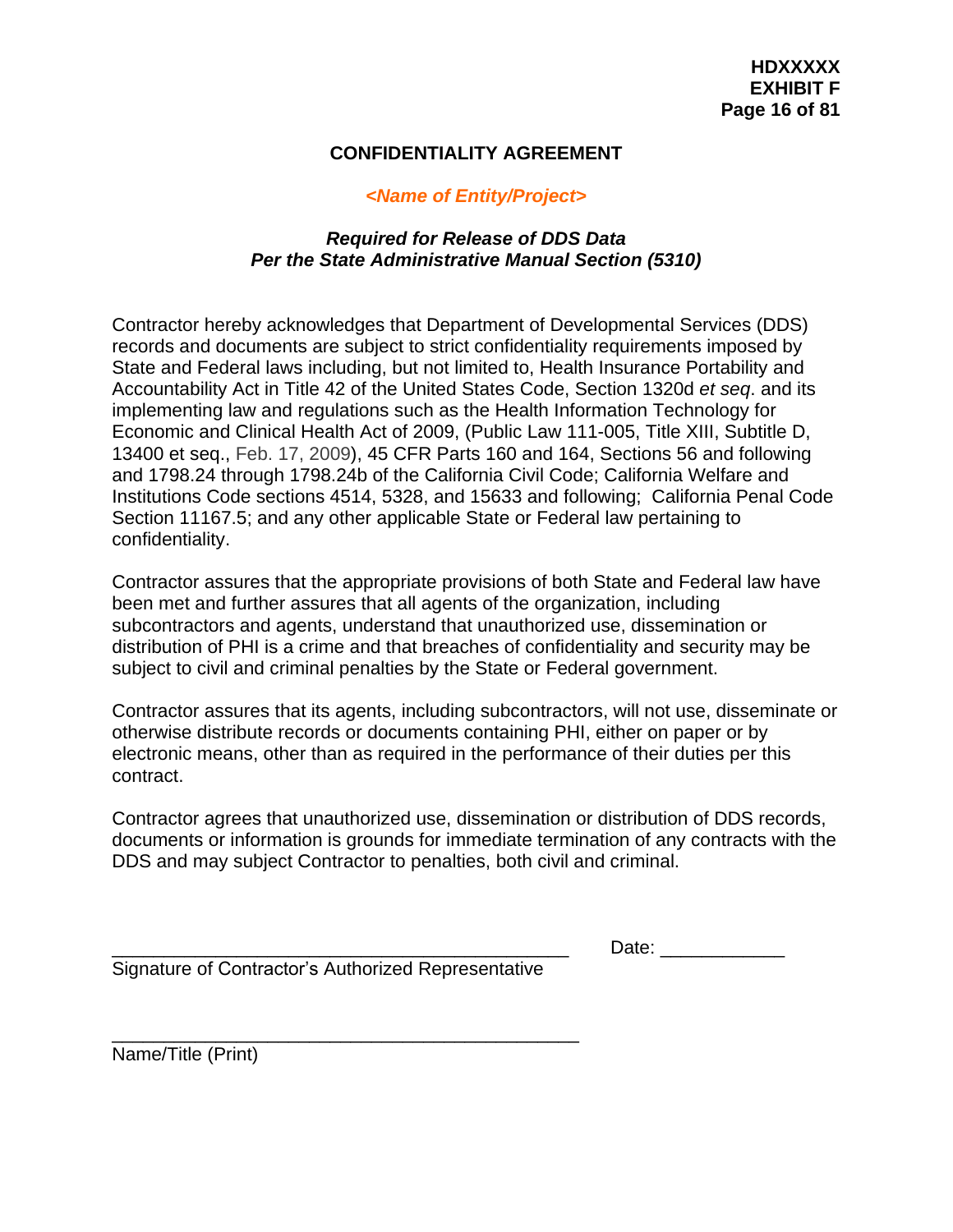## **CONFIDENTIALITY AGREEMENT**

## *<Name of Entity/Project>*

# *Required for Release of DDS Data Per the State Administrative Manual Section (5310)*

Contractor hereby acknowledges that Department of Developmental Services (DDS) records and documents are subject to strict confidentiality requirements imposed by State and Federal laws including, but not limited to, Health Insurance Portability and Accountability Act in Title 42 of the United States Code, Section 1320d *et seq*. and its implementing law and regulations such as the Health Information Technology for Economic and Clinical Health Act of 2009, (Public Law 111-005, Title XIII, Subtitle D, 13400 et seq., Feb. 17, 2009), 45 CFR Parts 160 and 164, Sections 56 and following and 1798.24 through 1798.24b of the California Civil Code; California Welfare and Institutions Code sections 4514, 5328, and 15633 and following; California Penal Code Section 11167.5; and any other applicable State or Federal law pertaining to confidentiality.

Contractor assures that the appropriate provisions of both State and Federal law have been met and further assures that all agents of the organization, including subcontractors and agents, understand that unauthorized use, dissemination or distribution of PHI is a crime and that breaches of confidentiality and security may be subject to civil and criminal penalties by the State or Federal government.

Contractor assures that its agents, including subcontractors, will not use, disseminate or otherwise distribute records or documents containing PHI, either on paper or by electronic means, other than as required in the performance of their duties per this contract.

Contractor agrees that unauthorized use, dissemination or distribution of DDS records, documents or information is grounds for immediate termination of any contracts with the DDS and may subject Contractor to penalties, both civil and criminal.

Date:

Signature of Contractor's Authorized Representative

\_\_\_\_\_\_\_\_\_\_\_\_\_\_\_\_\_\_\_\_\_\_\_\_\_\_\_\_\_\_\_\_\_\_\_\_\_\_\_\_\_\_\_\_\_

Name/Title (Print)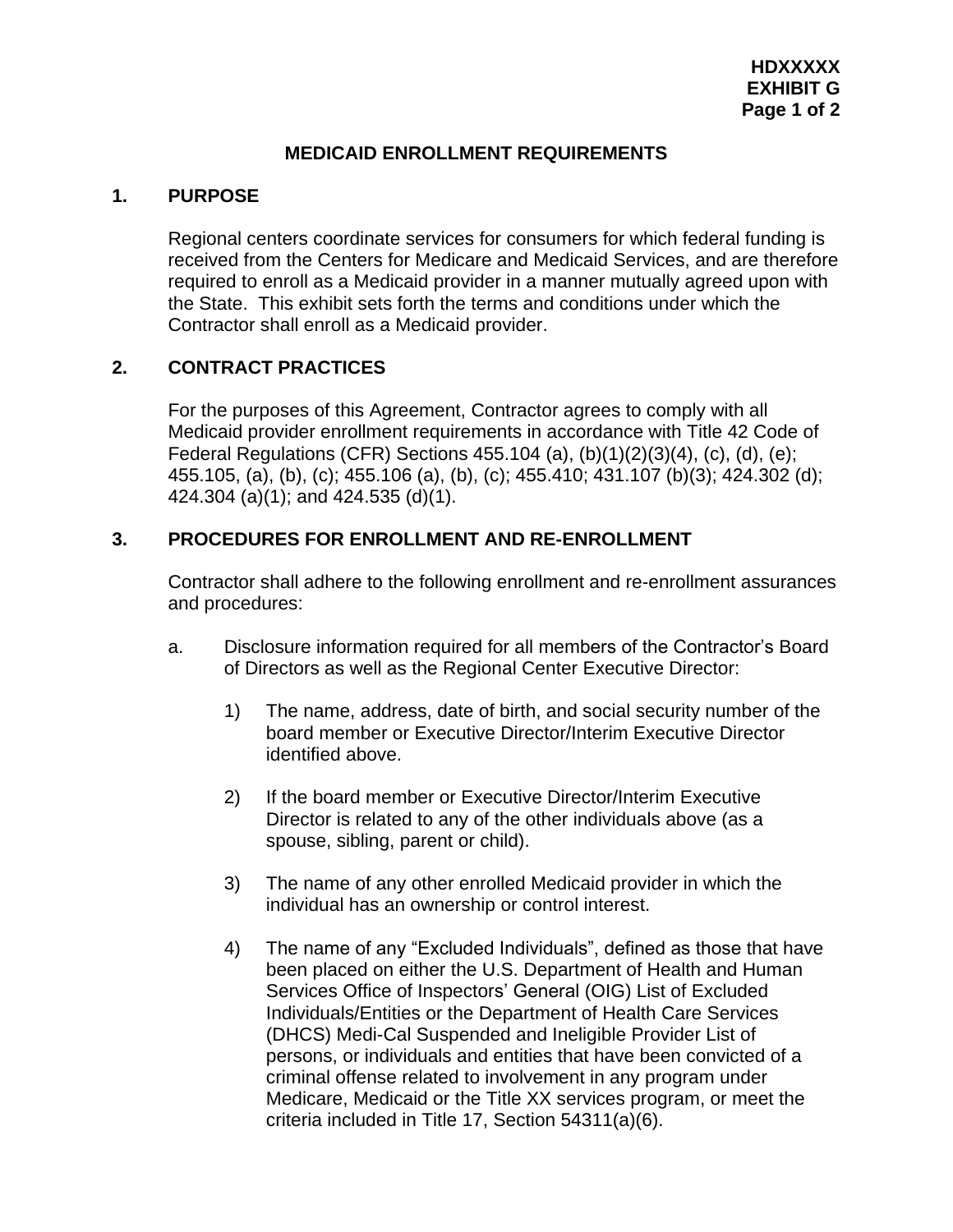## **MEDICAID ENROLLMENT REQUIREMENTS**

#### **1. PURPOSE**

Regional centers coordinate services for consumers for which federal funding is received from the Centers for Medicare and Medicaid Services, and are therefore required to enroll as a Medicaid provider in a manner mutually agreed upon with the State. This exhibit sets forth the terms and conditions under which the Contractor shall enroll as a Medicaid provider.

## **2. CONTRACT PRACTICES**

For the purposes of this Agreement, Contractor agrees to comply with all Medicaid provider enrollment requirements in accordance with Title 42 Code of Federal Regulations (CFR) Sections 455.104 (a), (b)(1)(2)(3)(4), (c), (d), (e); 455.105, (a), (b), (c); 455.106 (a), (b), (c); 455.410; 431.107 (b)(3); 424.302 (d); 424.304 (a)(1); and 424.535 (d)(1).

## **3. PROCEDURES FOR ENROLLMENT AND RE-ENROLLMENT**

Contractor shall adhere to the following enrollment and re-enrollment assurances and procedures:

- a. Disclosure information required for all members of the Contractor's Board of Directors as well as the Regional Center Executive Director:
	- 1) The name, address, date of birth, and social security number of the board member or Executive Director/Interim Executive Director identified above.
	- 2) If the board member or Executive Director/Interim Executive Director is related to any of the other individuals above (as a spouse, sibling, parent or child).
	- 3) The name of any other enrolled Medicaid provider in which the individual has an ownership or control interest.
	- 4) The name of any "Excluded Individuals", defined as those that have been placed on either the U.S. Department of Health and Human Services Office of Inspectors' General (OIG) List of Excluded Individuals/Entities or the Department of Health Care Services (DHCS) Medi-Cal Suspended and Ineligible Provider List of persons, or individuals and entities that have been convicted of a criminal offense related to involvement in any program under Medicare, Medicaid or the Title XX services program, or meet the criteria included in Title 17, Section 54311(a)(6).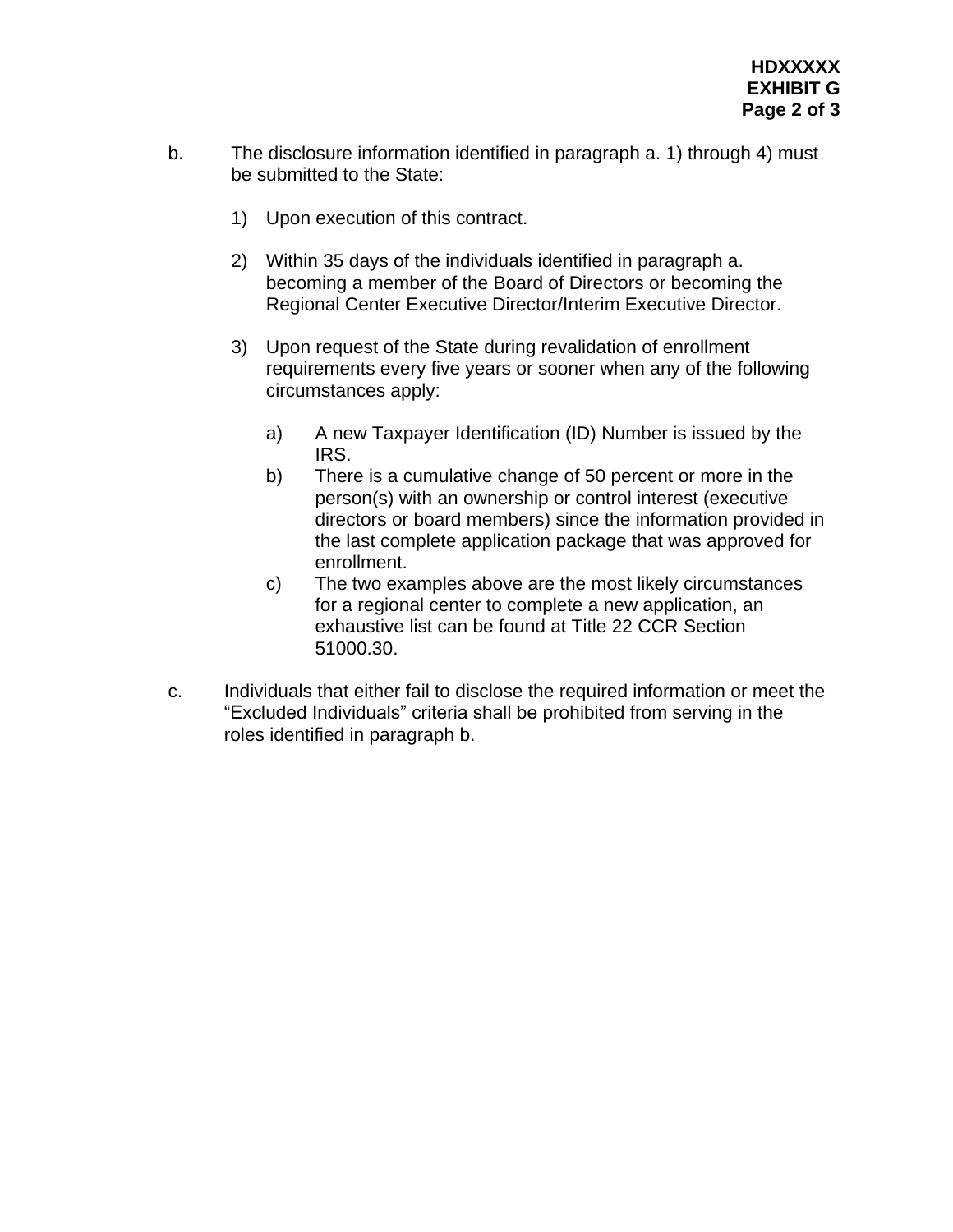- b. The disclosure information identified in paragraph a. 1) through 4) must be submitted to the State:
	- 1) Upon execution of this contract.
	- 2) Within 35 days of the individuals identified in paragraph a. becoming a member of the Board of Directors or becoming the Regional Center Executive Director/Interim Executive Director.
	- 3) Upon request of the State during revalidation of enrollment requirements every five years or sooner when any of the following circumstances apply:
		- a) A new Taxpayer Identification (ID) Number is issued by the IRS.
		- b) There is a cumulative change of 50 percent or more in the person(s) with an ownership or control interest (executive directors or board members) since the information provided in the last complete application package that was approved for enrollment.
		- c) The two examples above are the most likely circumstances for a regional center to complete a new application, an exhaustive list can be found at Title 22 CCR Section 51000.30.
- c. Individuals that either fail to disclose the required information or meet the "Excluded Individuals" criteria shall be prohibited from serving in the roles identified in paragraph b.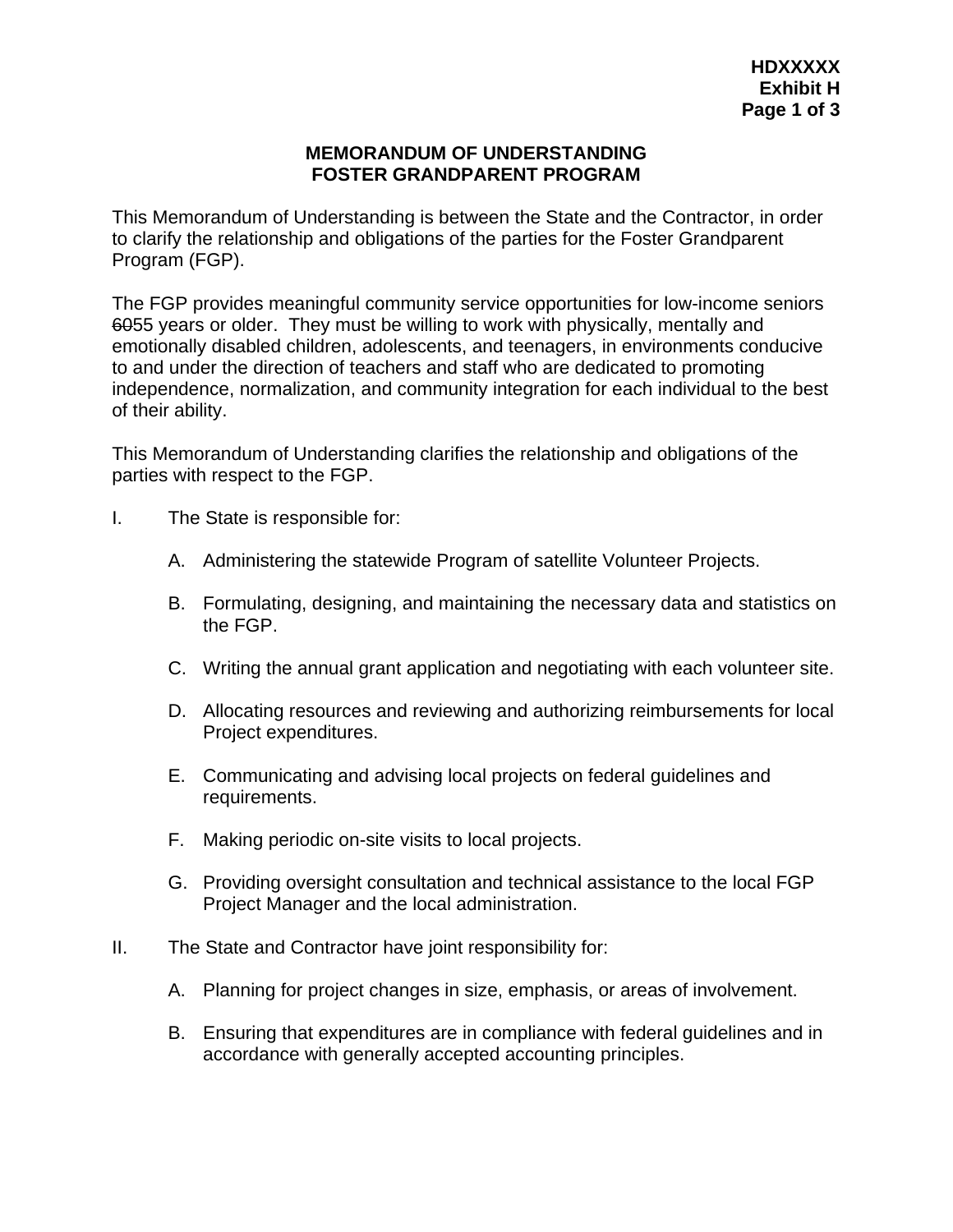### **MEMORANDUM OF UNDERSTANDING FOSTER GRANDPARENT PROGRAM**

This Memorandum of Understanding is between the State and the Contractor, in order to clarify the relationship and obligations of the parties for the Foster Grandparent Program (FGP).

The FGP provides meaningful community service opportunities for low-income seniors 6055 years or older. They must be willing to work with physically, mentally and emotionally disabled children, adolescents, and teenagers, in environments conducive to and under the direction of teachers and staff who are dedicated to promoting independence, normalization, and community integration for each individual to the best of their ability.

This Memorandum of Understanding clarifies the relationship and obligations of the parties with respect to the FGP.

- I. The State is responsible for:
	- A. Administering the statewide Program of satellite Volunteer Projects.
	- B. Formulating, designing, and maintaining the necessary data and statistics on the FGP.
	- C. Writing the annual grant application and negotiating with each volunteer site.
	- D. Allocating resources and reviewing and authorizing reimbursements for local Project expenditures.
	- E. Communicating and advising local projects on federal guidelines and requirements.
	- F. Making periodic on-site visits to local projects.
	- G. Providing oversight consultation and technical assistance to the local FGP Project Manager and the local administration.
- II. The State and Contractor have joint responsibility for:
	- A. Planning for project changes in size, emphasis, or areas of involvement.
	- B. Ensuring that expenditures are in compliance with federal guidelines and in accordance with generally accepted accounting principles.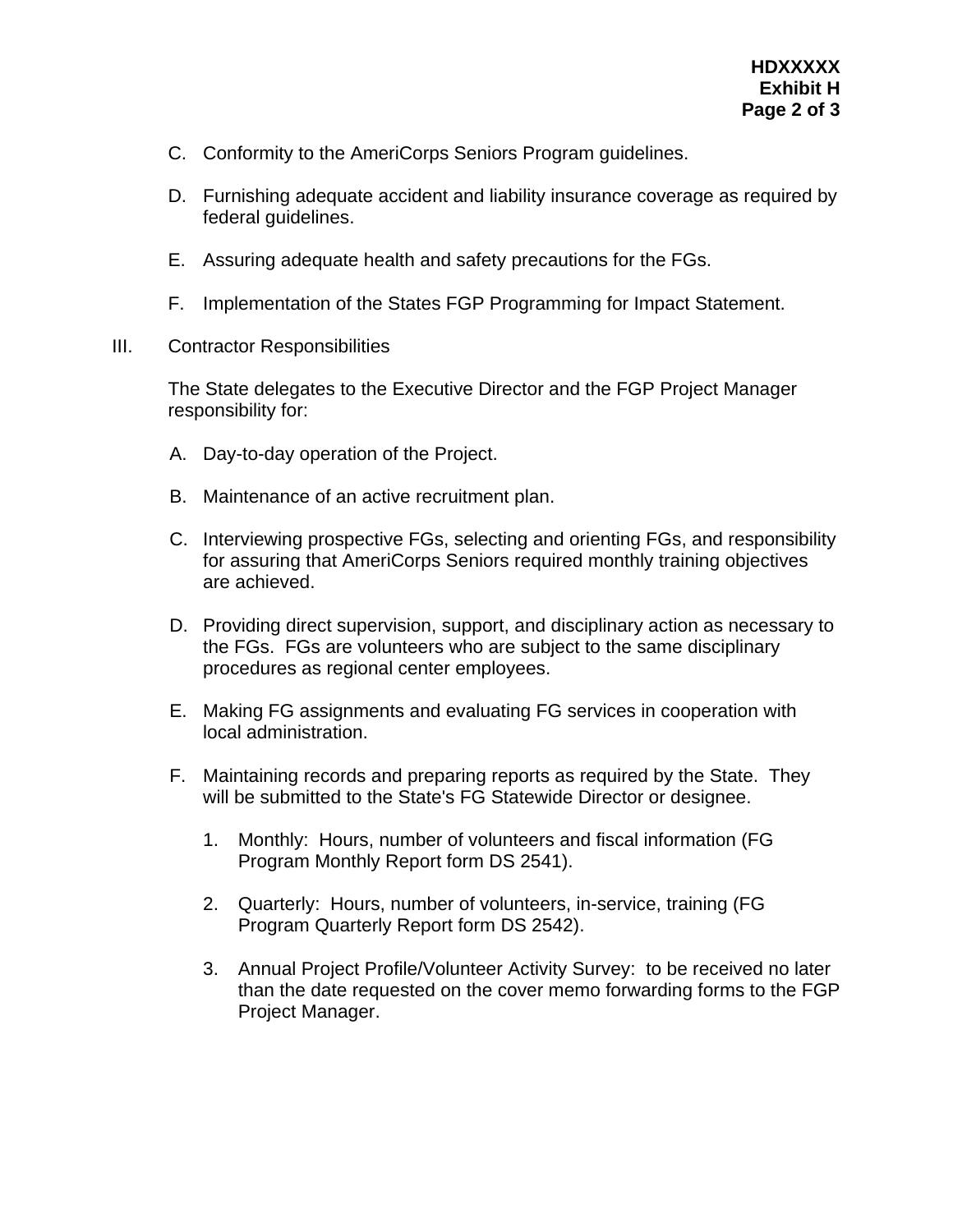- C. Conformity to the AmeriCorps Seniors Program guidelines.
- D. Furnishing adequate accident and liability insurance coverage as required by federal guidelines.
- E. Assuring adequate health and safety precautions for the FGs.
- F. Implementation of the States FGP Programming for Impact Statement.
- III. Contractor Responsibilities

The State delegates to the Executive Director and the FGP Project Manager responsibility for:

- A. Day-to-day operation of the Project.
- B. Maintenance of an active recruitment plan.
- C. Interviewing prospective FGs, selecting and orienting FGs, and responsibility for assuring that AmeriCorps Seniors required monthly training objectives are achieved.
- D. Providing direct supervision, support, and disciplinary action as necessary to the FGs. FGs are volunteers who are subject to the same disciplinary procedures as regional center employees.
- E. Making FG assignments and evaluating FG services in cooperation with local administration.
- F. Maintaining records and preparing reports as required by the State. They will be submitted to the State's FG Statewide Director or designee.
	- 1. Monthly: Hours, number of volunteers and fiscal information (FG Program Monthly Report form DS 2541).
	- 2. Quarterly: Hours, number of volunteers, in-service, training (FG Program Quarterly Report form DS 2542).
	- 3. Annual Project Profile/Volunteer Activity Survey: to be received no later than the date requested on the cover memo forwarding forms to the FGP Project Manager.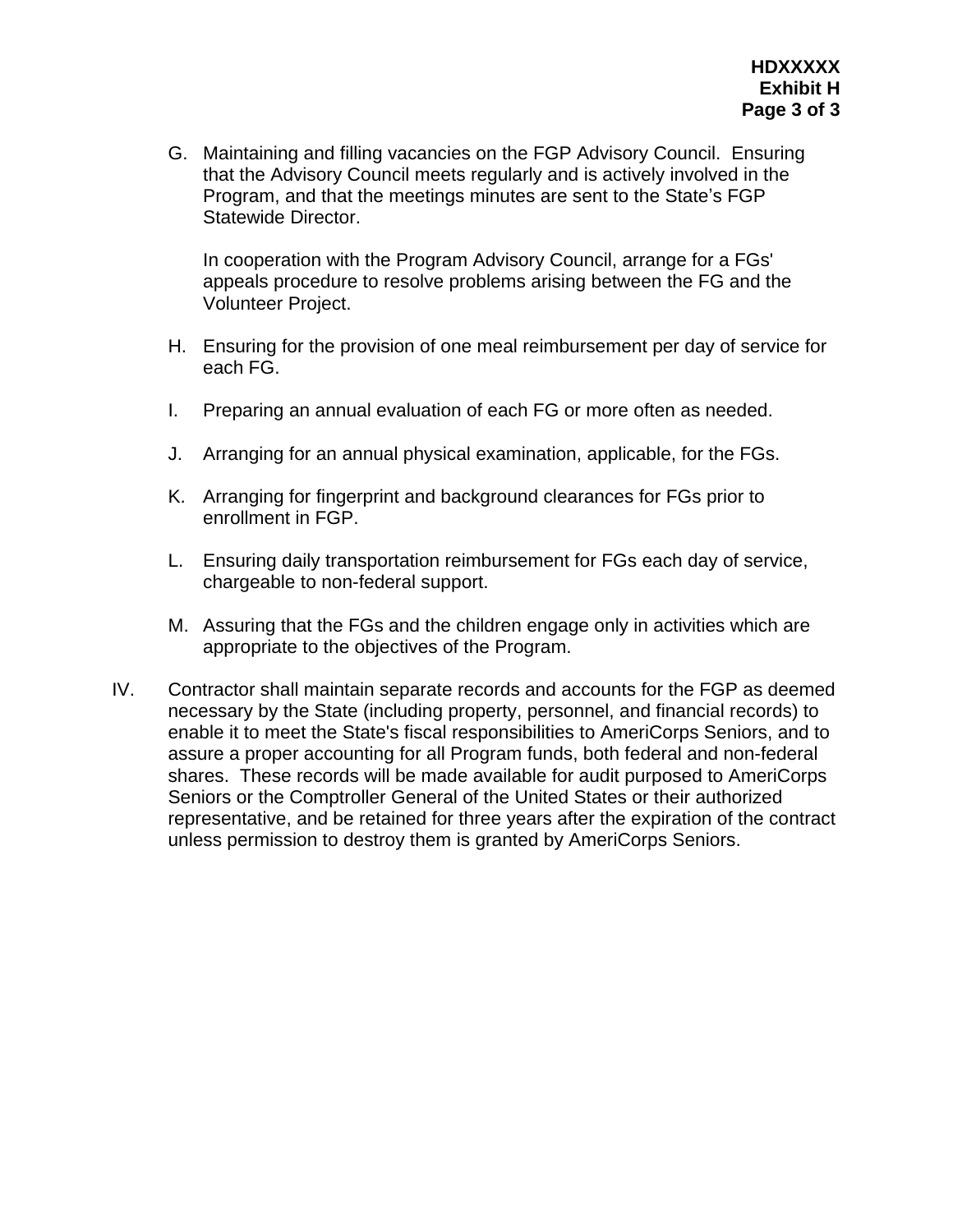G. Maintaining and filling vacancies on the FGP Advisory Council. Ensuring that the Advisory Council meets regularly and is actively involved in the Program, and that the meetings minutes are sent to the State's FGP Statewide Director.

In cooperation with the Program Advisory Council, arrange for a FGs' appeals procedure to resolve problems arising between the FG and the Volunteer Project.

- H. Ensuring for the provision of one meal reimbursement per day of service for each FG.
- I. Preparing an annual evaluation of each FG or more often as needed.
- J. Arranging for an annual physical examination, applicable, for the FGs.
- K. Arranging for fingerprint and background clearances for FGs prior to enrollment in FGP.
- L. Ensuring daily transportation reimbursement for FGs each day of service, chargeable to non-federal support.
- M. Assuring that the FGs and the children engage only in activities which are appropriate to the objectives of the Program.
- IV. Contractor shall maintain separate records and accounts for the FGP as deemed necessary by the State (including property, personnel, and financial records) to enable it to meet the State's fiscal responsibilities to AmeriCorps Seniors, and to assure a proper accounting for all Program funds, both federal and non-federal shares. These records will be made available for audit purposed to AmeriCorps Seniors or the Comptroller General of the United States or their authorized representative, and be retained for three years after the expiration of the contract unless permission to destroy them is granted by AmeriCorps Seniors.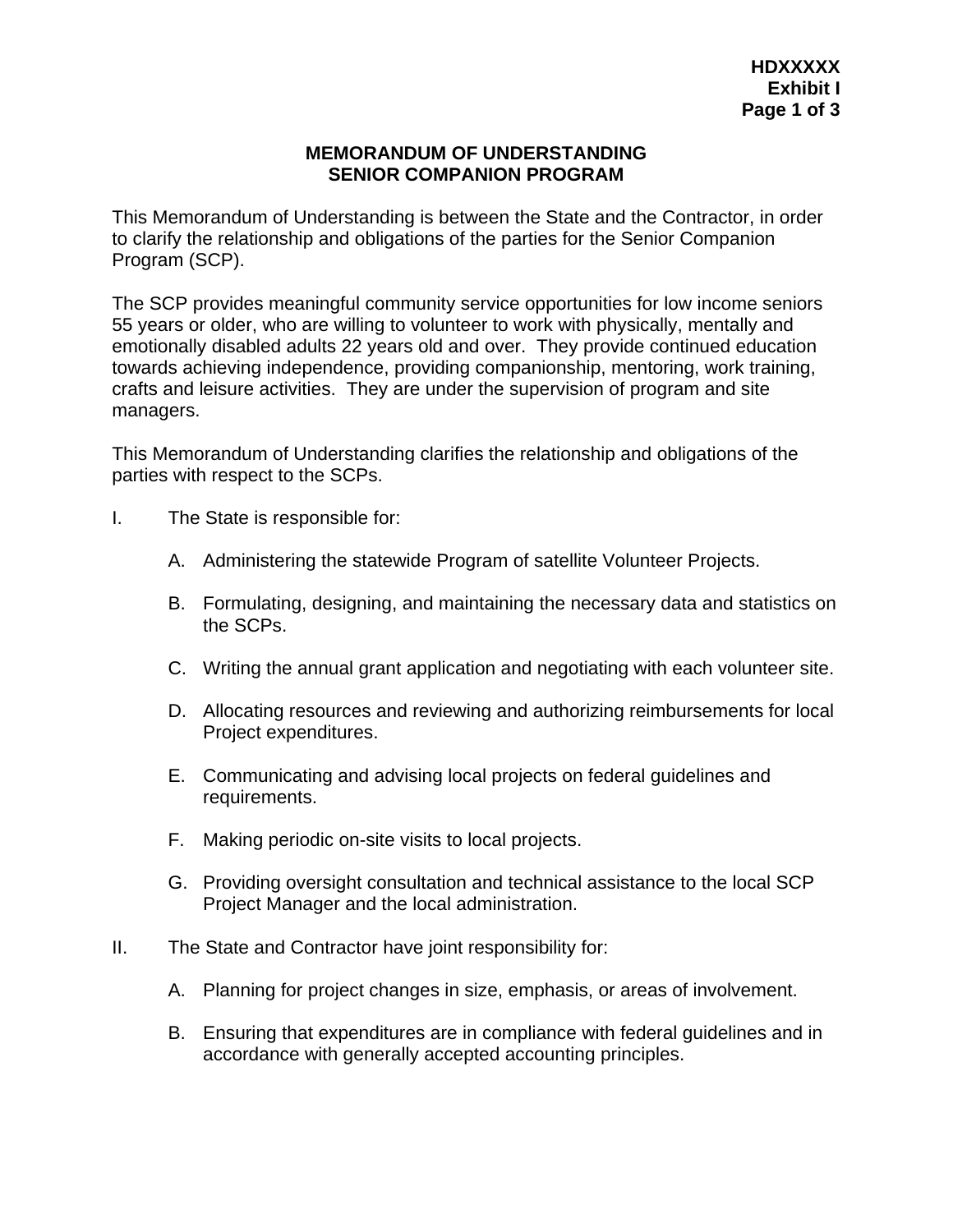#### **MEMORANDUM OF UNDERSTANDING SENIOR COMPANION PROGRAM**

This Memorandum of Understanding is between the State and the Contractor, in order to clarify the relationship and obligations of the parties for the Senior Companion Program (SCP).

The SCP provides meaningful community service opportunities for low income seniors 55 years or older, who are willing to volunteer to work with physically, mentally and emotionally disabled adults 22 years old and over. They provide continued education towards achieving independence, providing companionship, mentoring, work training, crafts and leisure activities. They are under the supervision of program and site managers.

This Memorandum of Understanding clarifies the relationship and obligations of the parties with respect to the SCPs.

- I. The State is responsible for:
	- A. Administering the statewide Program of satellite Volunteer Projects.
	- B. Formulating, designing, and maintaining the necessary data and statistics on the SCPs.
	- C. Writing the annual grant application and negotiating with each volunteer site.
	- D. Allocating resources and reviewing and authorizing reimbursements for local Project expenditures.
	- E. Communicating and advising local projects on federal guidelines and requirements.
	- F. Making periodic on-site visits to local projects.
	- G. Providing oversight consultation and technical assistance to the local SCP Project Manager and the local administration.
- II. The State and Contractor have joint responsibility for:
	- A. Planning for project changes in size, emphasis, or areas of involvement.
	- B. Ensuring that expenditures are in compliance with federal guidelines and in accordance with generally accepted accounting principles.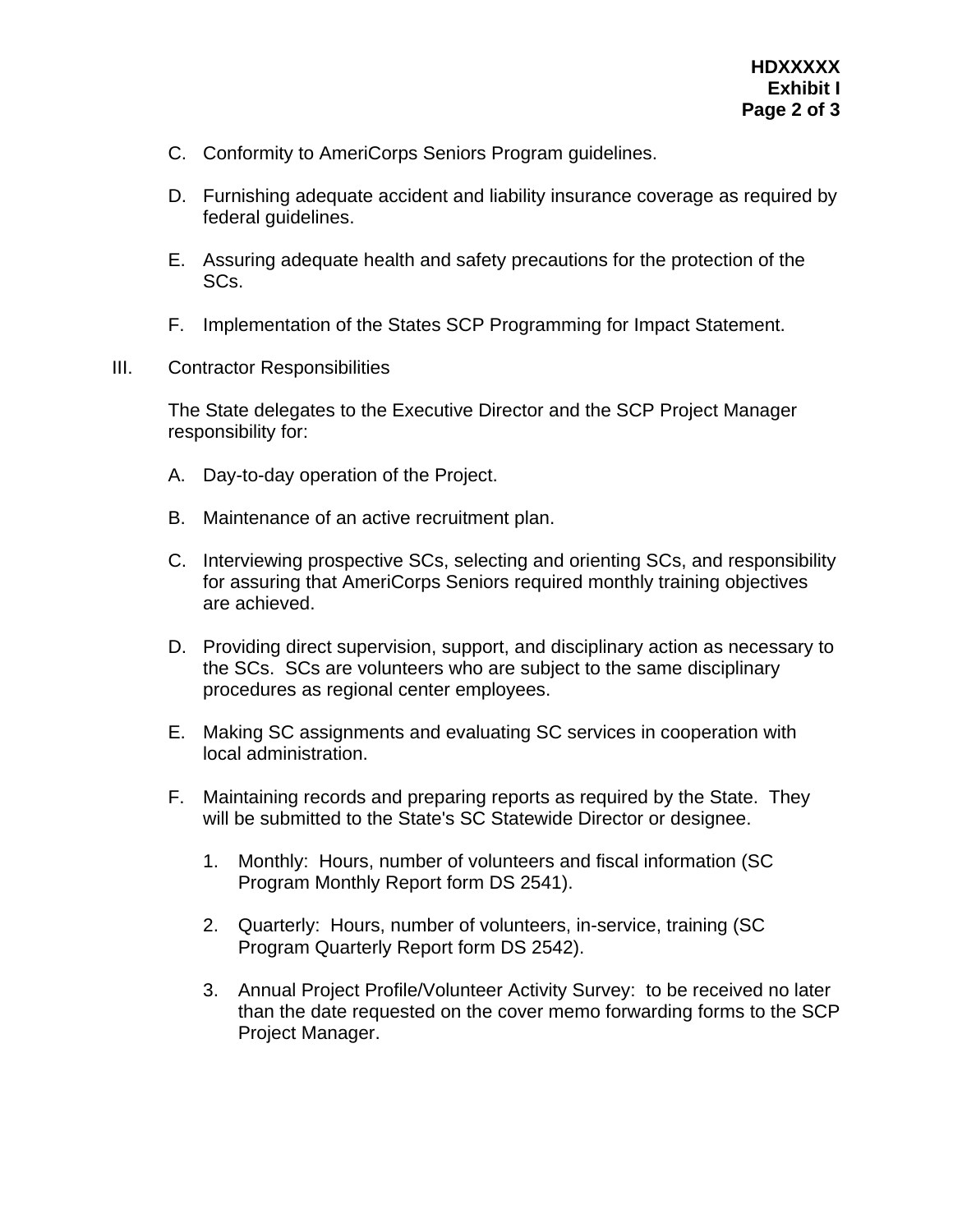- C. Conformity to AmeriCorps Seniors Program guidelines.
- D. Furnishing adequate accident and liability insurance coverage as required by federal guidelines.
- E. Assuring adequate health and safety precautions for the protection of the SCs.
- F. Implementation of the States SCP Programming for Impact Statement.
- III. Contractor Responsibilities

The State delegates to the Executive Director and the SCP Project Manager responsibility for:

- A. Day-to-day operation of the Project.
- B. Maintenance of an active recruitment plan.
- C. Interviewing prospective SCs, selecting and orienting SCs, and responsibility for assuring that AmeriCorps Seniors required monthly training objectives are achieved.
- D. Providing direct supervision, support, and disciplinary action as necessary to the SCs. SCs are volunteers who are subject to the same disciplinary procedures as regional center employees.
- E. Making SC assignments and evaluating SC services in cooperation with local administration.
- F. Maintaining records and preparing reports as required by the State. They will be submitted to the State's SC Statewide Director or designee.
	- 1. Monthly: Hours, number of volunteers and fiscal information (SC Program Monthly Report form DS 2541).
	- 2. Quarterly: Hours, number of volunteers, in-service, training (SC Program Quarterly Report form DS 2542).
	- 3. Annual Project Profile/Volunteer Activity Survey: to be received no later than the date requested on the cover memo forwarding forms to the SCP Project Manager.